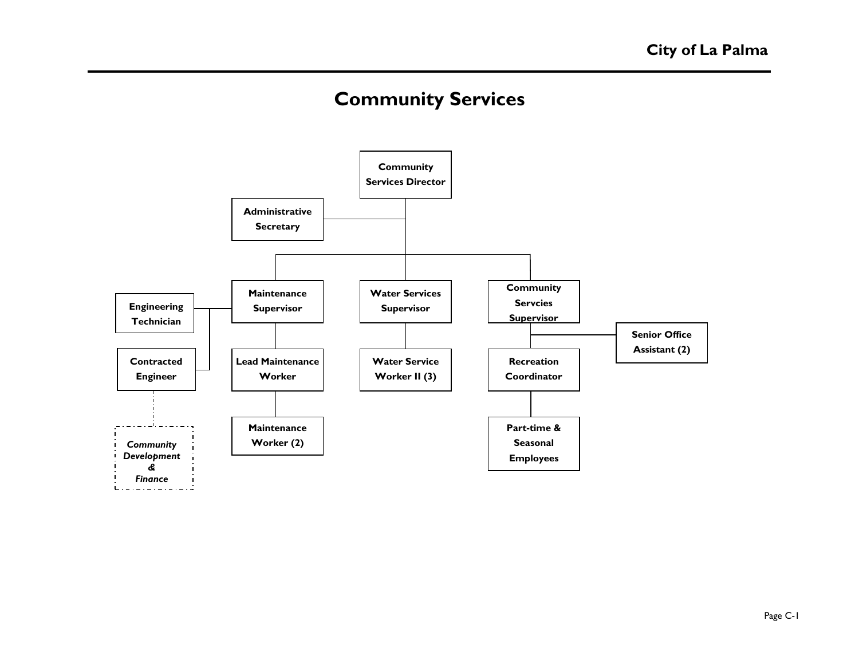# **Community Services**

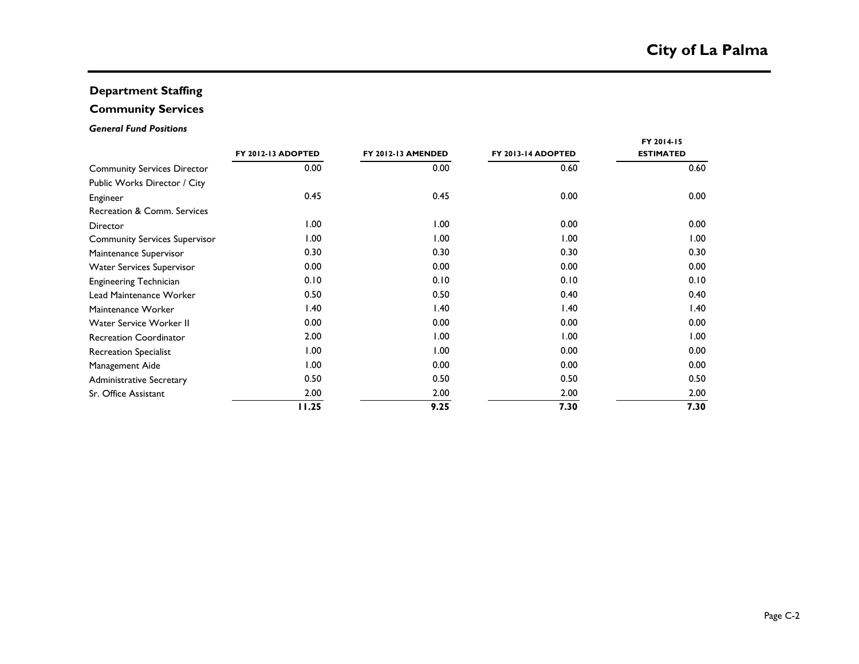### **Department Staffing**

## **Community Services**

### *General Fund Positions*

|                                      |                    |                           |                    | FY 2014-15       |
|--------------------------------------|--------------------|---------------------------|--------------------|------------------|
|                                      | FY 2012-13 ADOPTED | <b>FY 2012-13 AMENDED</b> | FY 2013-14 ADOPTED | <b>ESTIMATED</b> |
| <b>Community Services Director</b>   | 0.00               | 0.00                      | 0.60               | 0.60             |
| Public Works Director / City         |                    |                           |                    |                  |
| Engineer                             | 0.45               | 0.45                      | 0.00               | 0.00             |
| Recreation & Comm. Services          |                    |                           |                    |                  |
| Director                             | 1.00               | 1.00                      | 0.00               | 0.00             |
| <b>Community Services Supervisor</b> | 1.00               | 1.00                      | 1.00               | 1.00             |
| Maintenance Supervisor               | 0.30               | 0.30                      | 0.30               | 0.30             |
| <b>Water Services Supervisor</b>     | 0.00               | 0.00                      | 0.00               | 0.00             |
| <b>Engineering Technician</b>        | 0.10               | 0.10                      | 0.10               | 0.10             |
| Lead Maintenance Worker              | 0.50               | 0.50                      | 0.40               | 0.40             |
| Maintenance Worker                   | 1.40               | 1.40                      | 1.40               | 1.40             |
| Water Service Worker II              | 0.00               | 0.00                      | 0.00               | 0.00             |
| <b>Recreation Coordinator</b>        | 2.00               | 1.00                      | 1.00               | 00.1             |
| <b>Recreation Specialist</b>         | 1.00               | 1.00                      | 0.00               | 0.00             |
| Management Aide                      | 1.00               | 0.00                      | 0.00               | 0.00             |
| <b>Administrative Secretary</b>      | 0.50               | 0.50                      | 0.50               | 0.50             |
| Sr. Office Assistant                 | 2.00               | 2.00                      | 2.00               | 2.00             |
|                                      | 11.25              | 9.25                      | 7.30               | 7.30             |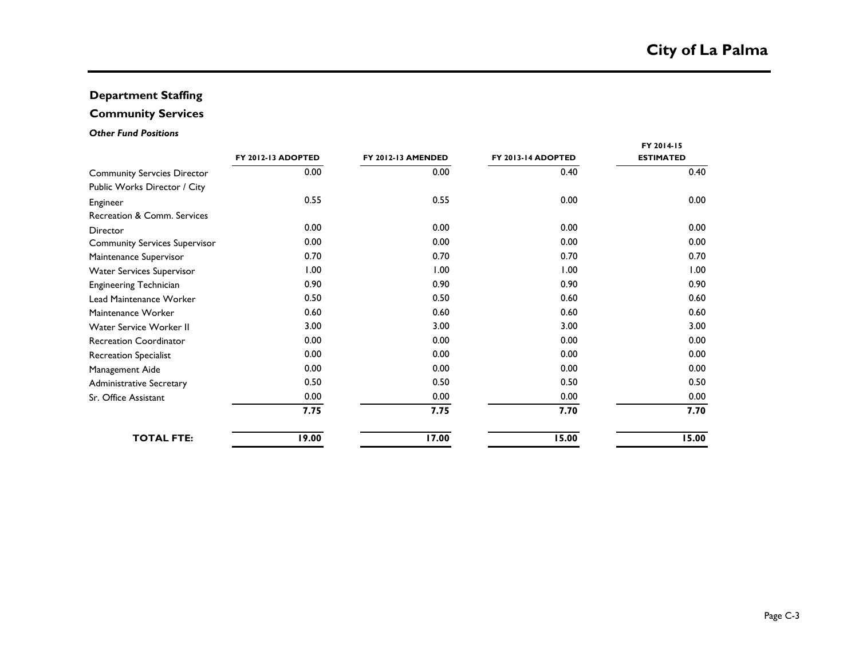### **Department Staffing**

## **Community Services**

### *Other Fund Positions*

|                                      |                    |                           |                    | FY 2014-15       |
|--------------------------------------|--------------------|---------------------------|--------------------|------------------|
|                                      | FY 2012-13 ADOPTED | <b>FY 2012-13 AMENDED</b> | FY 2013-14 ADOPTED | <b>ESTIMATED</b> |
| <b>Community Servcies Director</b>   | 0.00               | 0.00                      | 0.40               | 0.40             |
| Public Works Director / City         |                    |                           |                    |                  |
| Engineer                             | 0.55               | 0.55                      | 0.00               | 0.00             |
| Recreation & Comm. Services          |                    |                           |                    |                  |
| Director                             | 0.00               | 0.00                      | 0.00               | 0.00             |
| <b>Community Services Supervisor</b> | 0.00               | 0.00                      | 0.00               | 0.00             |
| Maintenance Supervisor               | 0.70               | 0.70                      | 0.70               | 0.70             |
| <b>Water Services Supervisor</b>     | 1.00               | 1.00                      | 1.00               | 1.00             |
| <b>Engineering Technician</b>        | 0.90               | 0.90                      | 0.90               | 0.90             |
| Lead Maintenance Worker              | 0.50               | 0.50                      | 0.60               | 0.60             |
| Maintenance Worker                   | 0.60               | 0.60                      | 0.60               | 0.60             |
| Water Service Worker II              | 3.00               | 3.00                      | 3.00               | 3.00             |
| <b>Recreation Coordinator</b>        | 0.00               | 0.00                      | 0.00               | 0.00             |
| <b>Recreation Specialist</b>         | 0.00               | 0.00                      | 0.00               | 0.00             |
| Management Aide                      | 0.00               | 0.00                      | 0.00               | 0.00             |
| <b>Administrative Secretary</b>      | 0.50               | 0.50                      | 0.50               | 0.50             |
| Sr. Office Assistant                 | 0.00               | 0.00                      | 0.00               | 0.00             |
|                                      | 7.75               | 7.75                      | 7.70               | 7.70             |
| <b>TOTAL FTE:</b>                    | 19.00              | 17.00                     | 15.00              | 15.00            |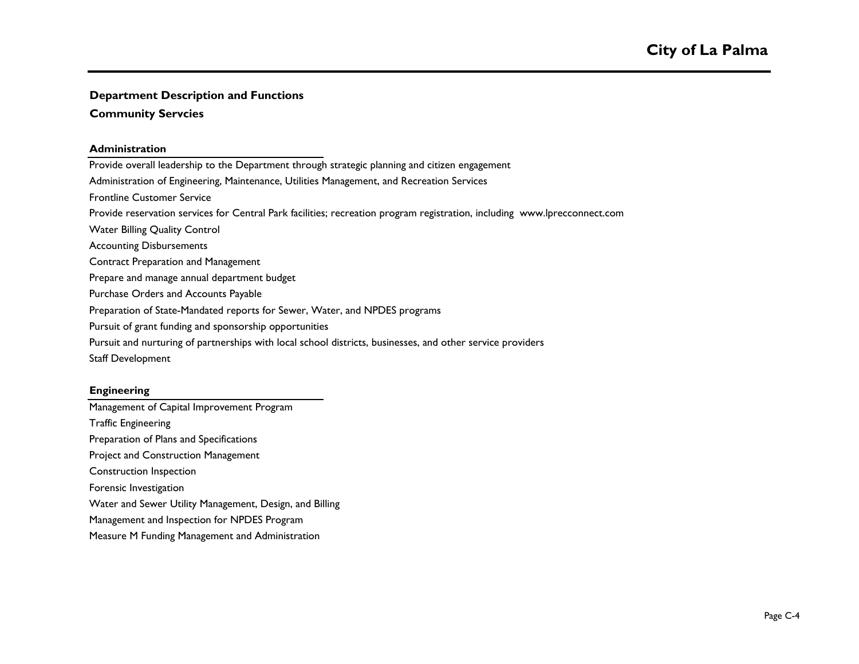### **Community Servcies**

### **Administration**

Provide overall leadership to the Department through strategic planning and citizen engagement Administration of Engineering, Maintenance, Utilities Management, and Recreation Services Provide reservation services for Central Park facilities; recreation program registration, including www.lprecconnect.com Water Billing Quality Control Accounting Disbursements Contract Preparation and Management Prepare and manage annual department budget Purchase Orders and Accounts Payable Preparation of State-Mandated reports for Sewer, Water, and NPDES programs Pursuit of grant funding and sponsorship opportunities Pursuit and nurturing of partnerships with local school districts, businesses, and other service providers Staff Development Frontline Customer Service

### **Engineering**

Management of Capital Improvement Program Traffic Engineering Preparation of Plans and Specifications Project and Construction Management Construction Inspection Forensic Investigation Water and Sewer Utility Management, Design, and Billing Management and Inspection for NPDES Program Measure M Funding Management and Administration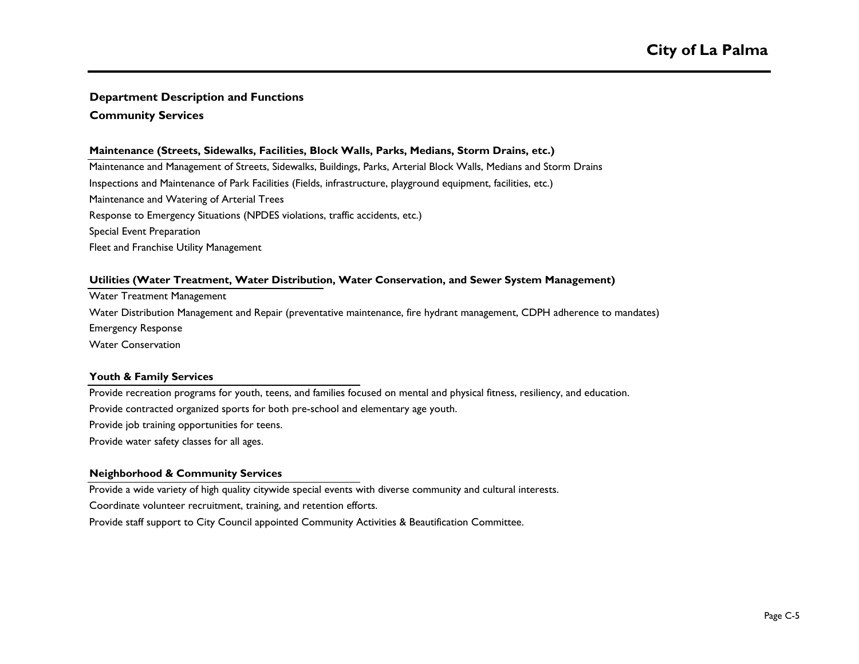**Community Services**

### **Maintenance (Streets, Sidewalks, Facilities, Block Walls, Parks, Medians, Storm Drains, etc.)**

Maintenance and Management of Streets, Sidewalks, Buildings, Parks, Arterial Block Walls, Medians and Storm Drains Inspections and Maintenance of Park Facilities (Fields, infrastructure, playground equipment, facilities, etc.) Maintenance and Watering of Arterial Trees Response to Emergency Situations (NPDES violations, traffic accidents, etc.) Special Event Preparation Fleet and Franchise Utility Management

### **Utilities (Water Treatment, Water Distribution, Water Conservation, and Sewer System Management)**

Water Treatment Management

Emergency Response Water Distribution Management and Repair (preventative maintenance, fire hydrant management, CDPH adherence to mandates)

Water Conservation

### **Youth & Family Services**

Provide recreation programs for youth, teens, and families focused on mental and physical fitness, resiliency, and education.

Provide contracted organized sports for both pre-school and elementary age youth.

Provide job training opportunities for teens.

Provide water safety classes for all ages.

### **Neighborhood & Community Services**

Provide a wide variety of high quality citywide special events with diverse community and cultural interests.

Coordinate volunteer recruitment, training, and retention efforts.

Provide staff support to City Council appointed Community Activities & Beautification Committee.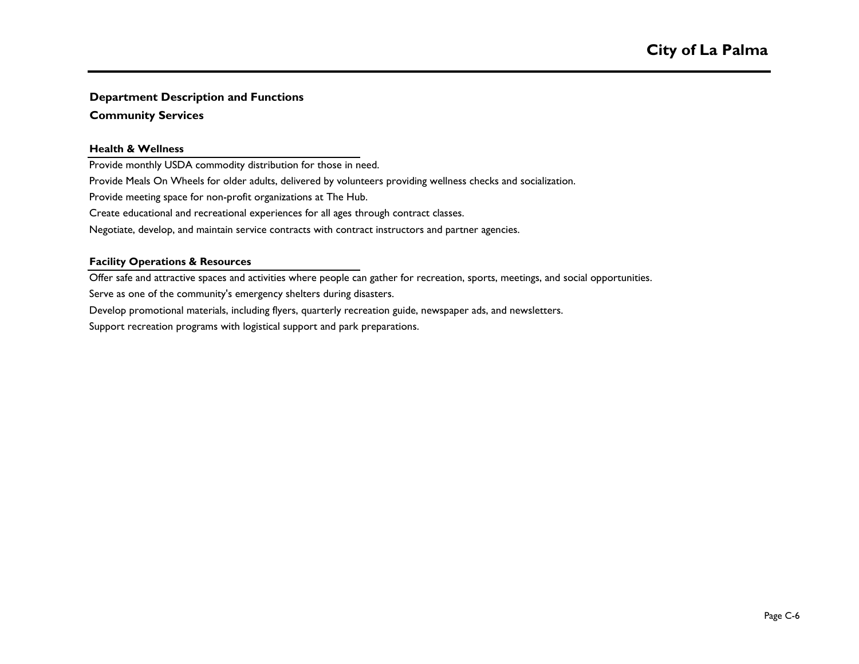### **Community Services**

### **Health & Wellness**

Provide monthly USDA commodity distribution for those in need.

Provide Meals On Wheels for older adults, delivered by volunteers providing wellness checks and socialization.

Provide meeting space for non-profit organizations at The Hub.

Create educational and recreational experiences for all ages through contract classes.

Negotiate, develop, and maintain service contracts with contract instructors and partner agencies.

### **Facility Operations & Resources**

Offer safe and attractive spaces and activities where people can gather for recreation, sports, meetings, and social opportunities.

Serve as one of the community's emergency shelters during disasters.

Develop promotional materials, including flyers, quarterly recreation guide, newspaper ads, and newsletters.

Support recreation programs with logistical support and park preparations.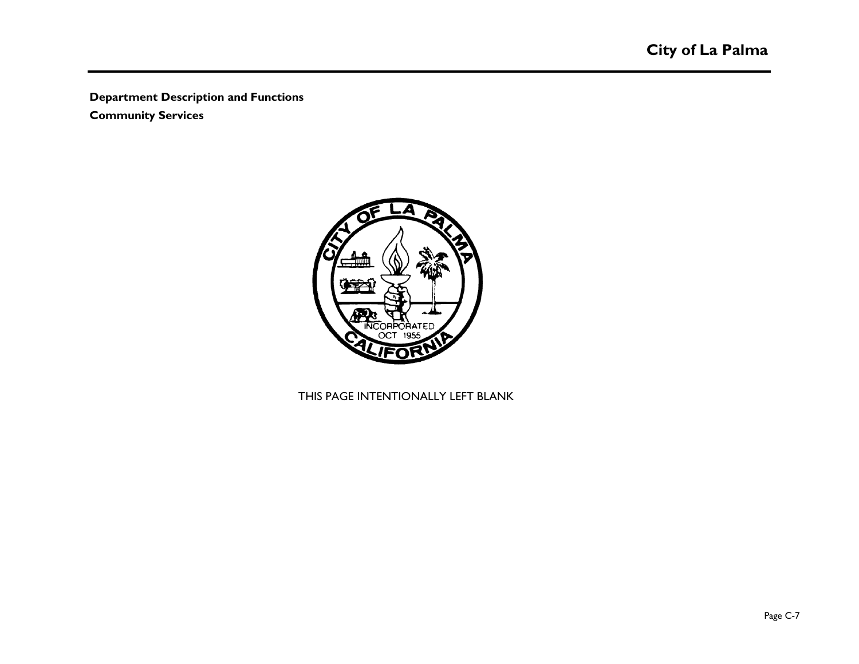**Community Services**



THIS PAGE INTENTIONALLY LEFT BLANK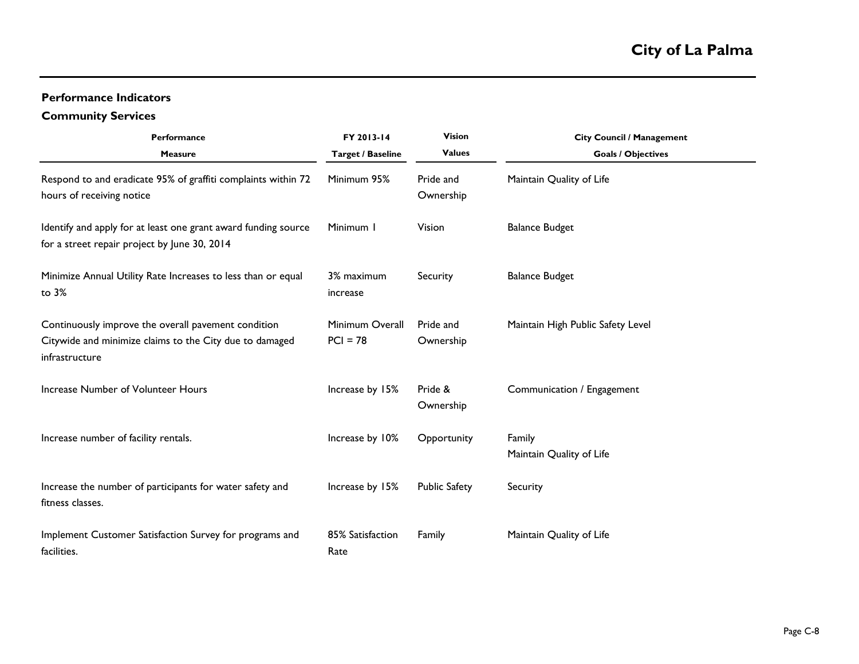### **Performance Indicators**

### **Community Services**

| Performance<br><b>Measure</b>                                                                                                    | FY 2013-14<br><b>Target / Baseline</b> | <b>Vision</b><br><b>Values</b> | <b>City Council / Management</b><br><b>Goals / Objectives</b> |
|----------------------------------------------------------------------------------------------------------------------------------|----------------------------------------|--------------------------------|---------------------------------------------------------------|
| Respond to and eradicate 95% of graffiti complaints within 72<br>hours of receiving notice                                       | Minimum 95%                            | Pride and<br>Ownership         | Maintain Quality of Life                                      |
| Identify and apply for at least one grant award funding source<br>for a street repair project by June 30, 2014                   | Minimum I                              | Vision                         | <b>Balance Budget</b>                                         |
| Minimize Annual Utility Rate Increases to less than or equal<br>to 3%                                                            | 3% maximum<br>increase                 | Security                       | <b>Balance Budget</b>                                         |
| Continuously improve the overall pavement condition<br>Citywide and minimize claims to the City due to damaged<br>infrastructure | Minimum Overall<br>$PCI = 78$          | Pride and<br>Ownership         | Maintain High Public Safety Level                             |
| Increase Number of Volunteer Hours                                                                                               | Increase by 15%                        | Pride &<br>Ownership           | Communication / Engagement                                    |
| Increase number of facility rentals.                                                                                             | Increase by 10%                        | Opportunity                    | Family<br>Maintain Quality of Life                            |
| Increase the number of participants for water safety and<br>fitness classes.                                                     | Increase by 15%                        | <b>Public Safety</b>           | Security                                                      |
| Implement Customer Satisfaction Survey for programs and<br>facilities.                                                           | 85% Satisfaction<br>Rate               | Family                         | Maintain Quality of Life                                      |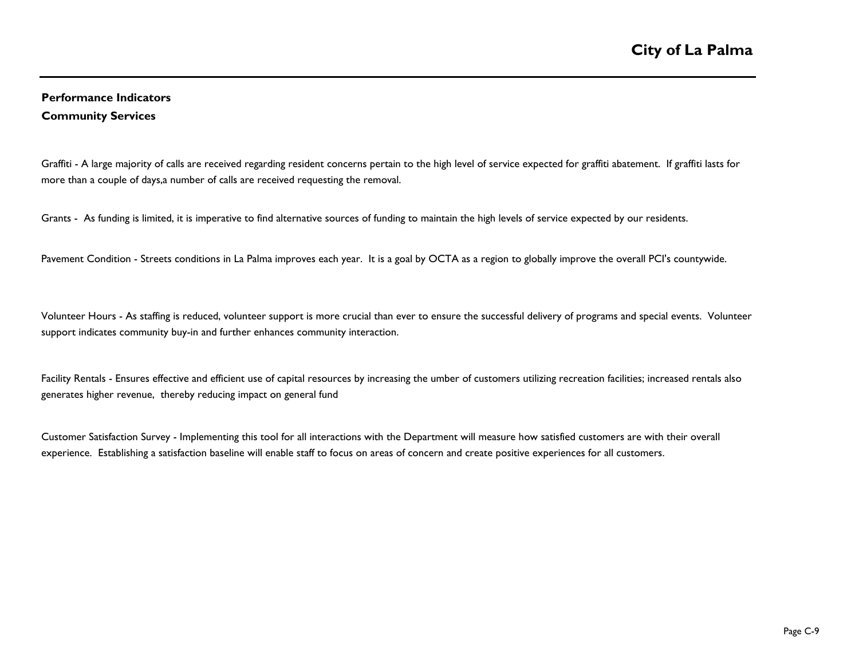### **Performance Indicators Community Services**

Graffiti - A large majority of calls are received regarding resident concerns pertain to the high level of service expected for graffiti abatement. If graffiti lasts for more than a couple of days,a number of calls are received requesting the removal.

Grants - As funding is limited, it is imperative to find alternative sources of funding to maintain the high levels of service expected by our residents.

Pavement Condition - Streets conditions in La Palma improves each year. It is a goal by OCTA as a region to globally improve the overall PCI's countywide.

Volunteer Hours - As staffing is reduced, volunteer support is more crucial than ever to ensure the successful delivery of programs and special events. Volunteer support indicates community buy-in and further enhances community interaction.

Facility Rentals - Ensures effective and efficient use of capital resources by increasing the umber of customers utilizing recreation facilities; increased rentals also generates higher revenue, thereby reducing impact on general fund

Customer Satisfaction Survey - Implementing this tool for all interactions with the Department will measure how satisfied customers are with their overall experience. Establishing a satisfaction baseline will enable staff to focus on areas of concern and create positive experiences for all customers.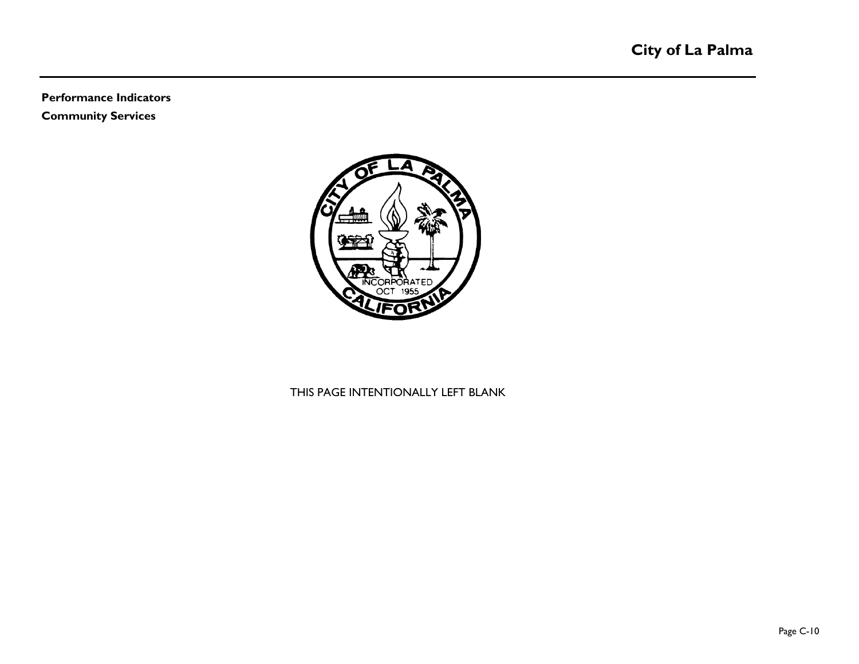### **Performance Indicators Community Services**



THIS PAGE INTENTIONALLY LEFT BLANK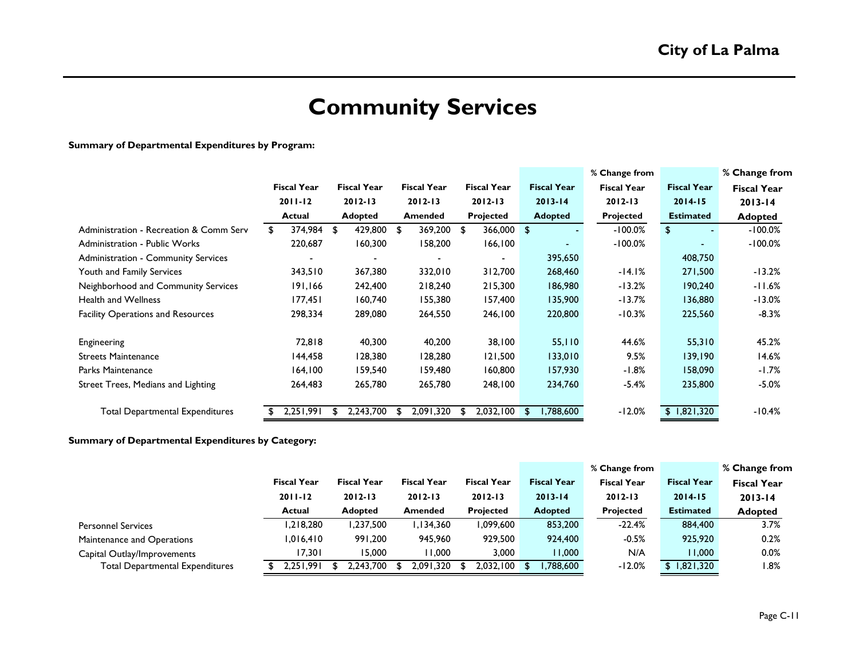# **Community Services**

### **Summary of Departmental Expenditures by Program:**

|                                            |             |                    |             |                    |    |                          |    |                    |     |                    | % Change from      |                      | % Change from      |
|--------------------------------------------|-------------|--------------------|-------------|--------------------|----|--------------------------|----|--------------------|-----|--------------------|--------------------|----------------------|--------------------|
|                                            |             | <b>Fiscal Year</b> |             | <b>Fiscal Year</b> |    | <b>Fiscal Year</b>       |    | <b>Fiscal Year</b> |     | <b>Fiscal Year</b> | <b>Fiscal Year</b> | <b>Fiscal Year</b>   | <b>Fiscal Year</b> |
|                                            | $2011 - 12$ |                    | $2012 - 13$ |                    |    | $2012 - 13$              |    | $2012 - 13$        |     | $2013 - 14$        | $2012 - 13$        | $2014 - 15$          | $2013 - 14$        |
|                                            |             | Actual             |             | <b>Adopted</b>     |    | <b>Amended</b>           |    | Projected          |     | <b>Adopted</b>     | Projected          | <b>Estimated</b>     | <b>Adopted</b>     |
| Administration - Recreation & Comm Serv    | \$          | 374,984            | \$          | 429,800            | \$ | 369,200                  | \$ | 366,000            | -\$ |                    | $-100.0%$          | \$<br>$\blacksquare$ | $-100.0\%$         |
| Administration - Public Works              |             | 220,687            |             | 160,300            |    | 158,200                  |    | 166, 100           |     |                    | $-100.0%$          |                      | $-100.0%$          |
| <b>Administration - Community Services</b> |             | $\blacksquare$     |             | $\blacksquare$     |    | $\overline{\phantom{0}}$ |    | $\blacksquare$     |     | 395,650            |                    | 408,750              |                    |
| Youth and Family Services                  |             | 343,510            |             | 367,380            |    | 332,010                  |    | 312,700            |     | 268,460            | $-14.1%$           | 271,500              | $-13.2%$           |
| Neighborhood and Community Services        |             | 191,166            |             | 242,400            |    | 218,240                  |    | 215,300            |     | 186,980            | $-13.2%$           | 190,240              | $-11.6%$           |
| Health and Wellness                        |             | 177,451            |             | 160,740            |    | 155,380                  |    | 157,400            |     | 135,900            | $-13.7%$           | 136,880              | $-13.0%$           |
| <b>Facility Operations and Resources</b>   |             | 298,334            |             | 289,080            |    | 264,550                  |    | 246,100            |     | 220,800            | $-10.3%$           | 225,560              | $-8.3%$            |
| Engineering                                |             | 72,818             |             | 40,300             |    | 40,200                   |    | 38,100             |     | 55,110             | 44.6%              | 55,310               | 45.2%              |
| <b>Streets Maintenance</b>                 |             | 144,458            |             | 128,380            |    | 128,280                  |    | 121,500            |     | 133,010            | 9.5%               | 139,190              | 14.6%              |
| Parks Maintenance                          |             | 164,100            |             | 159,540            |    | 159,480                  |    | 160,800            |     | 157,930            | $-1.8%$            | 158,090              | -1.7%              |
| Street Trees, Medians and Lighting         |             | 264,483            |             | 265,780            |    | 265,780                  |    | 248,100            |     | 234,760            | $-5.4%$            | 235,800              | $-5.0%$            |
| <b>Total Departmental Expenditures</b>     |             | 2,251,991          | Ж.          | 2,243,700          | -S | 2,091,320                | £  | 2,032,100          | S   | 1,788,600          | $-12.0%$           | \$1,821,320          | $-10.4%$           |

### **Summary of Departmental Expenditures by Category:**

|                                        |                    |                    |                    |                    |                    | % Change from      |                    | % Change from      |
|----------------------------------------|--------------------|--------------------|--------------------|--------------------|--------------------|--------------------|--------------------|--------------------|
|                                        | <b>Fiscal Year</b> | <b>Fiscal Year</b> | <b>Fiscal Year</b> | <b>Fiscal Year</b> | <b>Fiscal Year</b> | <b>Fiscal Year</b> | <b>Fiscal Year</b> | <b>Fiscal Year</b> |
|                                        | $2011 - 12$        | $2012 - 13$        | $2012 - 13$        | $2012 - 13$        | $2013 - 14$        | $2012 - 13$        | $2014 - 15$        | $2013 - 14$        |
|                                        | <b>Actual</b>      | <b>Adopted</b>     | Amended            | <b>Projected</b>   | <b>Adopted</b>     | <b>Projected</b>   | <b>Estimated</b>   | <b>Adopted</b>     |
| <b>Personnel Services</b>              | 1,218,280          | ,237,500           | I, I 34, 360       | 1,099,600          | 853,200            | $-22.4%$           | 884,400            | 3.7%               |
| Maintenance and Operations             | 1,016,410          | 991,200            | 945,960            | 929,500            | 924,400            | $-0.5%$            | 925,920            | 0.2%               |
| Capital Outlay/Improvements            | 17,301             | 15,000             | 11.000             | 3,000              | 11,000             | N/A                | 11,000             | 0.0%               |
| <b>Total Departmental Expenditures</b> | 2,251,991          | 2.243.700          | 2,091,320          | $2.032.100$ \$     | ,788,600           | $-12.0%$           | \$1,821,320        | 8%، ا              |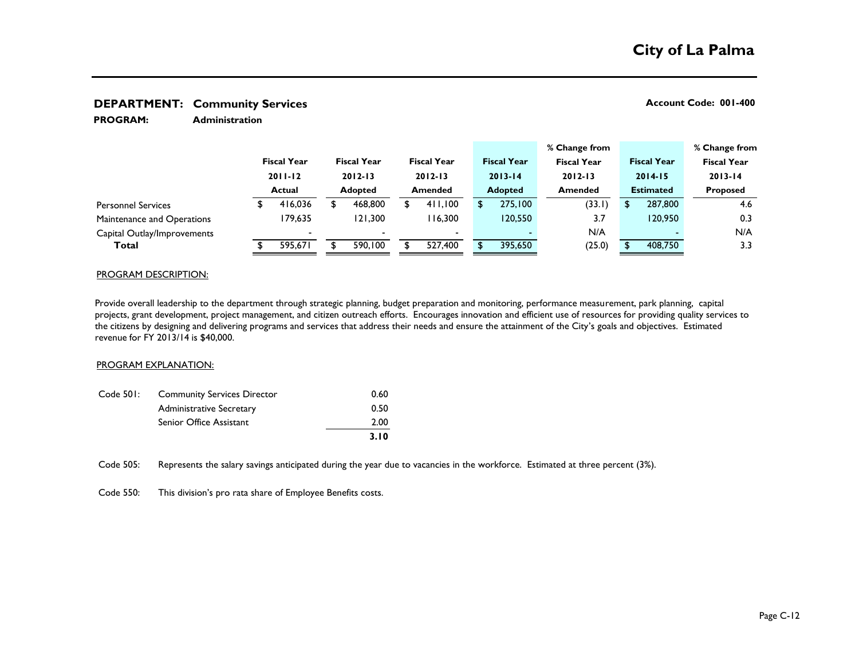**Administration PROGRAM:** 

|                             |  |                       |  |                               |  |                               |  |                    |  | % Change from      |                    |             |                 | % Change from      |
|-----------------------------|--|-----------------------|--|-------------------------------|--|-------------------------------|--|--------------------|--|--------------------|--------------------|-------------|-----------------|--------------------|
|                             |  | <b>Fiscal Year</b>    |  | <b>Fiscal Year</b>            |  | <b>Fiscal Year</b>            |  | <b>Fiscal Year</b> |  | <b>Fiscal Year</b> | <b>Fiscal Year</b> |             |                 | <b>Fiscal Year</b> |
|                             |  | $2011 - 12$<br>Actual |  | $2012 - 13$<br><b>Adopted</b> |  | $2012 - 13$<br><b>Amended</b> |  | $2013 - 14$        |  | $2012 - 13$        |                    | $2014 - 15$ |                 | $2013 - 14$        |
|                             |  |                       |  |                               |  |                               |  | <b>Adopted</b>     |  | <b>Amended</b>     | <b>Estimated</b>   |             | <b>Proposed</b> |                    |
| <b>Personnel Services</b>   |  | 416,036               |  | 468,800                       |  | 411,100                       |  | 275,100            |  | (33.1)             |                    | 287,800     |                 | 4.6                |
| Maintenance and Operations  |  | 179.635               |  | 121.300                       |  | 116.300                       |  | 120,550            |  | 3.7                |                    | 120,950     |                 | 0.3                |
| Capital Outlay/Improvements |  |                       |  |                               |  | $\overline{\phantom{0}}$      |  |                    |  | N/A                |                    |             |                 | N/A                |
| <b>Total</b>                |  | 595.671               |  | 590,100                       |  | 527,400                       |  | 395,650            |  | (25.0)             |                    | 408,750     |                 | 3.3                |

### PROGRAM DESCRIPTION:

Provide overall leadership to the department through strategic planning, budget preparation and monitoring, performance measurement, park planning, capital projects, grant development, project management, and citizen outreach efforts. Encourages innovation and efficient use of resources for providing quality services to the citizens by designing and delivering programs and services that address their needs and ensure the attainment of the City's goals and objectives. Estimated revenue for FY 2013/14 is \$40,000.

### PROGRAM EXPLANATION:

|           |                                    | 3.10 |
|-----------|------------------------------------|------|
|           | Senior Office Assistant            | 2.00 |
|           | Administrative Secretary           | 0.50 |
| Code 501: | <b>Community Services Director</b> | 0.60 |

Code 505: Represents the salary savings anticipated during the year due to vacancies in the workforce. Estimated at three percent (3%).

Code 550: This division's pro rata share of Employee Benefits costs.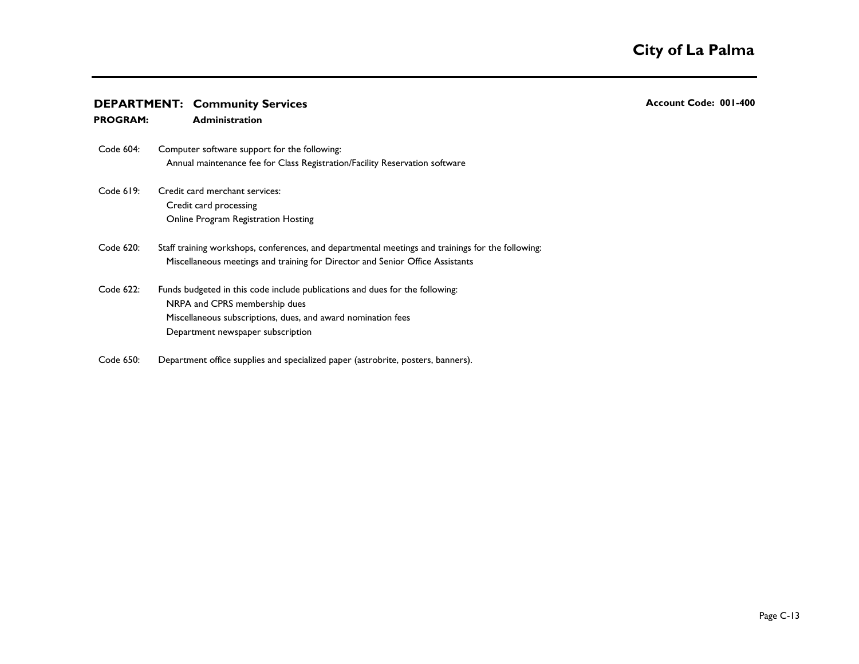- Code 604: Annual maintenance fee for Class Registration/Facility Reservation software Computer software support for the following:
- Code 619: Credit card processing Online Program Registration Hosting Credit card merchant services:
- Code 620: Miscellaneous meetings and training for Director and Senior Office Assistants Staff training workshops, conferences, and departmental meetings and trainings for the following:
- Code 622: NRPA and CPRS membership dues Miscellaneous subscriptions, dues, and award nomination fees Department newspaper subscription Funds budgeted in this code include publications and dues for the following:
- Code 650: Department office supplies and specialized paper (astrobrite, posters, banners).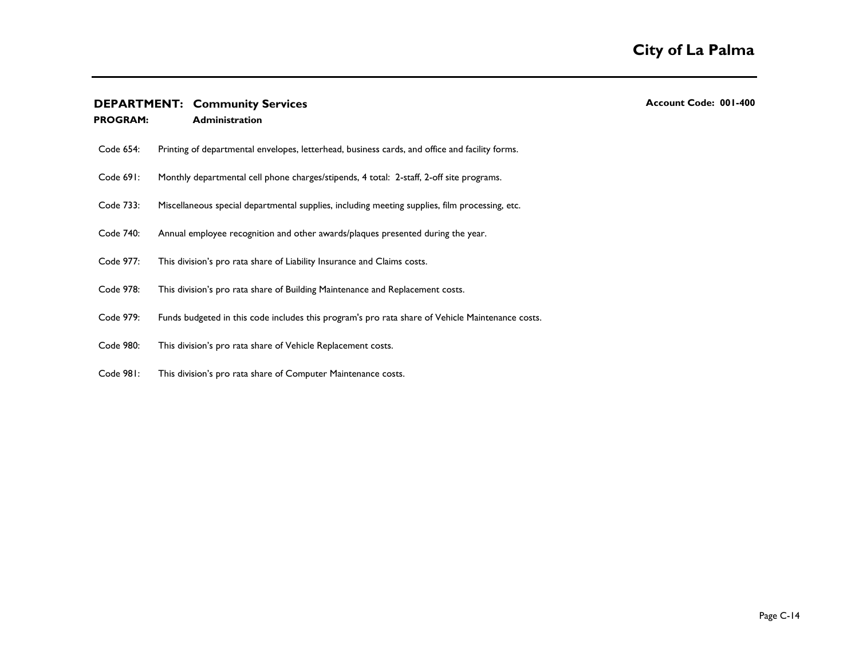| <b>PROGRAM:</b> | <b>Administration</b>                                                                            |
|-----------------|--------------------------------------------------------------------------------------------------|
| Code 654:       | Printing of departmental envelopes, letterhead, business cards, and office and facility forms.   |
| Code 691:       | Monthly departmental cell phone charges/stipends, 4 total: 2-staff, 2-off site programs.         |
| Code 733:       | Miscellaneous special departmental supplies, including meeting supplies, film processing, etc.   |
| Code 740:       | Annual employee recognition and other awards/plaques presented during the year.                  |
| Code 977:       | This division's pro rata share of Liability Insurance and Claims costs.                          |
| Code 978:       | This division's pro rata share of Building Maintenance and Replacement costs.                    |
| Code 979:       | Funds budgeted in this code includes this program's pro rata share of Vehicle Maintenance costs. |
| Code 980:       | This division's pro rata share of Vehicle Replacement costs.                                     |
| Code 981:       | This division's pro rata share of Computer Maintenance costs.                                    |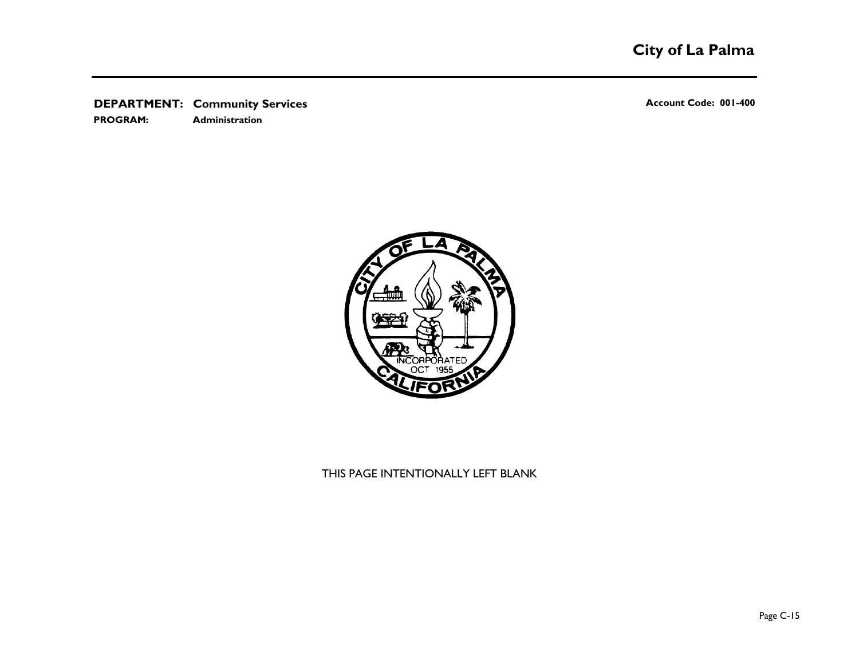**PROGRAM: Administration**



THIS PAGE INTENTIONALLY LEFT BLANK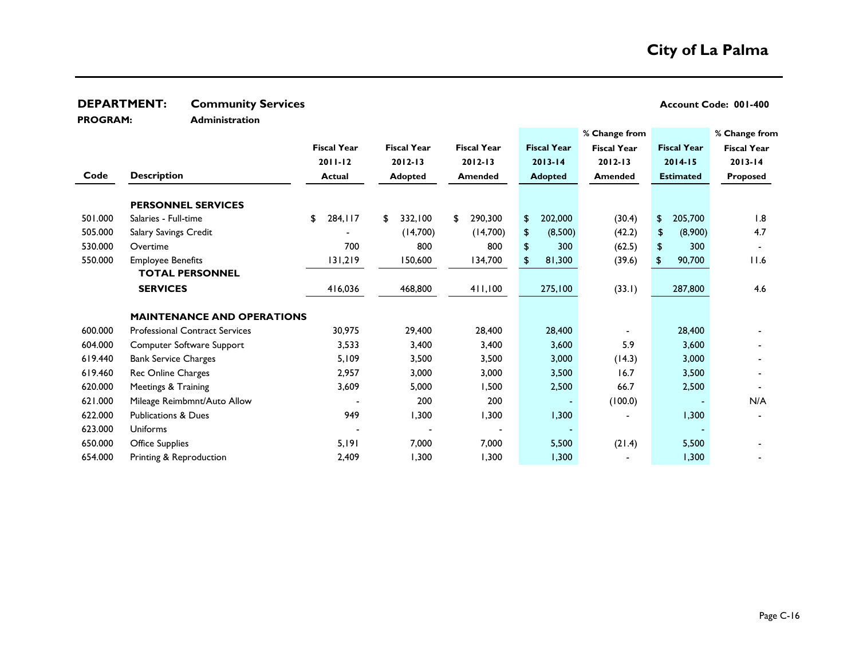**PROGRAM:** 

**Administration**

|         |                                       |                    |                    |                    |                    | % Change from      |                    | % Change from      |
|---------|---------------------------------------|--------------------|--------------------|--------------------|--------------------|--------------------|--------------------|--------------------|
|         |                                       | <b>Fiscal Year</b> | <b>Fiscal Year</b> | <b>Fiscal Year</b> | <b>Fiscal Year</b> | <b>Fiscal Year</b> | <b>Fiscal Year</b> | <b>Fiscal Year</b> |
|         |                                       | $2011 - 12$        | $2012 - 13$        | $2012 - 13$        | $2013 - 14$        | $2012 - 13$        | $2014 - 15$        | $2013 - 14$        |
| Code    | <b>Description</b>                    | <b>Actual</b>      | <b>Adopted</b>     | Amended            | <b>Adopted</b>     | <b>Amended</b>     | <b>Estimated</b>   | Proposed           |
|         | <b>PERSONNEL SERVICES</b>             |                    |                    |                    |                    |                    |                    |                    |
| 501.000 | Salaries - Full-time                  | 284, II7<br>\$     | 332,100<br>\$      | 290,300<br>\$      | 202,000<br>\$      | (30.4)             | 205,700<br>\$      | 1.8                |
| 505.000 | Salary Savings Credit                 |                    | (14,700)           | (14,700)           | (8,500)<br>\$      | (42.2)             | (8,900)<br>\$      | 4.7                |
| 530.000 | Overtime                              | 700                | 800                | 800                | \$<br>300          | (62.5)             | \$<br>300          |                    |
| 550.000 | <b>Employee Benefits</b>              | 131,219            | 150,600            | 134,700            | 81,300<br>\$.      | (39.6)             | 90,700<br>\$.      | 11.6               |
|         | <b>TOTAL PERSONNEL</b>                |                    |                    |                    |                    |                    |                    |                    |
|         | <b>SERVICES</b>                       | 416,036            | 468,800            | 411,100            | 275,100            | (33.1)             | 287,800            | 4.6                |
|         | <b>MAINTENANCE AND OPERATIONS</b>     |                    |                    |                    |                    |                    |                    |                    |
| 600.000 | <b>Professional Contract Services</b> | 30,975             | 29,400             | 28,400             | 28,400             |                    | 28,400             |                    |
| 604.000 | Computer Software Support             | 3,533              | 3,400              | 3,400              | 3,600              | 5.9                | 3,600              |                    |
| 619.440 | <b>Bank Service Charges</b>           | 5,109              | 3,500              | 3,500              | 3,000              | (14.3)             | 3,000              |                    |
| 619.460 | Rec Online Charges                    | 2,957              | 3,000              | 3,000              | 3,500              | 16.7               | 3,500              |                    |
| 620.000 | Meetings & Training                   | 3,609              | 5,000              | 1,500              | 2,500              | 66.7               | 2,500              |                    |
| 621.000 | Mileage Reimbmnt/Auto Allow           |                    | 200                | 200                |                    | (100.0)            |                    | N/A                |
| 622.000 | <b>Publications &amp; Dues</b>        | 949                | 1,300              | 1,300              | 1,300              |                    | 1,300              |                    |
| 623.000 | <b>Uniforms</b>                       |                    |                    |                    |                    |                    |                    |                    |
| 650.000 | <b>Office Supplies</b>                | 5,191              | 7,000              | 7,000              | 5,500              | (21.4)             | 5,500              |                    |
| 654.000 | Printing & Reproduction               | 2,409              | 1,300              | 1,300              | 1,300              |                    | 1,300              |                    |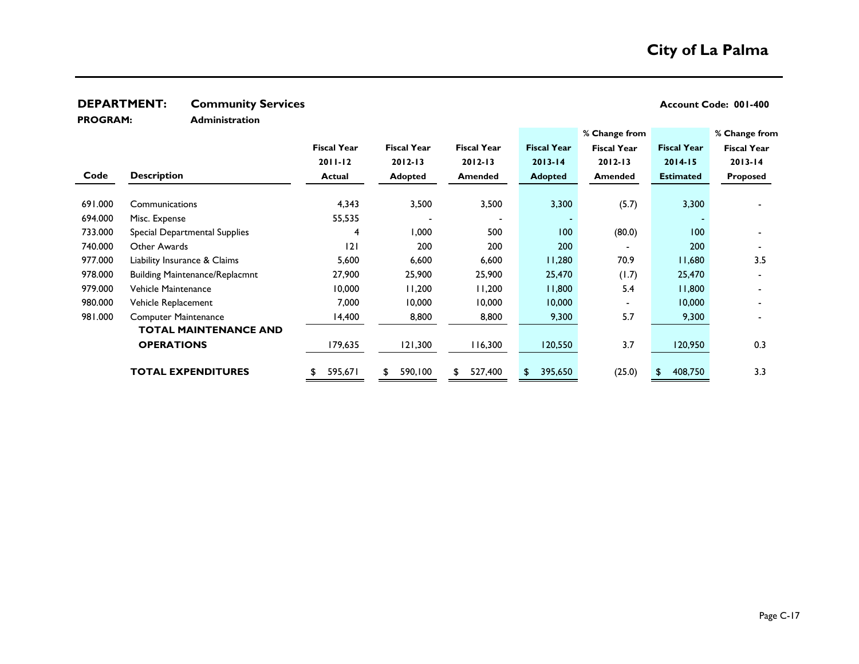**PROGRAM:** 

**Administration**

|         |                                       |                    |                    |                    |                    | % Change from      |                    | % Change from      |
|---------|---------------------------------------|--------------------|--------------------|--------------------|--------------------|--------------------|--------------------|--------------------|
|         |                                       | <b>Fiscal Year</b> | <b>Fiscal Year</b> | <b>Fiscal Year</b> | <b>Fiscal Year</b> | <b>Fiscal Year</b> | <b>Fiscal Year</b> | <b>Fiscal Year</b> |
|         |                                       | $2011 - 12$        | $2012 - 13$        | $2012 - 13$        | $2013 - 14$        | $2012 - 13$        | $2014 - 15$        | $2013 - 14$        |
| Code    | <b>Description</b>                    | <b>Actual</b>      | <b>Adopted</b>     | <b>Amended</b>     | <b>Adopted</b>     | <b>Amended</b>     | <b>Estimated</b>   | Proposed           |
|         |                                       |                    |                    |                    |                    |                    |                    |                    |
| 691.000 | Communications                        | 4,343              | 3,500              | 3,500              | 3,300              | (5.7)              | 3,300              |                    |
| 694.000 | Misc. Expense                         | 55,535             |                    |                    |                    |                    |                    |                    |
| 733.000 | Special Departmental Supplies         | 4                  | 1,000              | 500                | 100                | (80.0)             | 100                |                    |
| 740.000 | Other Awards                          | 2                  | 200                | 200                | 200                |                    | 200                |                    |
| 977.000 | Liability Insurance & Claims          | 5,600              | 6,600              | 6,600              | 11,280             | 70.9               | 11,680             | 3.5                |
| 978.000 | <b>Building Maintenance/Replacmnt</b> | 27,900             | 25,900             | 25,900             | 25,470             | (1.7)              | 25,470             |                    |
| 979.000 | Vehicle Maintenance                   | 10,000             | 11,200             | 11,200             | 11,800             | 5.4                | 11,800             |                    |
| 980.000 | Vehicle Replacement                   | 7,000              | 10,000             | 10,000             | 10,000             |                    | 10,000             |                    |
| 981.000 | <b>Computer Maintenance</b>           | 14,400             | 8,800              | 8,800              | 9,300              | 5.7                | 9,300              |                    |
|         | <b>TOTAL MAINTENANCE AND</b>          |                    |                    |                    |                    |                    |                    |                    |
|         | <b>OPERATIONS</b>                     | 179,635            | 121,300            | 116,300            | 120,550            | 3.7                | 120,950            | 0.3                |
|         |                                       |                    |                    |                    |                    |                    |                    |                    |
|         | <b>TOTAL EXPENDITURES</b>             | 595,671<br>S       | 590,100            | 527,400<br>\$      | 395,650<br>\$      | (25.0)             | 408,750            | 3.3                |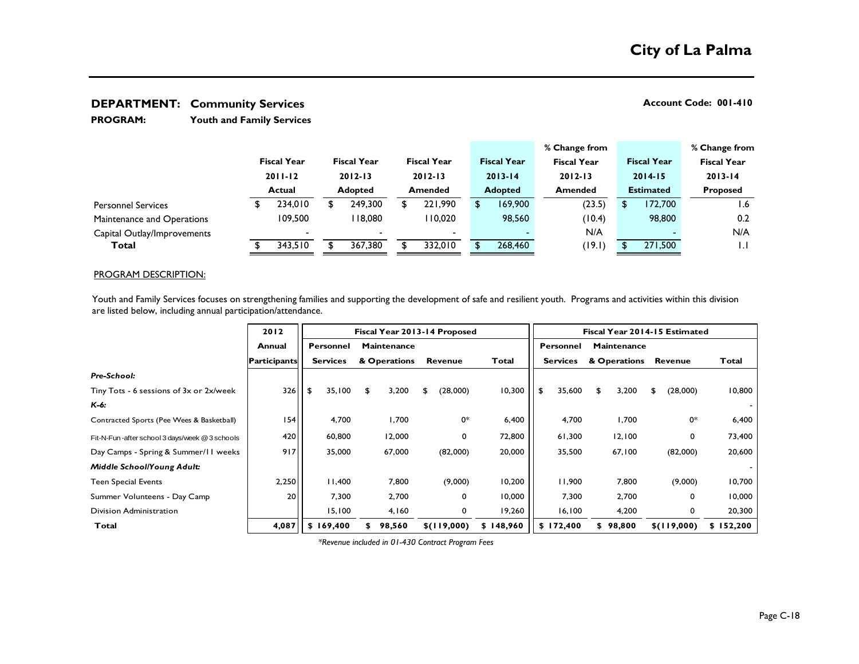**Youth and Family Services PROGRAM:** 

|                             |                              |                          |                               |                          |                |                                   |                |                    |                    | % Change from |                  |                    |                 | % Change from      |
|-----------------------------|------------------------------|--------------------------|-------------------------------|--------------------------|----------------|-----------------------------------|----------------|--------------------|--------------------|---------------|------------------|--------------------|-----------------|--------------------|
|                             |                              | <b>Fiscal Year</b>       |                               | <b>Fiscal Year</b>       |                | <b>Fiscal Year</b><br>$2012 - 13$ |                | <b>Fiscal Year</b> | <b>Fiscal Year</b> |               |                  | <b>Fiscal Year</b> |                 | <b>Fiscal Year</b> |
|                             | $2011 - 12$<br><b>Actual</b> |                          | $2012 - 13$<br><b>Adopted</b> |                          |                |                                   |                | $2013 - 14$        |                    | $2012 - 13$   |                  | $2014 - 15$        |                 | $2013 - 14$        |
|                             |                              |                          |                               |                          | <b>Amended</b> |                                   | <b>Adopted</b> |                    | <b>Amended</b>     |               | <b>Estimated</b> |                    | <b>Proposed</b> |                    |
| <b>Personnel Services</b>   |                              | 234,010                  |                               | 249,300                  |                | 221.990                           |                | 169,900            |                    | (23.5)        | S                | 172.700            |                 | l.6                |
| Maintenance and Operations  |                              | 109.500                  |                               | 18,080                   |                | 110,020                           |                | 98,560             |                    | (10.4)        |                  | 98,800             |                 | 0.2                |
| Capital Outlay/Improvements |                              | $\overline{\phantom{0}}$ |                               | $\overline{\phantom{0}}$ |                | $\overline{\phantom{a}}$          |                |                    |                    | N/A           |                  |                    |                 | N/A                |
| Total                       |                              | 343,510                  |                               | 367,380                  |                | 332,010                           |                | 268,460            |                    | (19.1)        |                  | 271,500            |                 | L.                 |

### PROGRAM DESCRIPTION:

Youth and Family Services focuses on strengthening families and supporting the development of safe and resilient youth. Programs and activities within this division are listed below, including annual participation/attendance.

|                                                | 2012                |                 | Fiscal Year 2013-14 Proposed                      |             |           | Fiscal Year 2014-15 Estimated |                    |                |               |  |  |
|------------------------------------------------|---------------------|-----------------|---------------------------------------------------|-------------|-----------|-------------------------------|--------------------|----------------|---------------|--|--|
|                                                | Annual              | Personnel       | <b>Maintenance</b>                                |             |           | <b>Personnel</b>              | <b>Maintenance</b> |                |               |  |  |
|                                                | <b>Participants</b> | <b>Services</b> | & Operations                                      | Revenue     | Total     | <b>Services</b>               | & Operations       | <b>Revenue</b> | Total         |  |  |
| Pre-School:                                    |                     |                 |                                                   |             |           |                               |                    |                |               |  |  |
| Tiny Tots - 6 sessions of 3x or 2x/week        | 326                 | 35,100<br>- \$  | 3,200<br>\$                                       | (28,000)    | 10,300    | 35,600<br>\$                  | 3,200<br>\$        | (28,000)<br>£. | 10,800        |  |  |
| $K-6:$                                         |                     |                 |                                                   |             |           |                               |                    |                |               |  |  |
| Contracted Sports (Pee Wees & Basketball)      | 54                  | 4,700           | 1,700                                             | 0*          | 6,400     | 4,700                         | 1,700              | 0*             | 6,400         |  |  |
| Fit-N-Fun-after school 3 days/week @ 3 schools | 420                 | 60,800          | 12,000                                            | 0           | 72,800    | 61,300                        | 12,100             | 0              | 73,400        |  |  |
| Day Camps - Spring & Summer/II weeks           | 917                 | 35,000          | 67,000                                            | (82,000)    | 20,000    | 35,500                        | 67,100             | (82,000)       | 20,600        |  |  |
| Middle School/Young Adult:                     |                     |                 |                                                   |             |           |                               |                    |                |               |  |  |
| <b>Teen Special Events</b>                     | 2,250               | 11,400          | 7,800                                             | (9,000)     | 10,200    | 11,900                        | 7,800              | (9,000)        | 10,700        |  |  |
| Summer Volunteens - Day Camp                   | 20                  | 7,300           | 2,700                                             | 0           | 10,000    | 7,300                         | 2,700              | 0              | 10,000        |  |  |
| Division Administration                        |                     | 15,100          | 4,160                                             | 0           | 19,260    | 16, 100                       | 4,200              | 0              | 20,300        |  |  |
| Total                                          | 4,087               | \$169,400       | 98,560<br>S.                                      | \$(119,000) | \$148,960 | \$172,400                     | \$98,800           | \$(119,000)    | 152,200<br>S. |  |  |
|                                                |                     |                 | *Revenue included in 01-430 Contract Program Fees |             |           |                               |                    |                |               |  |  |

*\*Revenue included in 01-430 Contract Program Fees*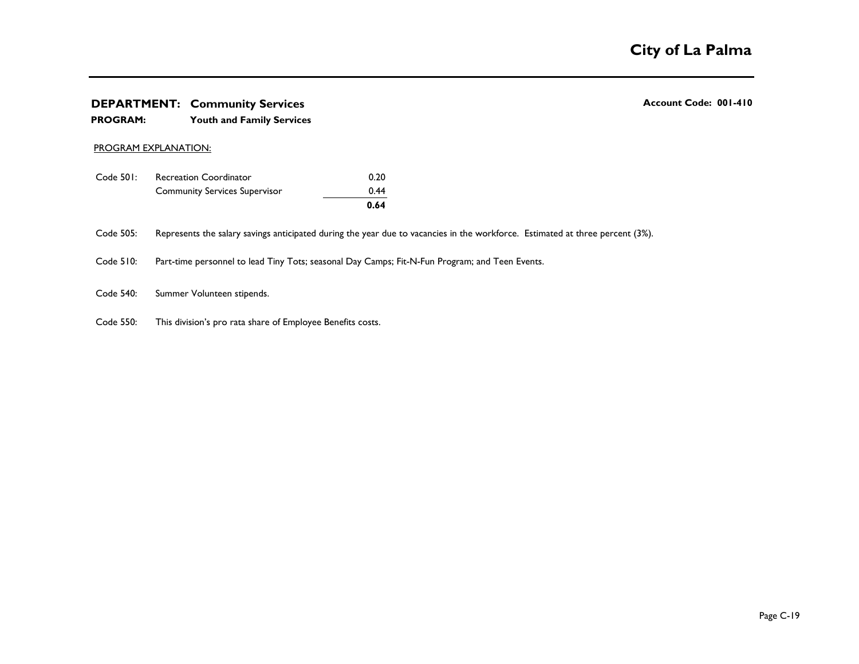# **DEPARTMENT:** Community Services **Account Code: 001-410 Account Code: 001-410 The City of La Palma**<br> **EPARTMENT: Community Services**<br>
PROGRAM: Youth and Family Services<br>
PROGRAM: Youth and Family Services

### **PROGRAM: Youth and Family Services**

### PROGRAM EXPLANATION:

|           |                                      | 0.64 |
|-----------|--------------------------------------|------|
|           | <b>Community Services Supervisor</b> | 0.44 |
| Code 501: | <b>Recreation Coordinator</b>        | 0.20 |

Code 505: Represents the salary savings anticipated during the year due to vacancies in the workforce. Estimated at three percent (3%).

Summer Volunteens - Day Camp 20 7,300 2,700 0 10,000 7,300 2,700 0 10,000

Code 510: Part-time personnel to lead Tiny Tots; seasonal Day Camps; Fit-N-Fun Program; and Teen Events.

Code 540: Summer Volunteen stipends.

Code 550: This division's pro rata share of Employee Benefits costs.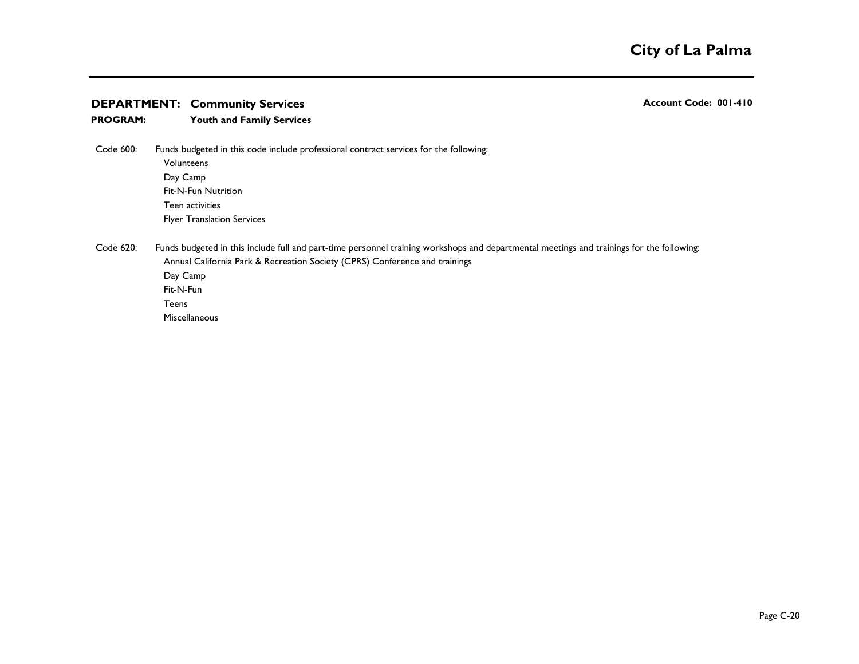### **PROGRAM: Youth and Family Services**

Code 600:  ${\sf Volume}$ Day Camp Fit-N-Fun Nutrition Teen activities Funds budgeted in this code include professional contract services for the following:

Flyer Translation Services

Code 620: Annual California Park & Recreation Society (CPRS) Conference and trainings Day Camp 300 Fit-N-Fun 600 and 200 and 200 and 200 and 200 and 200 and 200 and 200 and 200 and 200 and 200 and 200 and 200 Teens 2008 and 2008 and 2008 and 2008 and 2008 and 2008 and 2008 and 2008 and 2008 and 2008 and 2008 and 2008 **Miscellaneous** Funds budgeted in this include full and part-time personnel training workshops and departmental meetings and trainings for the following: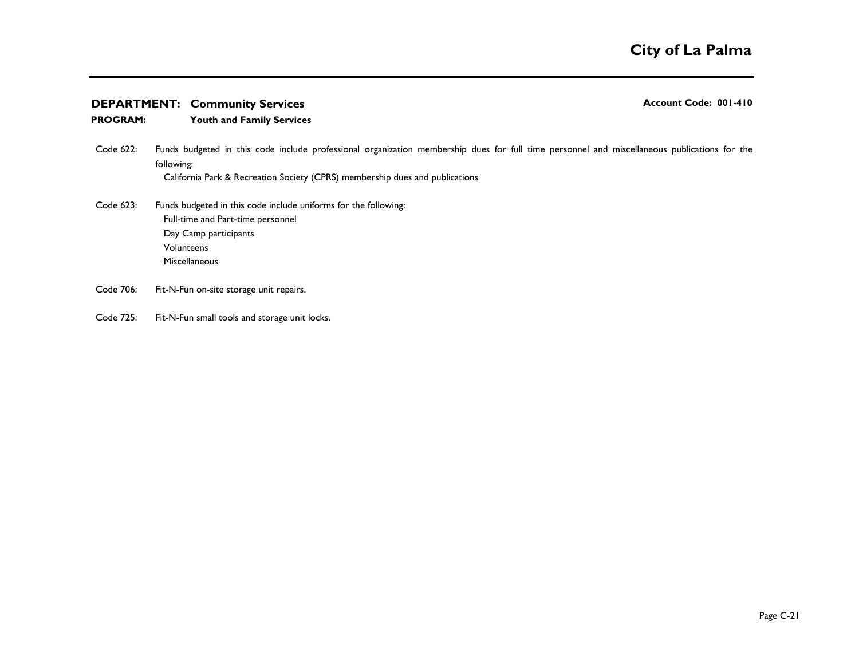### **PROGRAM: Youth and Family Services**

- Code 622: California Park & Recreation Society (CPRS) membership dues and publications Funds budgeted in this code include professional organization membership dues for full time personnel and miscellaneous publications for the following:
- Code 623: Full-time and Part-time personnel Day Camp participants Volunteens 500 Miscellaneous Funds budgeted in this code include uniforms for the following:
- Code 706: Fit-N-Fun on-site storage unit repairs.
- Code 725: Fit-N-Fun small tools and storage unit locks.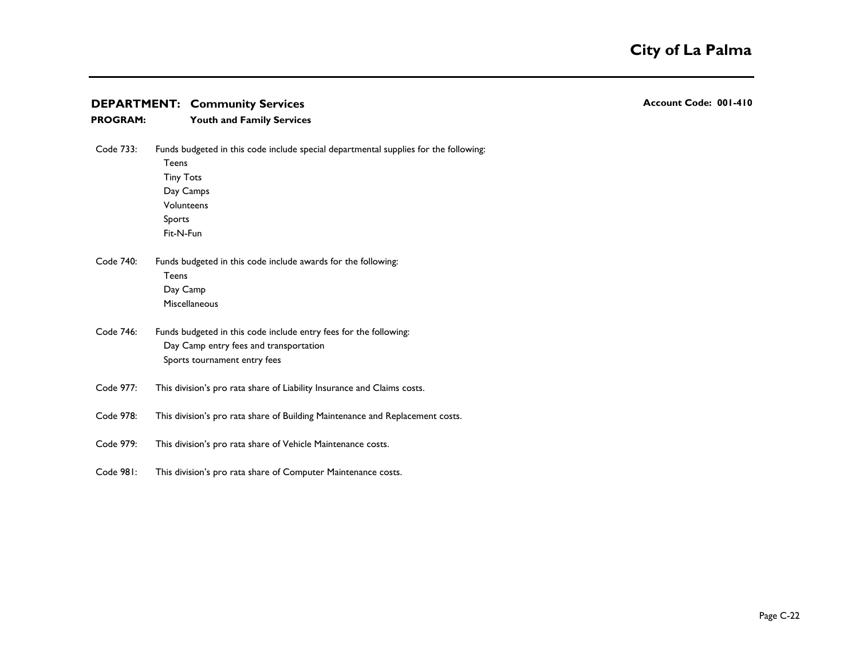| <b>PROGRAM:</b> | <b>Youth and Family Services</b>                                                                                                                                           |
|-----------------|----------------------------------------------------------------------------------------------------------------------------------------------------------------------------|
| Code 733:       | Funds budgeted in this code include special departmental supplies for the following:<br><b>Teens</b><br><b>Tiny Tots</b><br>Day Camps<br>Volunteens<br>Sports<br>Fit-N-Fun |
| Code 740:       | Funds budgeted in this code include awards for the following:<br>Teens<br>Day Camp<br>Miscellaneous                                                                        |
| Code 746:       | Funds budgeted in this code include entry fees for the following:<br>Day Camp entry fees and transportation<br>Sports tournament entry fees                                |
| Code 977:       | This division's pro rata share of Liability Insurance and Claims costs.                                                                                                    |
| Code 978:       | This division's pro rata share of Building Maintenance and Replacement costs.                                                                                              |
| Code 979:       | This division's pro rata share of Vehicle Maintenance costs.                                                                                                               |

*Middle School/Young Adult:* - Code 981: This division's pro rata share of Computer Maintenance costs. **This division's pro rata share of Computer Maintenance costs.**<br> **Example 2020 Example 2020 Example 2020 Example 2020 Example 2020 Example 2020 Example 2020 Example 2020 Example 2020 Example 2020 Exampl**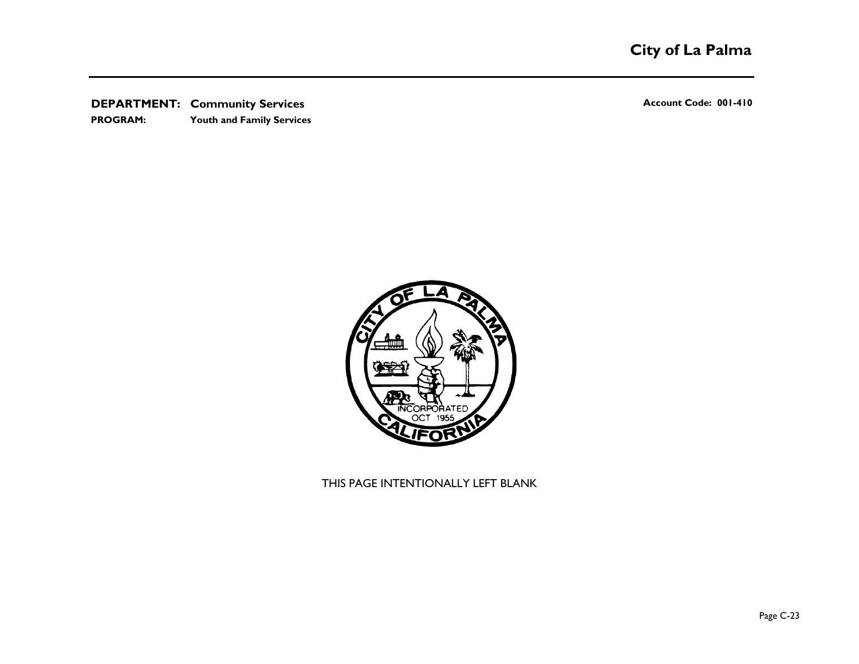**PROGRAM: Youth and Family Services**



THIS PAGE INTENTIONALLY LEFT BLANK  $\begin{aligned} \text{THIS PAGE INTENTIONALLY LEFT BLANK} \end{aligned}$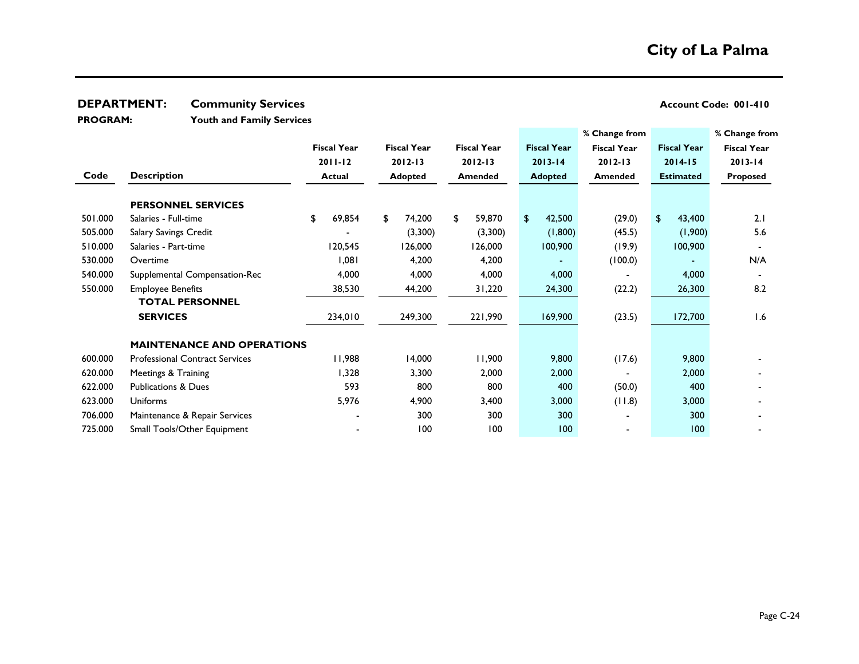**PROGRAM:** 

**Youth and Family Services**

|         |                                       |                    |                                          |                |                    | % Change from      |                    | % Change from      |
|---------|---------------------------------------|--------------------|------------------------------------------|----------------|--------------------|--------------------|--------------------|--------------------|
|         |                                       | <b>Fiscal Year</b> | <b>Fiscal Year</b><br><b>Fiscal Year</b> |                | <b>Fiscal Year</b> | <b>Fiscal Year</b> | <b>Fiscal Year</b> | <b>Fiscal Year</b> |
|         |                                       | $2011 - 12$        | $2012 - 13$                              | $2012 - 13$    | $2013 - 14$        | $2012 - 13$        | $2014 - 15$        | $2013 - 14$        |
| Code    | <b>Description</b>                    | <b>Actual</b>      | <b>Adopted</b>                           | <b>Amended</b> | <b>Adopted</b>     | <b>Amended</b>     | <b>Estimated</b>   | Proposed           |
|         | <b>PERSONNEL SERVICES</b>             |                    |                                          |                |                    |                    |                    |                    |
| 501.000 | Salaries - Full-time                  | 69,854<br>\$       | 74,200<br>\$                             | \$<br>59,870   | 42,500<br>\$       | (29.0)             | 43,400<br>\$       | 2.1                |
| 505.000 | Salary Savings Credit                 |                    | (3,300)                                  | (3,300)        | (1,800)            | (45.5)             | (1,900)            | 5.6                |
| 510.000 | Salaries - Part-time                  | 120,545            | 126,000                                  | 126,000        | 100,900            | (19.9)             | 100,900            |                    |
| 530.000 | Overtime                              | 1,081              | 4,200                                    | 4,200          |                    | (100.0)            |                    | N/A                |
| 540.000 | Supplemental Compensation-Rec         | 4,000              | 4,000                                    | 4,000          | 4,000              |                    | 4,000              |                    |
| 550.000 | <b>Employee Benefits</b>              | 38,530             | 44,200                                   | 31,220         | 24,300             | (22.2)             | 26,300             | 8.2                |
|         | <b>TOTAL PERSONNEL</b>                |                    |                                          |                |                    |                    |                    |                    |
|         | <b>SERVICES</b>                       | 234,010            | 249,300                                  | 221,990        | 169,900            | (23.5)             | 172,700            | 1.6                |
|         | <b>MAINTENANCE AND OPERATIONS</b>     |                    |                                          |                |                    |                    |                    |                    |
| 600.000 | <b>Professional Contract Services</b> | 11,988             | 14,000                                   | 11,900         | 9,800              | (17.6)             | 9,800              |                    |
| 620.000 | Meetings & Training                   | 1,328              | 3,300                                    | 2,000          | 2,000              |                    | 2,000              |                    |
| 622.000 | <b>Publications &amp; Dues</b>        | 593                | 800                                      | 800            | 400                | (50.0)             | 400                |                    |
| 623.000 | Uniforms                              | 5,976              | 4,900                                    | 3,400          | 3,000              | (11.8)             | 3,000              |                    |
| 706.000 | Maintenance & Repair Services         |                    | 300                                      | 300            | 300                |                    | 300                |                    |
| 725.000 | Small Tools/Other Equipment           |                    | 100                                      | 100            | 100                |                    | 100                |                    |
|         |                                       |                    |                                          |                |                    |                    |                    |                    |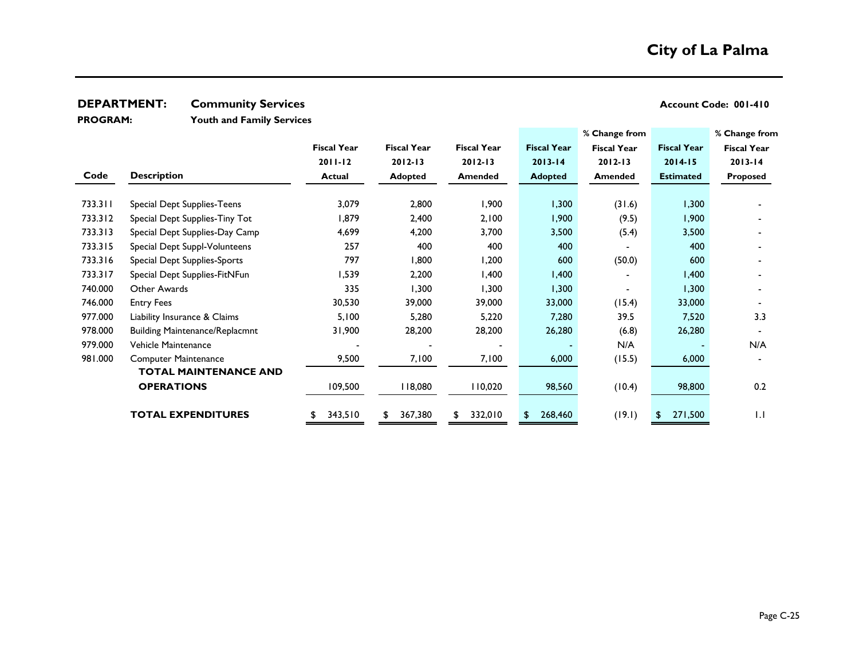**Youth and Family Services PROGRAM:** 

|         |                                       |                    |                    |                    |                    | % Change from      |                    | % Change from      |
|---------|---------------------------------------|--------------------|--------------------|--------------------|--------------------|--------------------|--------------------|--------------------|
|         |                                       | <b>Fiscal Year</b> | <b>Fiscal Year</b> | <b>Fiscal Year</b> | <b>Fiscal Year</b> | <b>Fiscal Year</b> | <b>Fiscal Year</b> | <b>Fiscal Year</b> |
|         |                                       | $2011 - 12$        | $2012 - 13$        | $2012 - 13$        | $2013 - 14$        | $2012 - 13$        | $2014 - 15$        | $2013 - 14$        |
| Code    | <b>Description</b>                    | <b>Actual</b>      | <b>Adopted</b>     | Amended            | <b>Adopted</b>     | <b>Amended</b>     | <b>Estimated</b>   | Proposed           |
|         |                                       |                    |                    |                    |                    |                    |                    |                    |
| 733.311 | Special Dept Supplies-Teens           | 3,079              | 2,800              | 1,900              | 1,300              | (31.6)             | 1,300              |                    |
| 733.312 | Special Dept Supplies-Tiny Tot        | 1,879              | 2,400              | 2,100              | 1,900              | (9.5)              | 1,900              |                    |
| 733.313 | Special Dept Supplies-Day Camp        | 4,699              | 4,200              | 3,700              | 3,500              | (5.4)              | 3,500              |                    |
| 733.315 | Special Dept Suppl-Volunteens         | 257                | 400                | 400                | 400                |                    | 400                |                    |
| 733.316 | Special Dept Supplies-Sports          | 797                | 1,800              | 1,200              | 600                | (50.0)             | 600                |                    |
| 733.317 | Special Dept Supplies-FitNFun         | 1,539              | 2,200              | 1,400              | 1,400              |                    | 1,400              |                    |
| 740.000 | Other Awards                          | 335                | 1,300              | 1,300              | 1,300              |                    | 1,300              |                    |
| 746.000 | <b>Entry Fees</b>                     | 30,530             | 39,000             | 39,000             | 33,000             | (15.4)             | 33,000             |                    |
| 977.000 | Liability Insurance & Claims          | 5,100              | 5,280              | 5,220              | 7,280              | 39.5               | 7,520              | 3.3                |
| 978.000 | <b>Building Maintenance/Replacmnt</b> | 31,900             | 28,200             | 28,200             | 26,280             | (6.8)              | 26,280             |                    |
| 979.000 | Vehicle Maintenance                   |                    |                    |                    |                    | N/A                |                    | N/A                |
| 981.000 | <b>Computer Maintenance</b>           | 9,500              | 7,100              | 7,100              | 6,000              | (15.5)             | 6,000              |                    |
|         | <b>TOTAL MAINTENANCE AND</b>          |                    |                    |                    |                    |                    |                    |                    |
|         | <b>OPERATIONS</b>                     | 109,500            | 118,080            | 110,020            | 98,560             | (10.4)             | 98,800             | 0.2                |
|         |                                       |                    |                    |                    |                    |                    |                    |                    |
|         | <b>TOTAL EXPENDITURES</b>             | 343,510<br>\$      | 367,380            | 332,010<br>\$      | 268,460<br>\$      | (19.1)             | 271,500<br>£.      | IJ                 |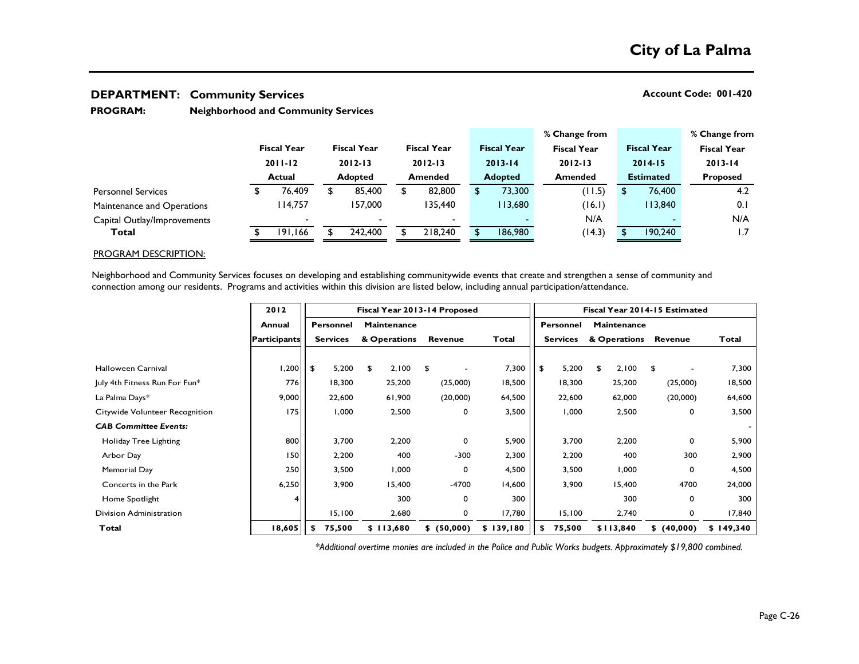### **Neighborhood and Community Services PROGRAM:**

|                             |                                                    |         |                                   |                          |                    |                |             |                    | % Change from      |                             |                    |             |  | % Change from      |
|-----------------------------|----------------------------------------------------|---------|-----------------------------------|--------------------------|--------------------|----------------|-------------|--------------------|--------------------|-----------------------------|--------------------|-------------|--|--------------------|
|                             | <b>Fiscal Year</b><br>$2011 - 12$<br><b>Actual</b> |         | <b>Fiscal Year</b><br>$2012 - 13$ |                          | <b>Fiscal Year</b> |                |             | <b>Fiscal Year</b> | <b>Fiscal Year</b> |                             | <b>Fiscal Year</b> |             |  | <b>Fiscal Year</b> |
|                             |                                                    |         |                                   |                          | $2012 - 13$        |                | $2013 - 14$ | $2012 - 13$        |                    | $2014 - 15$                 |                    | $2013 - 14$ |  |                    |
|                             |                                                    |         |                                   | <b>Adopted</b>           |                    | <b>Amended</b> |             | <b>Adopted</b>     |                    | <b>Estimated</b><br>Amended |                    |             |  | <b>Proposed</b>    |
| <b>Personnel Services</b>   |                                                    | 76.409  |                                   | 85,400                   |                    | 82,800         |             | 73,300             |                    | (11.5)                      |                    | 76,400      |  | 4.2                |
| Maintenance and Operations  |                                                    | 114.757 |                                   | 157,000                  |                    | 135,440        |             | 13,680             |                    | (16.1)                      |                    | 13,840      |  | 0.1                |
| Capital Outlay/Improvements |                                                    |         |                                   | $\overline{\phantom{0}}$ |                    |                |             |                    |                    | N/A                         |                    |             |  | N/A                |
| Total                       |                                                    | 191,166 |                                   | 242,400                  |                    | 218,240        |             | 186,980            |                    | (14.3)                      |                    | 190,240     |  | 1.7                |

### PROGRAM DESCRIPTION:

Neighborhood and Community Services focuses on developing and establishing communitywide events that create and strengthen a sense of community and connection among our residents. Programs and activities within this division are listed below, including annual participation/attendance.

|                                | 2012                | Fiscal Year 2013-14 Proposed |                                        |              |           |                |           |    | Fiscal Year 2014-15 Estimated |    |              |                |           |  |
|--------------------------------|---------------------|------------------------------|----------------------------------------|--------------|-----------|----------------|-----------|----|-------------------------------|----|--------------|----------------|-----------|--|
|                                | Annual              |                              | <b>Maintenance</b><br><b>Personnel</b> |              |           |                | Personnel |    | Maintenance                   |    |              |                |           |  |
|                                | <b>Participants</b> |                              | <b>Services</b>                        | & Operations |           | <b>Revenue</b> | Total     |    | <b>Services</b>               |    | & Operations | <b>Revenue</b> | Total     |  |
|                                |                     |                              |                                        |              |           |                |           |    |                               |    |              |                |           |  |
| Halloween Carnival             | 1,200               | l \$                         | 5,200                                  | £.           | 2,100     | \$             | 7,300     | \$ | 5,200                         | \$ | 2,100        | \$             | 7,300     |  |
| July 4th Fitness Run For Fun*  | 776 <sub>l</sub>    |                              | 18,300                                 |              | 25,200    | (25,000)       | 18,500    |    | 18,300                        |    | 25,200       | (25,000)       | 18,500    |  |
| La Palma Days*                 | 9,000               |                              | 22,600                                 |              | 61,900    | (20,000)       | 64,500    |    | 22,600                        |    | 62,000       | (20,000)       | 64,600    |  |
| Citywide Volunteer Recognition | 175                 |                              | 1,000                                  |              | 2,500     | 0              | 3,500     |    | 1,000                         |    | 2,500        | 0              | 3,500     |  |
| <b>CAB Committee Events:</b>   |                     |                              |                                        |              |           |                |           |    |                               |    |              |                |           |  |
| Holiday Tree Lighting          | 800                 |                              | 3,700                                  |              | 2,200     | 0              | 5,900     |    | 3,700                         |    | 2,200        | 0              | 5,900     |  |
| Arbor Day                      | 150                 |                              | 2,200                                  |              | 400       | $-300$         | 2,300     |    | 2,200                         |    | 400          | 300            | 2,900     |  |
| Memorial Day                   | 250                 |                              | 3,500                                  |              | 1,000     | 0              | 4,500     |    | 3,500                         |    | 1,000        | 0              | 4,500     |  |
| Concerts in the Park           | 6,250               |                              | 3,900                                  |              | 15,400    | $-4700$        | 14,600    |    | 3,900                         |    | 15,400       | 4700           | 24,000    |  |
| Home Spotlight                 |                     |                              |                                        |              | 300       | 0              | 300       |    |                               |    | 300          | 0              | 300       |  |
| Division Administration        |                     |                              | 15,100                                 |              | 2,680     | 0              | 17,780    |    | 15,100                        |    | 2,740        | 0              | 17,840    |  |
| Total                          | 18,605              | S                            | 75,500                                 |              | \$113,680 | \$ (50,000)    | \$139,180 | S. | 75,500                        |    | \$113,840    | \$ (40,000)    | \$149,340 |  |

*\*Additional overtime monies are included in the Police and Public Works budgets. Approximately \$19,800 combined.*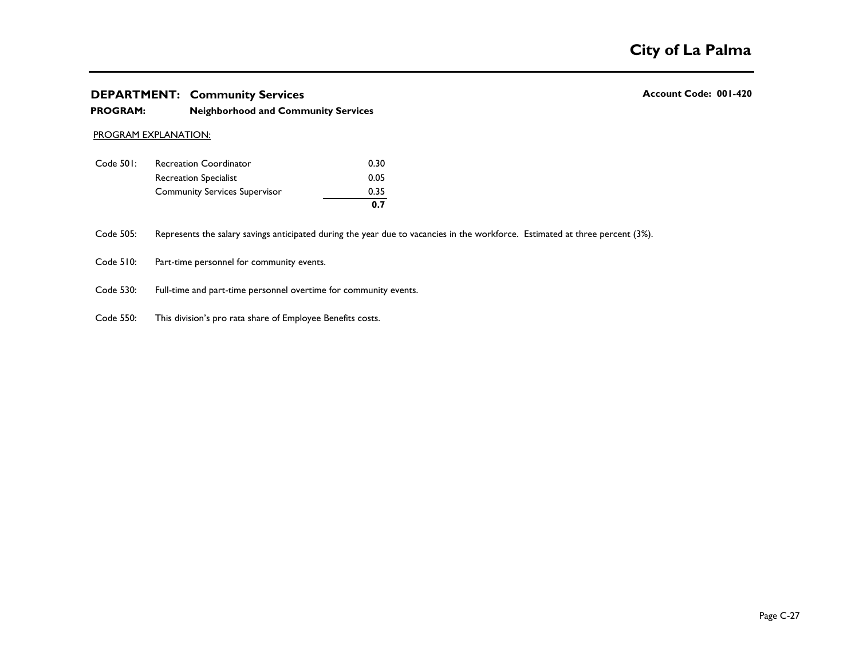# **DEPARTMENT:** Community Services **Account Code: 001-420 Account Code: 001-420 The PARTMENT:**<br> **Total 2006 12,690 12,600 130,000 1420 120,000 1420 1420 1420 1420 1420 1420 1420 1420 1420 1420 1420 1420 1420 1420 1420 1420 1420 14**

## **PROGRAM: Neighborhood and Community Services**

### PROGRAM EXPLANATION:

|           |                                      | 0.7  |
|-----------|--------------------------------------|------|
|           | <b>Community Services Supervisor</b> | 0.35 |
|           | Recreation Specialist                | 0.05 |
| Code 501: | <b>Recreation Coordinator</b>        | 0.30 |

Code 505: Represents the salary savings anticipated during the year due to vacancies in the workforce. Estimated at three percent (3%).

Code 510: Part-time personnel for community events.

- Code 530: Full-time and part-time personnel overtime for community events.
- **Annual Personnel Maintenance Personnel Maintenance** Code 550: This division's pro rata share of Employee Benefits costs.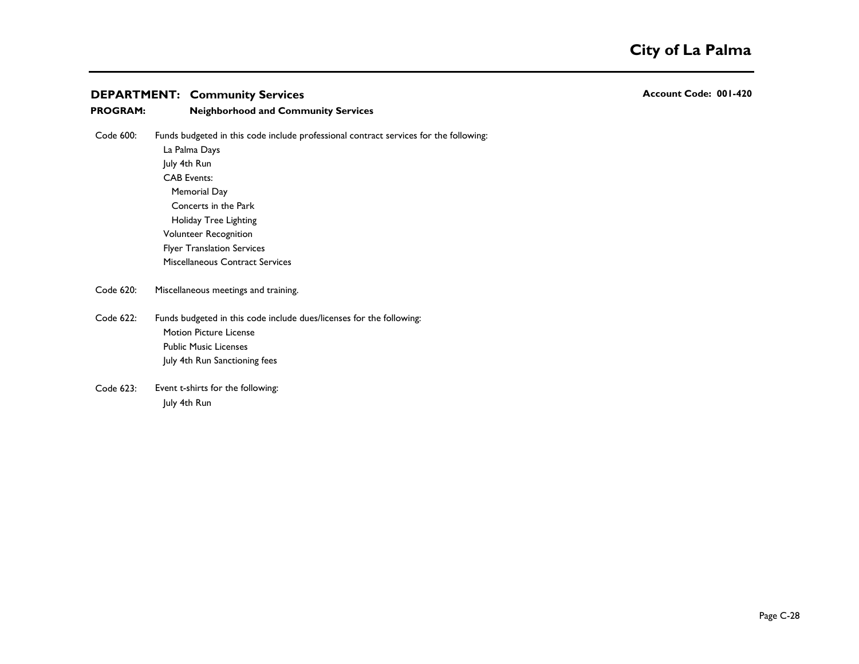| <b>PROGRAM:</b> | <b>Neighborhood and Community Services</b>                                            |
|-----------------|---------------------------------------------------------------------------------------|
| Code 600:       | Funds budgeted in this code include professional contract services for the following: |
|                 | La Palma Days                                                                         |
|                 | July 4th Run                                                                          |
|                 | <b>CAB Events:</b>                                                                    |
|                 | Memorial Day                                                                          |
|                 | Concerts in the Park                                                                  |
|                 | Holiday Tree Lighting                                                                 |
|                 | <b>Volunteer Recognition</b>                                                          |
|                 | <b>Flyer Translation Services</b>                                                     |
|                 | <b>Miscellaneous Contract Services</b>                                                |
| Code 620:       | Miscellaneous meetings and training.                                                  |
| $\sim$ $\sim$   |                                                                                       |

Citywide Volunteer Recognition 175 1,000 2,500 0 3,500 1,000 2,500 0 3,500

**Annual Personnel Maintenance Personnel Maintenance** Funds budgeted in this code include dues/licenses for the following: **Participants Services & Operations Revenue Total Services & Operations Revenue Total**  $\mathcal{F}$ Code 622: **Motion Picture License Public Music Licenses** July 4th Run Sanctioning fees

Code 623: Event t-shirts for the following: **Fig. 2008** 25,200 25,200 25,200 extending the state of the following:  $L_1L_2$  Additional Days 22,600  $R_1$ , 900  $R_2$ Code 623: July 4th Run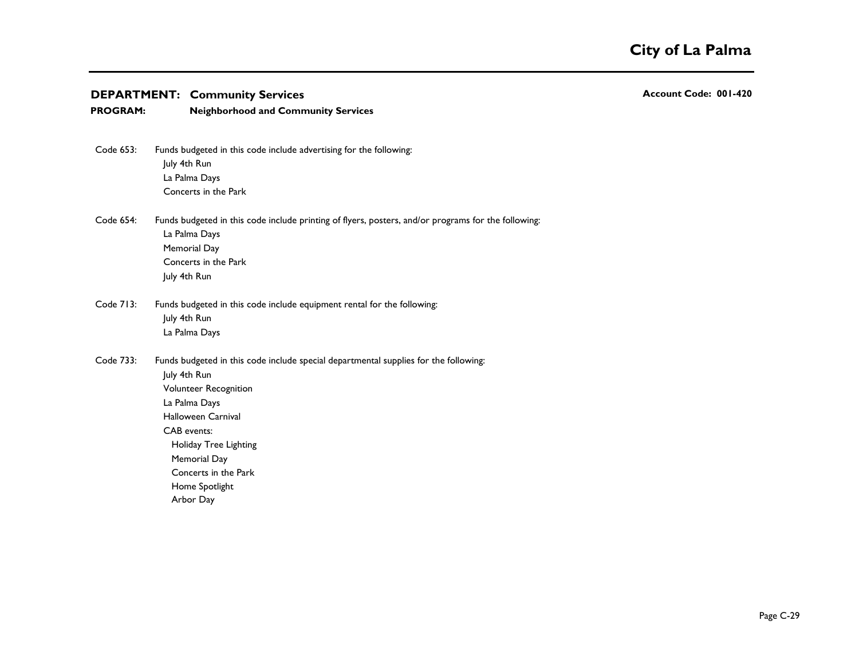| <b>PROGRAM:</b> | <b>Neighborhood and Community Services</b>                                                                                                                                                                                                                                          |
|-----------------|-------------------------------------------------------------------------------------------------------------------------------------------------------------------------------------------------------------------------------------------------------------------------------------|
| Code 653:       | Funds budgeted in this code include advertising for the following:<br>July 4th Run<br>La Palma Days<br>Concerts in the Park                                                                                                                                                         |
| Code 654:       | Funds budgeted in this code include printing of flyers, posters, and/or programs for the following:<br>La Palma Days<br>Memorial Day<br>Concerts in the Park<br>July 4th Run                                                                                                        |
| Code 713:       | Funds budgeted in this code include equipment rental for the following:<br>July 4th Run<br>La Palma Days                                                                                                                                                                            |
| Code 733:       | Funds budgeted in this code include special departmental supplies for the following:<br>July 4th Run<br>Volunteer Recognition<br>La Palma Days<br>Halloween Carnival<br>CAB events:<br>Holiday Tree Lighting<br>Memorial Day<br>Concerts in the Park<br>Home Spotlight<br>Arbor Day |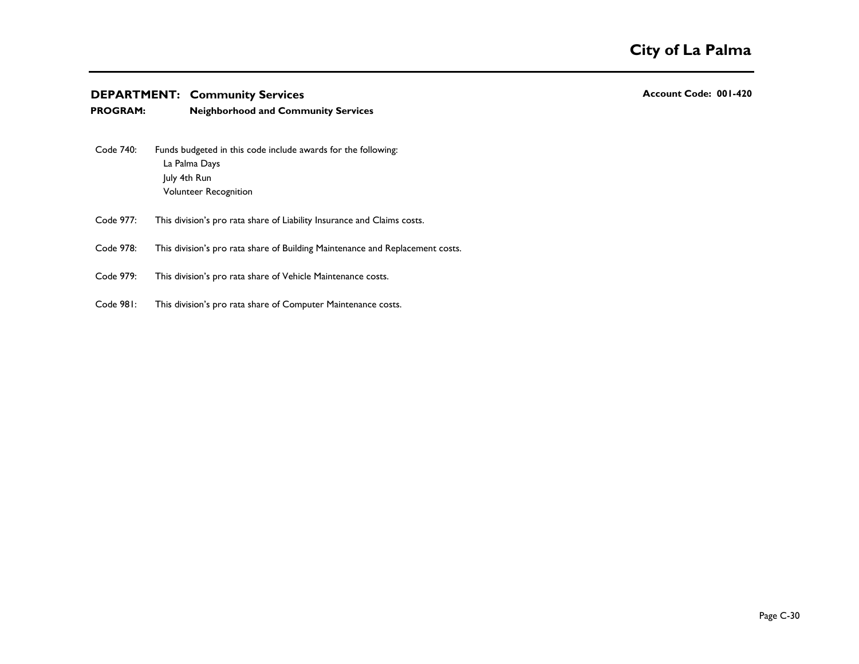| <b>PROGRAM:</b> | <b>Neighborhood and Community Services</b>                                                                              |
|-----------------|-------------------------------------------------------------------------------------------------------------------------|
| Code 740:       | Funds budgeted in this code include awards for the following:<br>La Palma Days<br>July 4th Run<br>Volunteer Recognition |
| Code 977:       | This division's pro rata share of Liability Insurance and Claims costs.                                                 |
| Code 978:       | This division's pro rata share of Building Maintenance and Replacement costs.                                           |
| Code 979:       | This division's pro rata share of Vehicle Maintenance costs.                                                            |
| Code 981:       | This division's pro rata share of Computer Maintenance costs.                                                           |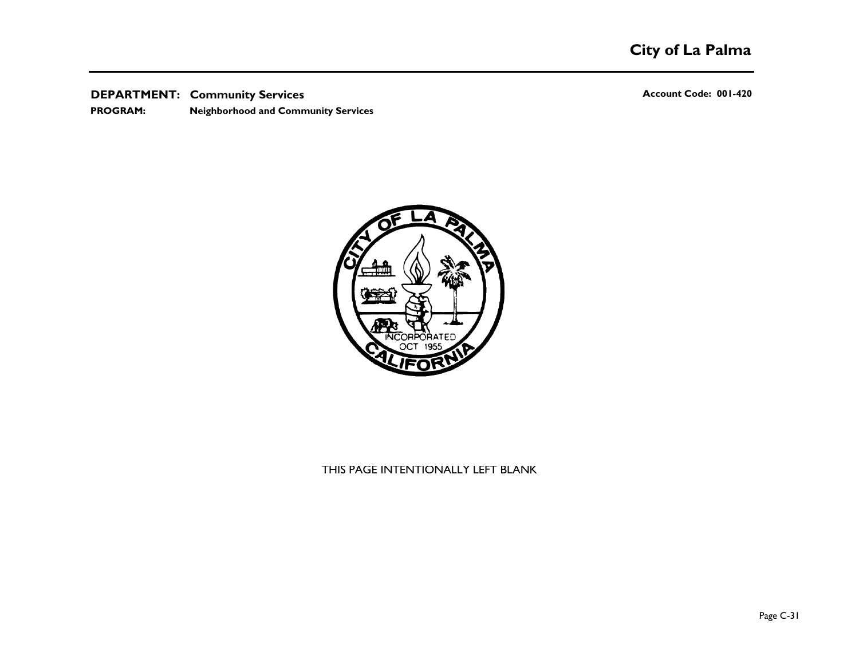**DEPARTMENT:** Community Services **Account Code: 001-420 Account Code: 001-420 PROGRAM: Neighborhood and Community Services**



# THIS PAGE INTENTIONALLY LEFT BLANK **Total 18,605 \$ 75,500 \$ 113,680 \$ (50,000) \$ 139,180 \$ 75,500 \$113,840 \$ (40,000) \$ 149,340**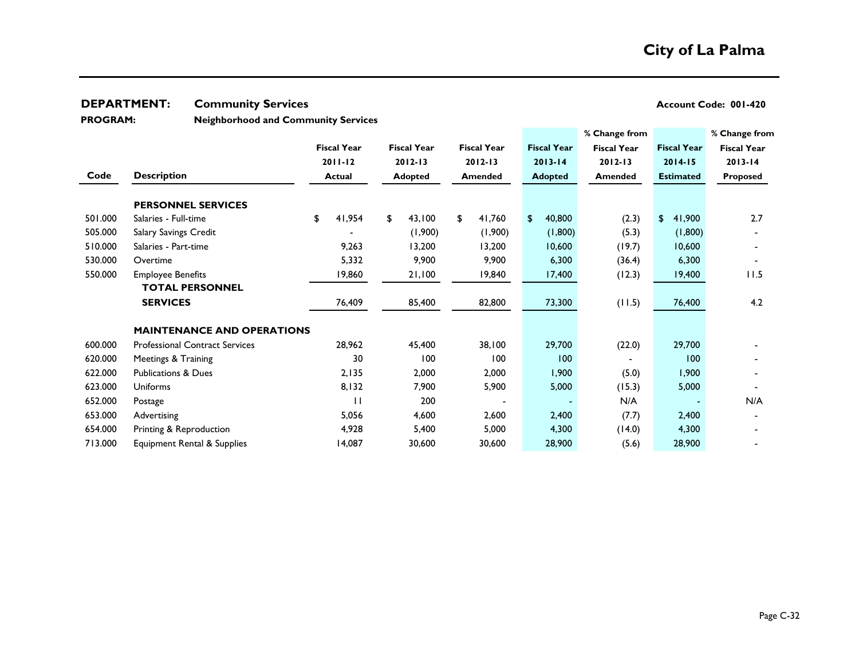**PROGRAM:** 

**Neighborhood and Community Services**

|         |                                       |                               |    |                    |    |                    |                    |                | % Change from      |                    | % Change from      |
|---------|---------------------------------------|-------------------------------|----|--------------------|----|--------------------|--------------------|----------------|--------------------|--------------------|--------------------|
|         |                                       | <b>Fiscal Year</b><br>2011-12 |    | <b>Fiscal Year</b> |    | <b>Fiscal Year</b> | <b>Fiscal Year</b> |                | <b>Fiscal Year</b> | <b>Fiscal Year</b> | <b>Fiscal Year</b> |
|         |                                       |                               |    | $2012 - 13$        |    |                    | $2012 - 13$        | $2013 - 14$    |                    | $2012 - 13$        | $2014 - 15$        |
| Code    | <b>Description</b>                    | <b>Actual</b>                 |    | <b>Adopted</b>     |    | <b>Amended</b>     |                    | <b>Adopted</b> | <b>Amended</b>     | <b>Estimated</b>   | <b>Proposed</b>    |
|         | <b>PERSONNEL SERVICES</b>             |                               |    |                    |    |                    |                    |                |                    |                    |                    |
| 501.000 | Salaries - Full-time                  | \$<br>41,954                  | \$ | 43,100             | \$ | 41,760             | $\mathfrak{L}$     | 40,800         | (2.3)              | \$<br>41,900       | 2.7                |
| 505.000 | Salary Savings Credit                 |                               |    | (1,900)            |    | (1,900)            |                    | (1,800)        | (5.3)              | (1,800)            |                    |
| 510.000 | Salaries - Part-time                  | 9,263                         |    | 13,200             |    | 13,200             |                    | 10,600         | (19.7)             | 10,600             |                    |
| 530.000 | Overtime                              | 5,332                         |    | 9,900              |    | 9,900              |                    | 6,300          | (36.4)             | 6,300              |                    |
| 550.000 | <b>Employee Benefits</b>              | 19,860                        |    | 21,100             |    | 19,840             |                    | 17,400         | (12.3)             | 19,400             | 11.5               |
|         | <b>TOTAL PERSONNEL</b>                |                               |    |                    |    |                    |                    |                |                    |                    |                    |
|         | <b>SERVICES</b>                       | 76,409                        |    | 85,400             |    | 82,800             |                    | 73,300         | (11.5)             | 76,400             | 4.2                |
|         | <b>MAINTENANCE AND OPERATIONS</b>     |                               |    |                    |    |                    |                    |                |                    |                    |                    |
| 600.000 | <b>Professional Contract Services</b> | 28,962                        |    | 45,400             |    | 38,100             |                    | 29,700         | (22.0)             | 29,700             |                    |
| 620.000 | Meetings & Training                   | 30                            |    | 100                |    | 100                |                    | 100            |                    | 100                |                    |
| 622.000 | <b>Publications &amp; Dues</b>        | 2,135                         |    | 2,000              |    | 2,000              |                    | 1,900          | (5.0)              | 1,900              |                    |
| 623.000 | <b>Uniforms</b>                       | 8,132                         |    | 7,900              |    | 5,900              |                    | 5,000          | (15.3)             | 5,000              |                    |
| 652.000 | Postage                               | $\mathsf{L}$                  |    | 200                |    |                    |                    |                | N/A                |                    | N/A                |
| 653.000 | Advertising                           | 5,056                         |    | 4,600              |    | 2,600              |                    | 2,400          | (7.7)              | 2,400              |                    |
| 654.000 | Printing & Reproduction               | 4,928                         |    | 5,400              |    | 5,000              |                    | 4,300          | (14.0)             | 4,300              |                    |
| 713.000 | Equipment Rental & Supplies           | 14,087                        |    | 30,600             |    | 30,600             |                    | 28,900         | (5.6)              | 28,900             |                    |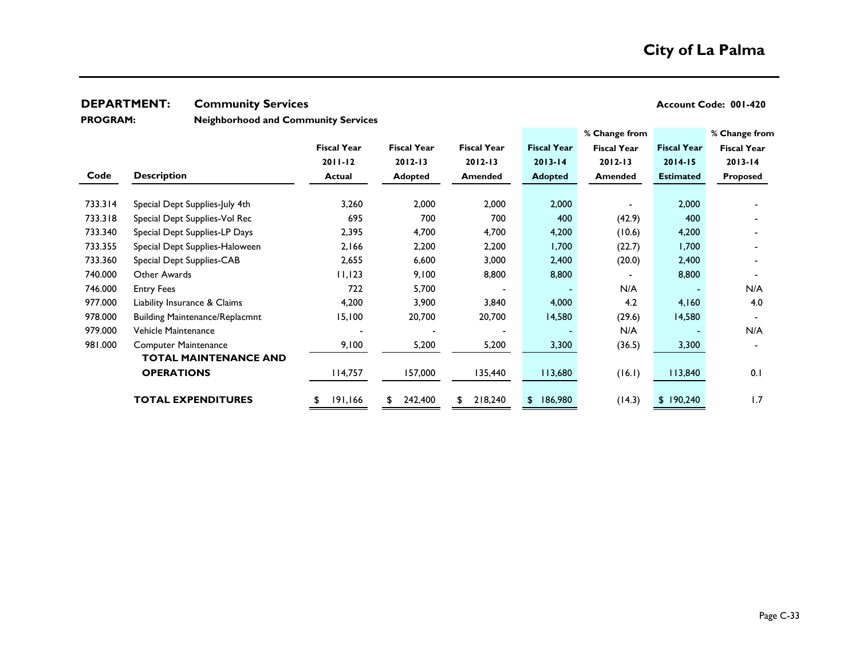**PROGRAM:** 

**Neighborhood and Community Services**

|         |                                       |                    |                    |                    |                    | % Change from      |                    | % Change from      |
|---------|---------------------------------------|--------------------|--------------------|--------------------|--------------------|--------------------|--------------------|--------------------|
|         |                                       | <b>Fiscal Year</b> | <b>Fiscal Year</b> | <b>Fiscal Year</b> | <b>Fiscal Year</b> | <b>Fiscal Year</b> | <b>Fiscal Year</b> | <b>Fiscal Year</b> |
|         |                                       | 2011-12            | $2012 - 13$        | $2012 - 13$        | $2013 - 14$        | $2012 - 13$        | $2014 - 15$        | $2013 - 14$        |
| Code    | <b>Description</b>                    | <b>Actual</b>      | <b>Adopted</b>     | <b>Amended</b>     | <b>Adopted</b>     | <b>Amended</b>     | <b>Estimated</b>   | <b>Proposed</b>    |
|         |                                       |                    |                    |                    |                    |                    |                    |                    |
| 733.314 | Special Dept Supplies-July 4th        | 3,260              | 2,000              | 2,000              | 2,000              |                    | 2,000              |                    |
| 733.318 | Special Dept Supplies-Vol Rec         | 695                | 700                | 700                | 400                | (42.9)             | 400                |                    |
| 733.340 | Special Dept Supplies-LP Days         | 2,395              | 4,700              | 4,700              | 4,200              | (10.6)             | 4,200              |                    |
| 733.355 | Special Dept Supplies-Haloween        | 2,166              | 2,200              | 2,200              | 1,700              | (22.7)             | 1,700              |                    |
| 733.360 | Special Dept Supplies-CAB             | 2,655              | 6,600              | 3,000              | 2,400              | (20.0)             | 2,400              |                    |
| 740.000 | Other Awards                          | 11,123             | 9,100              | 8,800              | 8,800              |                    | 8,800              |                    |
| 746.000 | <b>Entry Fees</b>                     | 722                | 5,700              |                    |                    | N/A                |                    | N/A                |
| 977.000 | Liability Insurance & Claims          | 4,200              | 3,900              | 3,840              | 4,000              | 4.2                | 4,160              | 4.0                |
| 978.000 | <b>Building Maintenance/Replacmnt</b> | 15,100             | 20,700             | 20,700             | 14,580             | (29.6)             | 14,580             | $\blacksquare$     |
| 979.000 | Vehicle Maintenance                   |                    |                    |                    |                    | N/A                |                    | N/A                |
| 981.000 | <b>Computer Maintenance</b>           | 9,100              | 5,200              | 5,200              | 3,300              | (36.5)             | 3,300              |                    |
|         | <b>TOTAL MAINTENANCE AND</b>          |                    |                    |                    |                    |                    |                    |                    |
|         | <b>OPERATIONS</b>                     | 114,757            | 157,000            | 135,440            | 113,680            | (16.1)             | 113,840            | 0.1                |
|         | <b>TOTAL EXPENDITURES</b>             | 191,166<br>\$      | 242,400<br>£       | 218,240            | 186,980<br>\$      | (14.3)             | \$190,240          | 1.7                |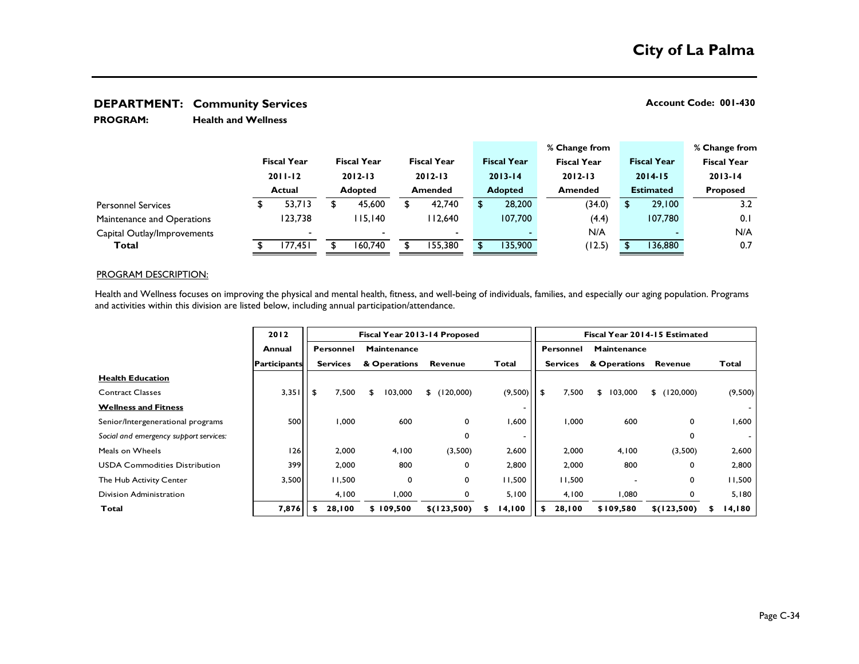**Health and Wellness PROGRAM:** 

|                             |                                             |         |                                                     |                          |        |                          |                               |                    |                    | % Change from |                    |                 | % Change from      |
|-----------------------------|---------------------------------------------|---------|-----------------------------------------------------|--------------------------|--------|--------------------------|-------------------------------|--------------------|--------------------|---------------|--------------------|-----------------|--------------------|
|                             | <b>Fiscal Year</b><br>$2011 - 12$<br>Actual |         | <b>Fiscal Year</b><br>$2012 - 13$<br><b>Adopted</b> |                          |        | <b>Fiscal Year</b>       |                               | <b>Fiscal Year</b> | <b>Fiscal Year</b> |               | <b>Fiscal Year</b> |                 | <b>Fiscal Year</b> |
|                             |                                             |         |                                                     |                          |        | $2012 - 13$              | $2013 - 14$<br><b>Adopted</b> |                    |                    | $2012 - 13$   | $2014 - 15$        |                 | $2013 - 14$        |
|                             |                                             |         |                                                     |                          |        | <b>Amended</b>           |                               |                    | <b>Amended</b>     |               | <b>Estimated</b>   | <b>Proposed</b> |                    |
| <b>Personnel Services</b>   |                                             | 53,713  |                                                     | 45,600                   | 42,740 |                          |                               | 28,200             |                    | (34.0)        | 29,100             |                 | 3.2                |
| Maintenance and Operations  |                                             | 123.738 |                                                     | 115.140                  |        | 112.640                  |                               | 107.700            |                    | (4.4)         | 107,780            |                 | 0.1                |
| Capital Outlay/Improvements |                                             |         |                                                     | $\overline{\phantom{a}}$ |        | $\overline{\phantom{0}}$ |                               |                    |                    | N/A           |                    |                 | N/A                |
| Total                       |                                             | 177,451 |                                                     | 160.740                  |        | 155.380                  |                               | 135,900            |                    | (12.5)        | 136,880            |                 | 0.7                |

### PROGRAM DESCRIPTION:

Health and Wellness focuses on improving the physical and mental health, fitness, and well-being of individuals, families, and especially our aging population. Programs and activities within this division are listed below, including annual participation/attendance.

|                                        | 2012                | Fiscal Year 2013-14 Proposed |                 |    |              |  |                 |  |                          | Fiscal Year 2014-15 Estimated |                 |    |                    |                |   |         |  |
|----------------------------------------|---------------------|------------------------------|-----------------|----|--------------|--|-----------------|--|--------------------------|-------------------------------|-----------------|----|--------------------|----------------|---|---------|--|
|                                        | Annual              |                              | Personnel       |    | Maintenance  |  |                 |  |                          |                               | Personnel       |    | <b>Maintenance</b> |                |   |         |  |
|                                        | <b>Participants</b> |                              | <b>Services</b> |    | & Operations |  | Revenue         |  | <b>Total</b>             |                               | <b>Services</b> |    | & Operations       | <b>Revenue</b> |   | Total   |  |
| <b>Health Education</b>                |                     |                              |                 |    |              |  |                 |  |                          |                               |                 |    |                    |                |   |         |  |
| <b>Contract Classes</b>                | 3,351               | -\$                          | 7,500           | \$ | 103,000      |  | \$ (120,000)    |  | (9,500)                  | -\$                           | 7,500           | \$ | 103,000            | \$ (120,000)   |   | (9,500) |  |
| <b>Wellness and Fitness</b>            |                     |                              |                 |    |              |  |                 |  | $\overline{\phantom{a}}$ |                               |                 |    |                    |                |   |         |  |
| Senior/Intergenerational programs      | 500                 |                              | 1,000           |    | 600          |  | 0               |  | .600                     |                               | 1,000           |    | 600                | 0              |   | 006, ا  |  |
| Social and emergency support services: |                     |                              |                 |    |              |  | 0               |  | -                        |                               |                 |    |                    | 0              |   |         |  |
| Meals on Wheels                        | 126                 |                              | 2,000           |    | 4,100        |  | (3,500)         |  | 2,600                    |                               | 2,000           |    | 4,100              | (3,500)        |   | 2,600   |  |
| <b>USDA Commodities Distribution</b>   | 399                 |                              | 2,000           |    | 800          |  | 0               |  | 2,800                    |                               | 2,000           |    | 800                | 0              |   | 2,800   |  |
| The Hub Activity Center                | 3,500               |                              | 11,500          |    | $\mathbf 0$  |  | 0               |  | 11,500                   |                               | 11,500          |    |                    | 0              |   | 11,500  |  |
| Division Administration                |                     |                              | 4,100           |    | 1,000        |  | 0               |  | 5,100                    |                               | 4,100           |    | 1,080              | 0              |   | 5,180   |  |
| Total                                  | 7,876               |                              | 28,100          |    | \$109,500    |  | $$$ $(123,500)$ |  | 14,100                   | s.                            | 28,100          |    | \$109,580          | $$$ (123,500)  | S | 14,180  |  |
|                                        |                     |                              |                 |    |              |  |                 |  |                          |                               |                 |    |                    |                |   |         |  |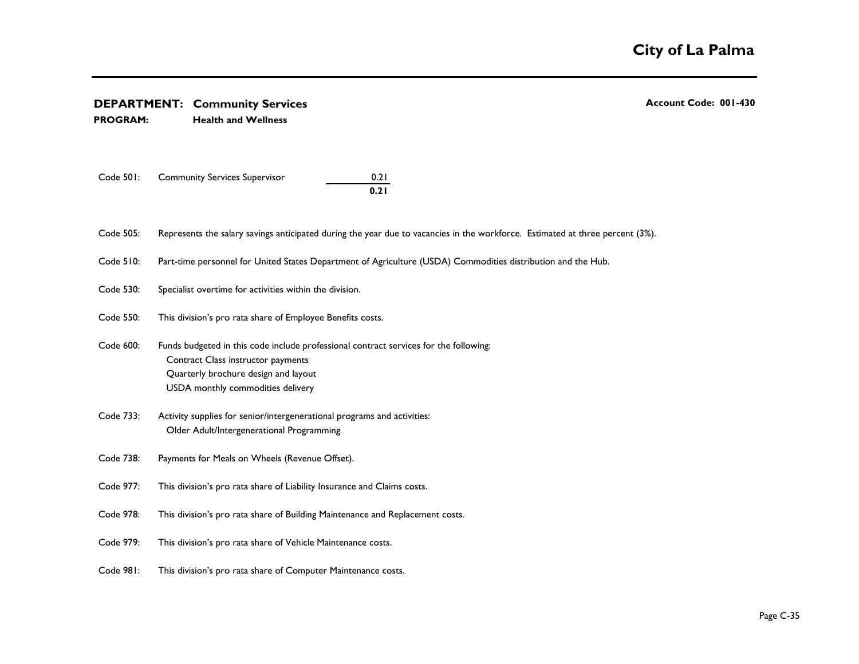### **DEPARTMENT:** Community Services **Account Code: 001-430 Account Code: 001-430 PROGRAM: Health and Wellness Annual Personnel Maintenance Personnel Maintenance** Funds budgeted in this code include professional contract services for the following: **Participants Services & Operations Revenue Total Services & Operations Revenue Total Health Education** USDA monthly commodities delivery example of the state of the state of the state of the state of the state of the state of the state of the state of the state of the state of the state of the state of the state of the stat Code 733: Activity supplies for senior/intergenerational programs and activities: 126 2,000 4,100 (3,500) 2,600 2,000 4,100 (3,500) 2,600  $U_{\text{SUSY}}$  . The commodities  $U_{\text{SUSY}}$  and  $U_{\text{SUSY}}$  are compactned  $U_{\text{SUSY}}$ , Code 977: This division's pro rata share of Liability Insurance and Claims costs.  $D = \frac{1}{2}$  **This division's pro** rata share of Liability Insurance and Claims costs.<br>  **This division's pro rata share of Liability Insurance and Claims costs.**<br>  **Code 978:** This division's pro rata share of Building Maintenance an *Social and emergency support services:* Older Adult/Intergenerational Programming \$ 500 Code 738: P Code 501: Community Services Supervisor 0.21 **0.21** Code 505: Represents the salary savings anticipated during the year due to vacancies in the workforce. Estimated at three percent (3%). Code 510: Code 530: Code 550: Code 600: Contract Class instructor payments Quarterly brochure design and layout Code 733: Code 977: Code 978: Code 979: Code 981: This division's pro rata share of Vehicle Maintenance costs. This division's pro rata share of Computer Maintenance costs. Payments for Meals on Wheels (Revenue Offset). This division's pro rata share of Building Maintenance and Replacement costs. This division's pro rata share of Employee Benefits costs. Part-time personnel for United States Department of Agriculture (USDA) Commodities distribution and the Hub. Specialist overtime for activities within the division.  **TOEPARTMENT:** Community Services Account Code: 001-43<br> **ROGRAM:** Health and Wellness Health and Wellness

USDA Commodities Distribution 399  $2\,$  2,000  $8\,$  2,900  $8\,$  2,900  $8\,$  2,900  $8\,$  2,000  $8\,$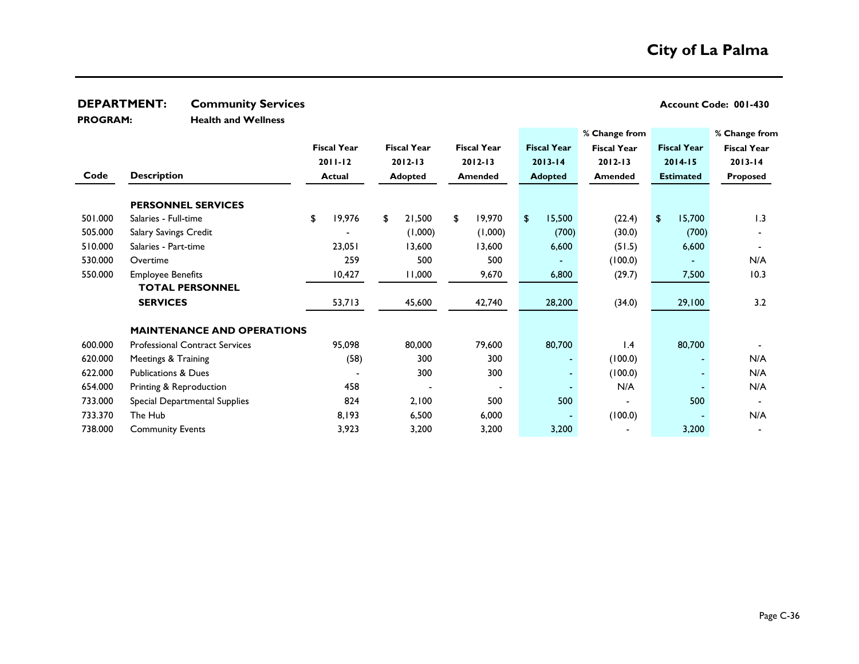**PROGRAM:** 

**Health and Wellness**

|         |                                       |               |                    |                    |             |                    |             |                    |             | % Change from      |                    | % Change from      |  |
|---------|---------------------------------------|---------------|--------------------|--------------------|-------------|--------------------|-------------|--------------------|-------------|--------------------|--------------------|--------------------|--|
|         |                                       |               | <b>Fiscal Year</b> | <b>Fiscal Year</b> |             | <b>Fiscal Year</b> |             | <b>Fiscal Year</b> |             | <b>Fiscal Year</b> | <b>Fiscal Year</b> | <b>Fiscal Year</b> |  |
|         |                                       |               | $2011 - 12$        |                    | $2012 - 13$ |                    | $2012 - 13$ |                    | $2013 - 14$ | $2012 - 13$        | $2014 - 15$        | $2013 - 14$        |  |
| Code    | <b>Description</b>                    | <b>Actual</b> |                    | <b>Adopted</b>     |             | <b>Amended</b>     |             | <b>Adopted</b>     |             | <b>Amended</b>     | <b>Estimated</b>   | Proposed           |  |
|         |                                       |               |                    |                    |             |                    |             |                    |             |                    |                    |                    |  |
|         | <b>PERSONNEL SERVICES</b>             |               |                    |                    |             |                    |             |                    |             |                    |                    |                    |  |
| 501.000 | Salaries - Full-time                  | \$            | 19,976             | \$                 | 21,500      | \$                 | 19,970      | \$                 | 15,500      | (22.4)             | 15,700<br>\$       | 1.3                |  |
| 505.000 | Salary Savings Credit                 |               |                    |                    | (1,000)     |                    | (1,000)     |                    | (700)       | (30.0)             | (700)              |                    |  |
| 510.000 | Salaries - Part-time                  |               | 23,051             |                    | 13,600      |                    | 13,600      |                    | 6,600       | (51.5)             | 6,600              |                    |  |
| 530.000 | Overtime                              |               | 259                |                    | 500         |                    | 500         |                    |             | (100.0)            |                    | N/A                |  |
| 550.000 | <b>Employee Benefits</b>              | 10,427        |                    | 11,000             |             | 9,670              |             |                    | 6,800       | (29.7)             | 7,500              | 10.3               |  |
|         | <b>TOTAL PERSONNEL</b>                |               |                    |                    |             |                    |             |                    |             |                    |                    |                    |  |
|         | <b>SERVICES</b>                       |               | 53,713             |                    | 45,600      |                    | 42,740      |                    | 28,200      | (34.0)             | 29,100             | 3.2                |  |
|         | <b>MAINTENANCE AND OPERATIONS</b>     |               |                    |                    |             |                    |             |                    |             |                    |                    |                    |  |
| 600.000 | <b>Professional Contract Services</b> |               | 95,098             |                    | 80,000      |                    | 79,600      |                    | 80,700      | 1.4                | 80,700             |                    |  |
| 620.000 | Meetings & Training                   |               | (58)               |                    | 300         |                    | 300         |                    |             | (100.0)            |                    | N/A                |  |
| 622.000 | <b>Publications &amp; Dues</b>        |               |                    |                    | 300         |                    | 300         |                    |             | (100.0)            |                    | N/A                |  |
| 654.000 | Printing & Reproduction               |               | 458                |                    |             |                    |             |                    |             | N/A                |                    | N/A                |  |
| 733.000 | Special Departmental Supplies         |               | 824                |                    | 2,100       |                    | 500         |                    | 500         |                    | 500                |                    |  |
| 733.370 | The Hub                               |               | 8,193              |                    | 6,500       |                    | 6,000       |                    |             | (100.0)            |                    | N/A                |  |
| 738.000 | <b>Community Events</b>               |               | 3,923              |                    | 3,200       |                    | 3,200       |                    | 3,200       |                    | 3,200              |                    |  |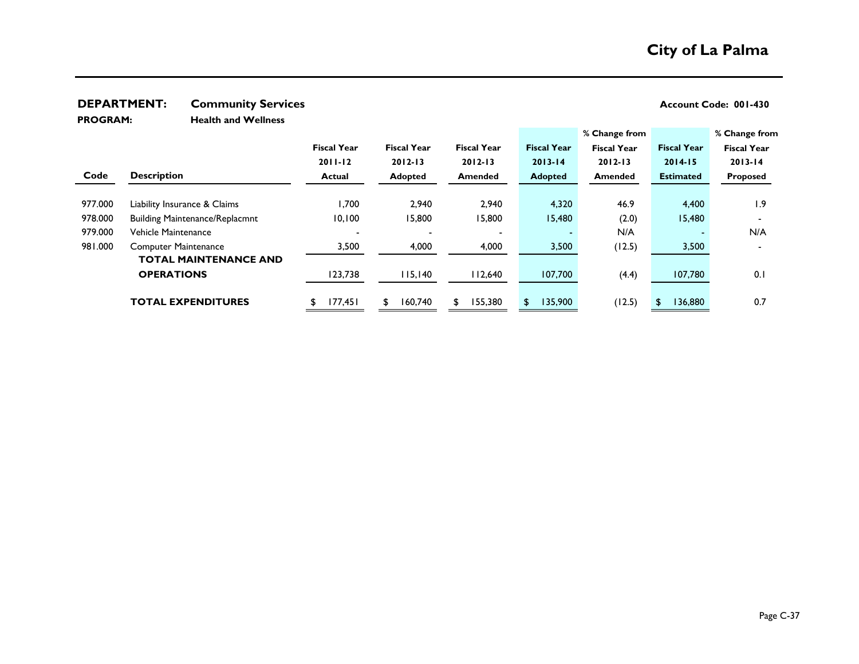**PROGRAM:** 

**Health and Wellness**

|         |                                       |                    |                    |                    |                    | % Change from      |                    | % Change from      |
|---------|---------------------------------------|--------------------|--------------------|--------------------|--------------------|--------------------|--------------------|--------------------|
|         |                                       | <b>Fiscal Year</b> | <b>Fiscal Year</b> | <b>Fiscal Year</b> | <b>Fiscal Year</b> | <b>Fiscal Year</b> | <b>Fiscal Year</b> | <b>Fiscal Year</b> |
|         |                                       | $2011 - 12$        | $2012 - 13$        | $2012 - 13$        | $2013 - 14$        | $2012 - 13$        | $2014 - 15$        | $2013 - 14$        |
| Code    | <b>Description</b>                    | <b>Actual</b>      | <b>Adopted</b>     | <b>Amended</b>     | <b>Adopted</b>     | <b>Amended</b>     | <b>Estimated</b>   | Proposed           |
|         |                                       |                    |                    |                    |                    |                    |                    |                    |
| 977.000 | Liability Insurance & Claims          | 1,700              | 2,940              | 2,940              | 4,320              | 46.9               | 4,400              | 1.9                |
| 978.000 | <b>Building Maintenance/Replacmnt</b> | 10,100             | 15,800             | 15,800             | 15,480             | (2.0)              | 15,480             |                    |
| 979.000 | Vehicle Maintenance                   |                    |                    |                    |                    | N/A                |                    | N/A                |
| 981.000 | <b>Computer Maintenance</b>           | 3,500              | 4,000              | 4,000              | 3,500              | (12.5)             | 3,500              |                    |
|         | <b>TOTAL MAINTENANCE AND</b>          |                    |                    |                    |                    |                    |                    |                    |
|         | <b>OPERATIONS</b>                     | 123,738            | 115,140            | 112,640            | 107,700            | (4.4)              | 107,780            | 0.1                |
|         |                                       |                    |                    |                    |                    |                    |                    |                    |
|         | <b>TOTAL EXPENDITURES</b>             | 177,451            | 160,740            | 155,380<br>\$      | 135,900<br>\$      | (12.5)             | 136,880            | 0.7                |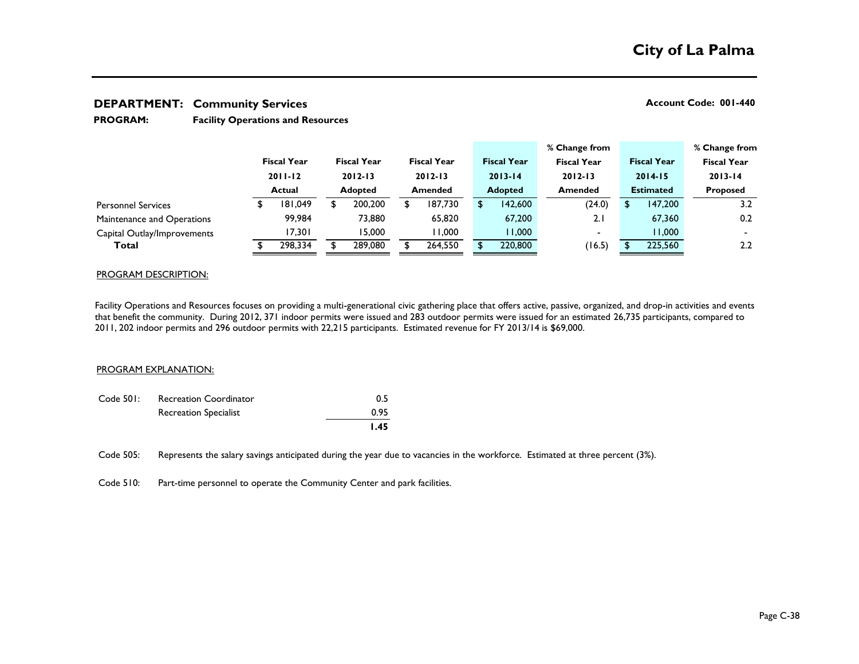#### **Facility Operations and Resources PROGRAM:**

|                             |             |                    |             |                    |             |                    |  |                    |  | % Change from      |                  |                    |                 | % Change from      |
|-----------------------------|-------------|--------------------|-------------|--------------------|-------------|--------------------|--|--------------------|--|--------------------|------------------|--------------------|-----------------|--------------------|
|                             |             | <b>Fiscal Year</b> |             | <b>Fiscal Year</b> |             | <b>Fiscal Year</b> |  | <b>Fiscal Year</b> |  | <b>Fiscal Year</b> |                  | <b>Fiscal Year</b> |                 | <b>Fiscal Year</b> |
|                             | $2011 - 12$ |                    | $2012 - 13$ |                    | $2012 - 13$ |                    |  | $2013 - 14$        |  | $2012 - 13$        | $2014 - 15$      |                    | $2013 - 14$     |                    |
|                             |             | Actual             |             | <b>Adopted</b>     |             | <b>Amended</b>     |  | <b>Adopted</b>     |  | <b>Amended</b>     | <b>Estimated</b> |                    | <b>Proposed</b> |                    |
| <b>Personnel Services</b>   | \$          | 181,049            |             | 200,200            |             | 187,730            |  | 142,600            |  | (24.0)             |                  | 147,200            |                 | 3.2                |
| Maintenance and Operations  |             | 99.984             |             | 73,880             |             | 65,820             |  | 67,200             |  | 2.1                |                  | 67,360             |                 | 0.2                |
| Capital Outlay/Improvements |             | 17,301             |             | 15,000             |             | 11,000             |  | 1,000              |  | $\,$               |                  | 1,000              |                 |                    |
| Total                       |             | 298,334            |             | 289,080            |             | 264,550            |  | 220,800            |  | (16.5)             |                  | 225,560            |                 | 2.2                |

### PROGRAM DESCRIPTION:

Facility Operations and Resources focuses on providing a multi-generational civic gathering place that offers active, passive, organized, and drop-in activities and events that benefit the community. During 2012, 371 indoor permits were issued and 283 outdoor permits were issued for an estimated 26,735 participants, compared to 2011, 202 indoor permits and 296 outdoor permits with 22,215 participants. Estimated revenue for FY 2013/14 is \$69,000.

### PROGRAM EXPLANATION:

|           |                              | I.45 |
|-----------|------------------------------|------|
|           | <b>Recreation Specialist</b> | 0.95 |
| Code 501: | Recreation Coordinator       | 0.5  |

Code 505: Represents the salary savings anticipated during the year due to vacancies in the workforce. Estimated at three percent (3%).

Code 510: Part-time personnel to operate the Community Center and park facilities.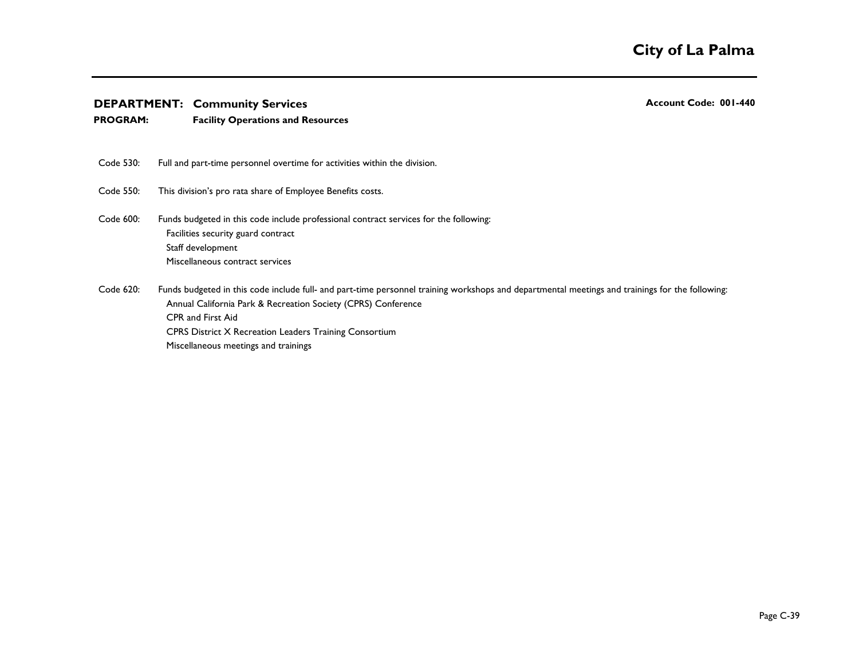- **PROGRAM: Facility Operations and Resources**
- Code 530: Full and part-time personnel overtime for activities within the division.
- Code 550: This division's pro rata share of Employee Benefits costs.
- Code 600: Facilities security guard contract Staff development Miscellaneous contract services Funds budgeted in this code include professional contract services for the following:
- Code 620: Annual California Park & Recreation Society (CPRS) Conference CPR and First Aid CPRS District X Recreation Leaders Training Consortium Miscellaneous meetings and trainings Funds budgeted in this code include full- and part-time personnel training workshops and departmental meetings and trainings for the following: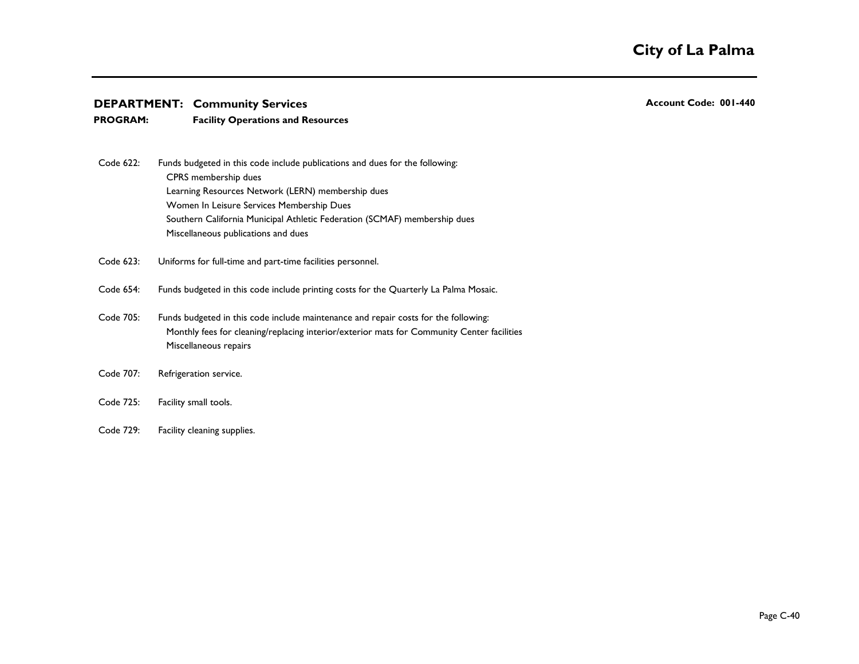- **PROGRAM: Facility Operations and Resources**
- Code 622: CPRS membership dues Learning Resources Network (LERN) membership dues Women In Leisure Services Membership Dues Southern California Municipal Athletic Federation (SCMAF) membership dues Miscellaneous publications and dues Funds budgeted in this code include publications and dues for the following:
- Code 623: Uniforms for full-time and part-time facilities personnel.
- Code 654: Funds budgeted in this code include printing costs for the Quarterly La Palma Mosaic.
- Code 705: Monthly fees for cleaning/replacing interior/exterior mats for Community Center facilities Miscellaneous repairs Funds budgeted in this code include maintenance and repair costs for the following:
- Code 707: Refrigeration service.
- Code 725: Facility small tools.
- Code 729: Facility cleaning supplies.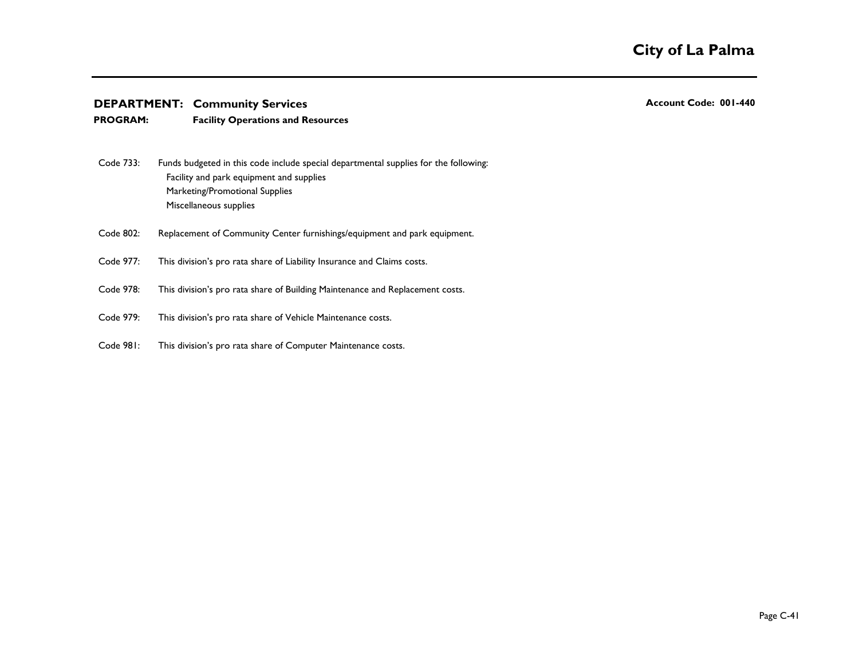## **PROGRAM: Facility Operations and Resources**

- Code 733: Facility and park equipment and supplies Marketing/Promotional Supplies Miscellaneous supplies Funds budgeted in this code include special departmental supplies for the following:
- Code 802: Replacement of Community Center furnishings/equipment and park equipment.
- Code 977: This division's pro rata share of Liability Insurance and Claims costs.
- Code 978: This division's pro rata share of Building Maintenance and Replacement costs.
- Code 979: This division's pro rata share of Vehicle Maintenance costs.
- Code 981: This division's pro rata share of Computer Maintenance costs.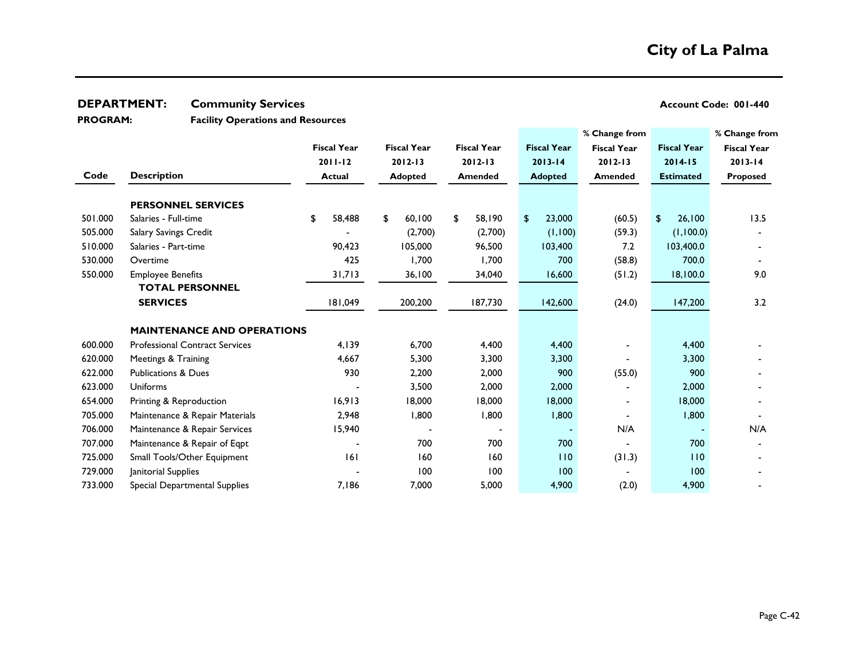**Facility Operations and Resources PROGRAM:** 

|         |                                       |                    |                    |                    |                    | % Change from      |                    | % Change from      |
|---------|---------------------------------------|--------------------|--------------------|--------------------|--------------------|--------------------|--------------------|--------------------|
|         |                                       | <b>Fiscal Year</b> | <b>Fiscal Year</b> | <b>Fiscal Year</b> | <b>Fiscal Year</b> | <b>Fiscal Year</b> | <b>Fiscal Year</b> | <b>Fiscal Year</b> |
|         |                                       | $2011 - 12$        | $2012 - 13$        | $2012 - 13$        | $2013 - 14$        | $2012 - 13$        | $2014 - 15$        | $2013 - 14$        |
| Code    | <b>Description</b>                    | <b>Actual</b>      | <b>Adopted</b>     | <b>Amended</b>     | <b>Adopted</b>     | Amended            | <b>Estimated</b>   | Proposed           |
|         | <b>PERSONNEL SERVICES</b>             |                    |                    |                    |                    |                    |                    |                    |
| 501.000 | Salaries - Full-time                  | 58,488<br>\$       | 60,100<br>\$       | \$<br>58,190       | 23,000<br>\$       | (60.5)             | 26,100<br>\$       | 13.5               |
| 505.000 | Salary Savings Credit                 |                    | (2,700)            | (2,700)            | (1,100)            | (59.3)             | (1,100.0)          |                    |
| 510.000 | Salaries - Part-time                  | 90,423             | 105,000            | 96,500             | 103,400            | 7.2                | 103,400.0          |                    |
| 530.000 | Overtime                              | 425                | 1,700              | 1,700              | 700                | (58.8)             | 700.0              |                    |
| 550.000 | <b>Employee Benefits</b>              | 31,713             | 36,100             | 34,040             | 16,600             | (51.2)             | 18,100.0           | 9.0                |
|         | <b>TOTAL PERSONNEL</b>                |                    |                    |                    |                    |                    |                    |                    |
|         | <b>SERVICES</b>                       | 181,049            | 200,200            | 187,730            | 142,600            | (24.0)             | 147,200            | 3.2                |
|         |                                       |                    |                    |                    |                    |                    |                    |                    |
|         | <b>MAINTENANCE AND OPERATIONS</b>     |                    |                    |                    |                    |                    |                    |                    |
| 600.000 | <b>Professional Contract Services</b> | 4,139              | 6,700              | 4,400              | 4,400              |                    | 4,400              |                    |
| 620.000 | Meetings & Training                   | 4,667              | 5,300              | 3,300              | 3,300              |                    | 3,300              |                    |
| 622.000 | <b>Publications &amp; Dues</b>        | 930                | 2,200              | 2,000              | 900                | (55.0)             | 900                |                    |
| 623.000 | Uniforms                              |                    | 3,500              | 2,000              | 2,000              |                    | 2,000              |                    |
| 654.000 | Printing & Reproduction               | 16,913             | 18,000             | 18,000             | 18,000             |                    | 18,000             |                    |
| 705.000 | Maintenance & Repair Materials        | 2,948              | 1,800              | 1,800              | 1,800              |                    | 1,800              |                    |
| 706.000 | Maintenance & Repair Services         | 15,940             |                    |                    |                    | N/A                |                    | N/A                |
| 707.000 | Maintenance & Repair of Eqpt          |                    | 700                | 700                | 700                |                    | 700                |                    |
| 725.000 | Small Tools/Other Equipment           | 6                  | 160                | 160                | 110                | (31.3)             | 110                |                    |
| 729.000 | Janitorial Supplies                   |                    | 100                | 100                | 100                |                    | 100                |                    |
| 733.000 | Special Departmental Supplies         | 7,186              | 7,000              | 5,000              | 4,900              | (2.0)              | 4,900              |                    |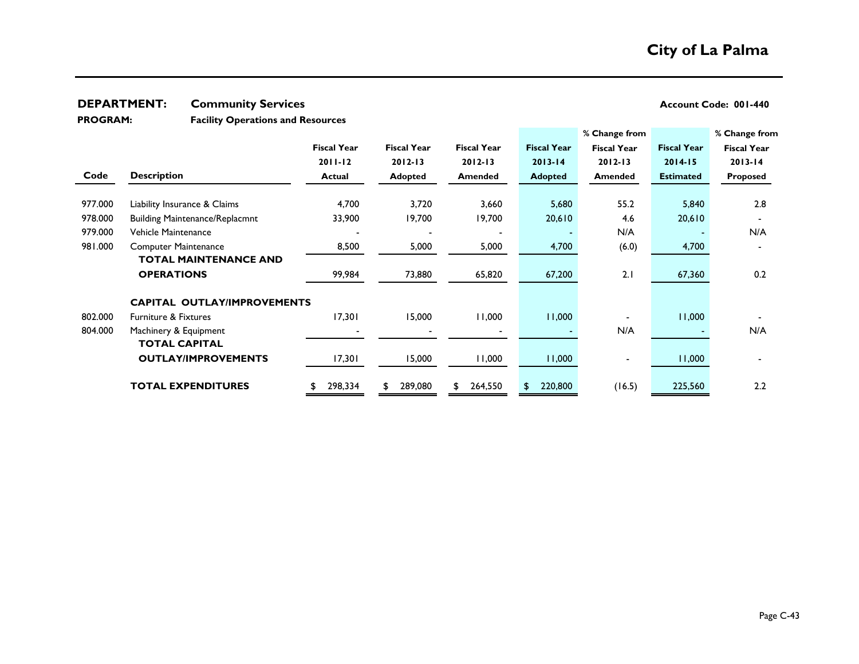## **DEPARTMENT: Community Services**

| Account Code: 001-440 |  |
|-----------------------|--|
|-----------------------|--|

**Facility Operations and Resources PROGRAM:** 

|         |                                       |                    |                    |                    |                    | % Change from      |                    | % Change from      |
|---------|---------------------------------------|--------------------|--------------------|--------------------|--------------------|--------------------|--------------------|--------------------|
|         |                                       | <b>Fiscal Year</b> | <b>Fiscal Year</b> | <b>Fiscal Year</b> | <b>Fiscal Year</b> | <b>Fiscal Year</b> | <b>Fiscal Year</b> | <b>Fiscal Year</b> |
|         |                                       | $2011 - 12$        | $2012 - 13$        | $2012 - 13$        | $2013 - 14$        | $2012 - 13$        | $2014 - 15$        | $2013 - 14$        |
| Code    | <b>Description</b>                    | <b>Actual</b>      | Adopted            | Amended            | <b>Adopted</b>     | <b>Amended</b>     | <b>Estimated</b>   | Proposed           |
|         |                                       |                    |                    |                    |                    |                    |                    |                    |
| 977.000 | Liability Insurance & Claims          | 4,700              | 3,720              | 3,660              | 5,680              | 55.2               | 5,840              | 2.8                |
| 978.000 | <b>Building Maintenance/Replacmnt</b> | 33,900             | 19,700             | 19,700             | 20,610             | 4.6                | 20,610             |                    |
| 979.000 | Vehicle Maintenance                   |                    |                    |                    |                    | N/A                |                    | N/A                |
| 981.000 | <b>Computer Maintenance</b>           | 8,500              | 5,000              | 5,000              | 4,700              | (6.0)              | 4,700              |                    |
|         | <b>TOTAL MAINTENANCE AND</b>          |                    |                    |                    |                    |                    |                    |                    |
|         | <b>OPERATIONS</b>                     | 99,984             | 73,880             | 65,820             | 67,200             | 2.1                | 67,360             | 0.2                |
|         | <b>CAPITAL OUTLAY/IMPROVEMENTS</b>    |                    |                    |                    |                    |                    |                    |                    |
| 802.000 | <b>Furniture &amp; Fixtures</b>       | 17,301             | 15,000             | 11,000             | 11,000             |                    | 11,000             |                    |
| 804.000 | Machinery & Equipment                 |                    |                    |                    |                    | N/A                |                    | N/A                |
|         | <b>TOTAL CAPITAL</b>                  |                    |                    |                    |                    |                    |                    |                    |
|         | <b>OUTLAY/IMPROVEMENTS</b>            | 17,301             | 15,000             | 11,000             | 11,000             |                    | 11,000             |                    |
|         | <b>TOTAL EXPENDITURES</b>             | 298,334            | 289,080<br>£.      | 264,550<br>\$      | 220,800            | (16.5)             | 225,560            | 2.2                |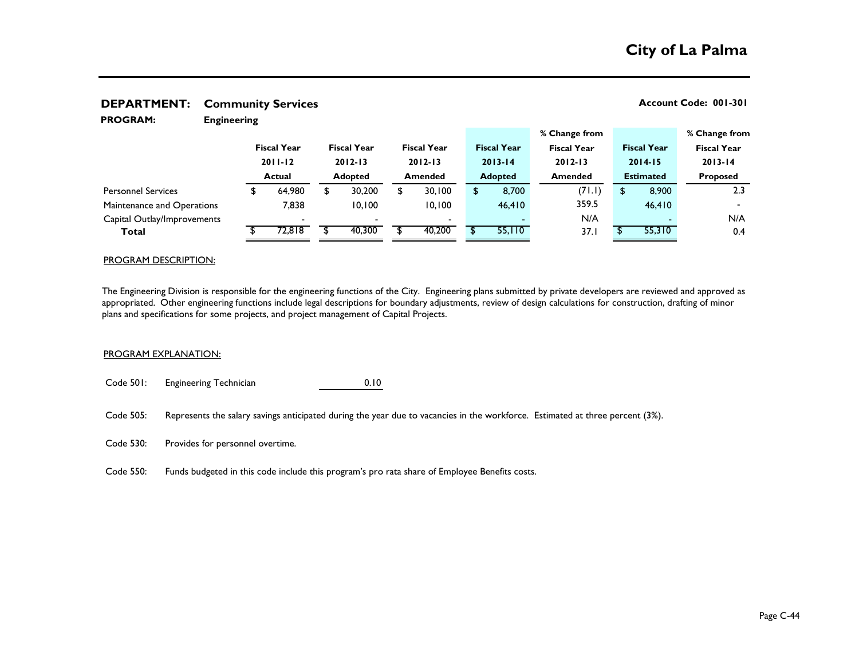| <b>PROGRAM:</b>             | <b>Engineering</b> |                    |   |                    |    |                    |  |                    |  |                    |                  |                    |                    |  |
|-----------------------------|--------------------|--------------------|---|--------------------|----|--------------------|--|--------------------|--|--------------------|------------------|--------------------|--------------------|--|
|                             |                    |                    |   |                    |    |                    |  |                    |  | % Change from      |                  |                    | % Change from      |  |
|                             |                    | <b>Fiscal Year</b> |   | <b>Fiscal Year</b> |    | <b>Fiscal Year</b> |  | <b>Fiscal Year</b> |  | <b>Fiscal Year</b> |                  | <b>Fiscal Year</b> | <b>Fiscal Year</b> |  |
|                             |                    | $2011 - 12$        |   | $2012 - 13$        |    | $2012 - 13$        |  | $2013 - 14$        |  | $2012 - 13$        | $2014 - 15$      |                    | $2013 - 14$        |  |
|                             |                    | <b>Actual</b>      |   | <b>Adopted</b>     |    | <b>Amended</b>     |  | <b>Adopted</b>     |  | <b>Amended</b>     | <b>Estimated</b> |                    | <b>Proposed</b>    |  |
| <b>Personnel Services</b>   |                    | 64,980             | S | 30,200             | \$ | 30,100             |  | 8,700              |  | (71.1)             | \$               | 8,900              | 2.3                |  |
| Maintenance and Operations  |                    | 7.838              |   | 10.100             |    | 10,100             |  | 46,410             |  | 359.5              |                  | 46,410             |                    |  |
| Capital Outlay/Improvements |                    |                    |   |                    |    |                    |  |                    |  | N/A                |                  |                    | N/A                |  |
| Total                       |                    | 72,818             |   | 40,300             |    | 40,200             |  | 55,110             |  | 37.1               |                  | 55,310             | 0.4                |  |
|                             |                    |                    |   |                    |    |                    |  |                    |  |                    |                  |                    |                    |  |

### PROGRAM DESCRIPTION:

The Engineering Division is responsible for the engineering functions of the City. Engineering plans submitted by private developers are reviewed and approved as appropriated. Other engineering functions include legal descriptions for boundary adjustments, review of design calculations for construction, drafting of minor plans and specifications for some projects, and project management of Capital Projects.

#### PROGRAM EXPLANATION:

Code 501: Engineering Technician 0.10

Code 505: Represents the salary savings anticipated during the year due to vacancies in the workforce. Estimated at three percent (3%).

Code 530: Provides for personnel overtime.

Code 550: Funds budgeted in this code include this program's pro rata share of Employee Benefits costs.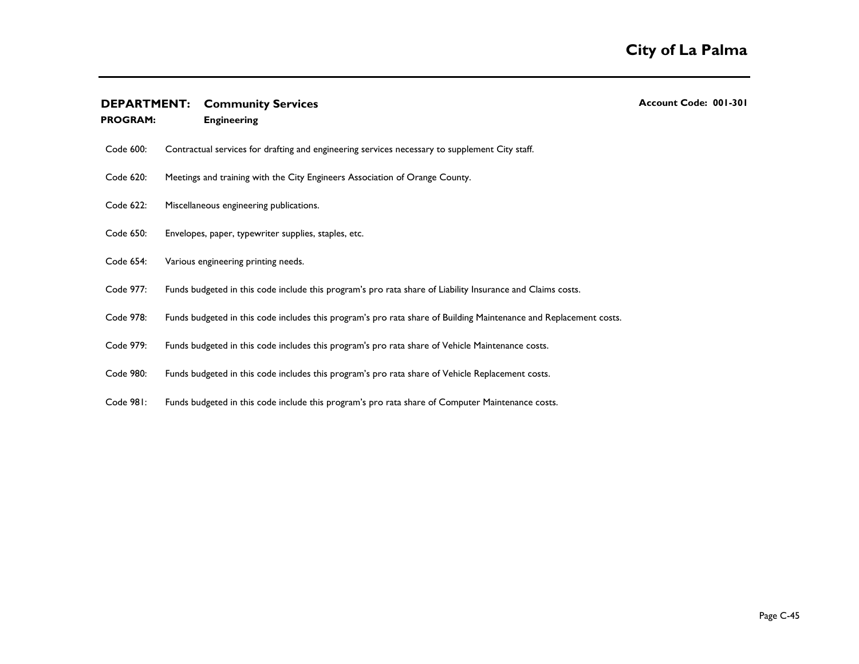**PROGRAM: Engineering**

| ACCOUNT COUP. 001-30 |  |
|----------------------|--|
|                      |  |
|                      |  |
|                      |  |
|                      |  |

- Code 600: Contractual services for drafting and engineering services necessary to supplement City staff.
- Code 620: Meetings and training with the City Engineers Association of Orange County.
- Code 622: Miscellaneous engineering publications.
- Code 650: Envelopes, paper, typewriter supplies, staples, etc.
- Code 654: Various engineering printing needs.
- Code 977: Funds budgeted in this code include this program's pro rata share of Liability Insurance and Claims costs.
- Code 978: Funds budgeted in this code includes this program's pro rata share of Building Maintenance and Replacement costs.
- Code 979: Funds budgeted in this code includes this program's pro rata share of Vehicle Maintenance costs.
- Code 980: Funds budgeted in this code includes this program's pro rata share of Vehicle Replacement costs.
- Code 981: Funds budgeted in this code include this program's pro rata share of Computer Maintenance costs.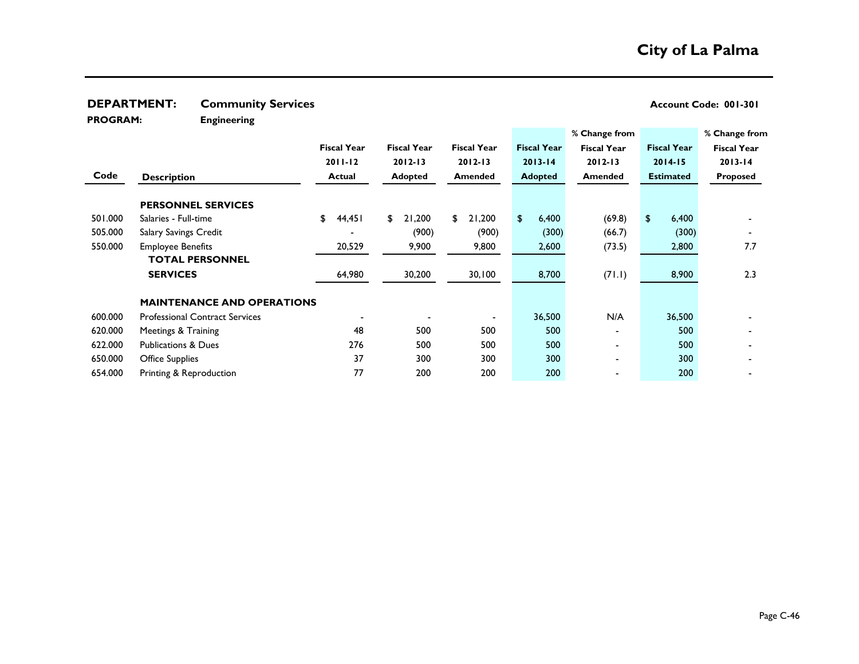| <b>PROGRAM:</b> | <b>Engineering</b>                                 |                    |                    |                    |                    |                    |                    |                    |
|-----------------|----------------------------------------------------|--------------------|--------------------|--------------------|--------------------|--------------------|--------------------|--------------------|
|                 |                                                    |                    |                    |                    |                    | % Change from      |                    | % Change from      |
|                 |                                                    | <b>Fiscal Year</b> | <b>Fiscal Year</b> | <b>Fiscal Year</b> | <b>Fiscal Year</b> | <b>Fiscal Year</b> | <b>Fiscal Year</b> | <b>Fiscal Year</b> |
|                 |                                                    | $2011 - 12$        | $2012 - 13$        | $2012 - 13$        | $2013 - 14$        | $2012 - 13$        | $2014 - 15$        | $2013 - 14$        |
| Code            | <b>Description</b>                                 | Actual             | Adopted            | <b>Amended</b>     | <b>Adopted</b>     | Amended            | <b>Estimated</b>   | <b>Proposed</b>    |
|                 | <b>PERSONNEL SERVICES</b>                          |                    |                    |                    |                    |                    |                    |                    |
| 501.000         | Salaries - Full-time                               | \$<br>44,451       | 21,200<br>\$       | 21,200<br>\$       | \$<br>6,400        | (69.8)             | \$<br>6,400        |                    |
| 505.000         | Salary Savings Credit                              |                    | (900)              | (900)              | (300)              | (66.7)             | (300)              |                    |
| 550.000         | <b>Employee Benefits</b><br><b>TOTAL PERSONNEL</b> | 20,529             | 9,900              | 9,800              | 2,600              | (73.5)             | 2,800              | 7.7                |
|                 | <b>SERVICES</b>                                    | 64,980             | 30,200             | 30,100             | 8,700              | (71.1)             | 8,900              | 2.3                |
|                 | <b>MAINTENANCE AND OPERATIONS</b>                  |                    |                    |                    |                    |                    |                    |                    |
| 600.000         | <b>Professional Contract Services</b>              |                    |                    |                    | 36,500             | N/A                | 36,500             |                    |
| 620.000         | Meetings & Training                                | 48                 | 500                | 500                | 500                |                    | 500                |                    |
| 622.000         | <b>Publications &amp; Dues</b>                     | 276                | 500                | 500                | 500                |                    | 500                |                    |
| 650.000         | <b>Office Supplies</b>                             | 37                 | 300                | 300                | 300                |                    | 300                |                    |

650.000 37 300 300 300 - 300 - 654.000 77 200 200 200 - 200 - Printing & Reproduction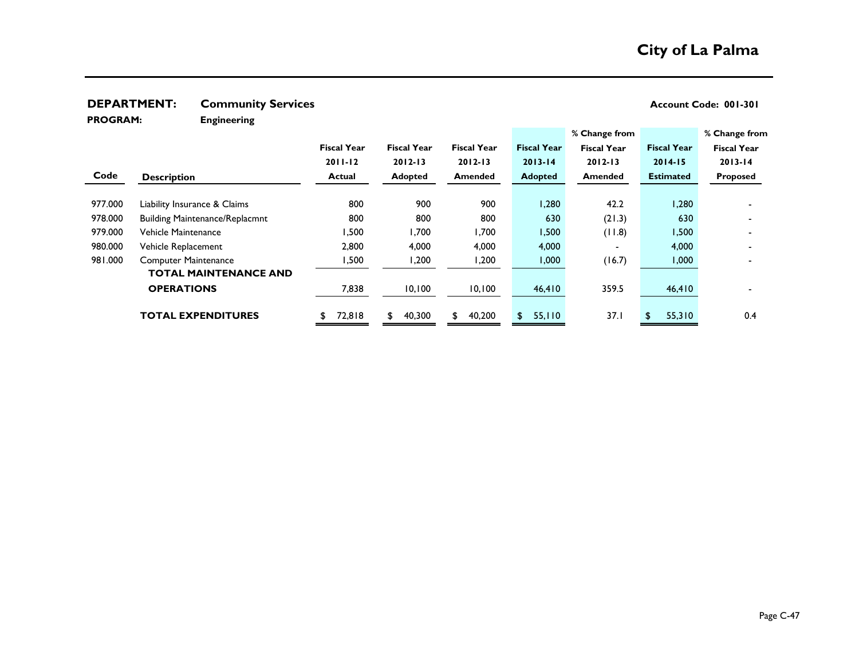**PROGRAM:** 

**Engineering**

|         |                                       |                    |                    |                    |                    | % Change from      |                    | % Change from      |
|---------|---------------------------------------|--------------------|--------------------|--------------------|--------------------|--------------------|--------------------|--------------------|
|         |                                       | <b>Fiscal Year</b> | <b>Fiscal Year</b> | <b>Fiscal Year</b> | <b>Fiscal Year</b> | <b>Fiscal Year</b> | <b>Fiscal Year</b> | <b>Fiscal Year</b> |
|         |                                       | $2011 - 12$        | $2012 - 13$        | $2012 - 13$        | $2013 - 14$        | $2012 - 13$        | $2014 - 15$        | $2013 - 14$        |
| Code    | <b>Description</b>                    | <b>Actual</b>      | Adopted            | <b>Amended</b>     | <b>Adopted</b>     | <b>Amended</b>     | <b>Estimated</b>   | <b>Proposed</b>    |
|         |                                       |                    |                    |                    |                    |                    |                    |                    |
| 977.000 | Liability Insurance & Claims          | 800                | 900                | 900                | 1,280              | 42.2               | 1,280              |                    |
| 978.000 | <b>Building Maintenance/Replacmnt</b> | 800                | 800                | 800                | 630                | (21.3)             | 630                |                    |
| 979.000 | Vehicle Maintenance                   | .500               | 1,700              | 1,700              | 1,500              | (11.8)             | 1,500              |                    |
| 980.000 | Vehicle Replacement                   | 2,800              | 4,000              | 4,000              | 4,000              |                    | 4,000              |                    |
| 981.000 | <b>Computer Maintenance</b>           | 500, ا             | 1,200              | ,200               | 1,000              | (16.7)             | 1,000              |                    |
|         | <b>TOTAL MAINTENANCE AND</b>          |                    |                    |                    |                    |                    |                    |                    |
|         | <b>OPERATIONS</b>                     | 7,838              | 10,100             | 10,100             | 46,410             | 359.5              | 46,410             |                    |
|         | <b>TOTAL EXPENDITURES</b>             | 72,818             | 40,300<br>\$       | 40,200<br>\$       | 55,110<br>\$.      | 37.1               | 55,310<br>\$       | 0.4                |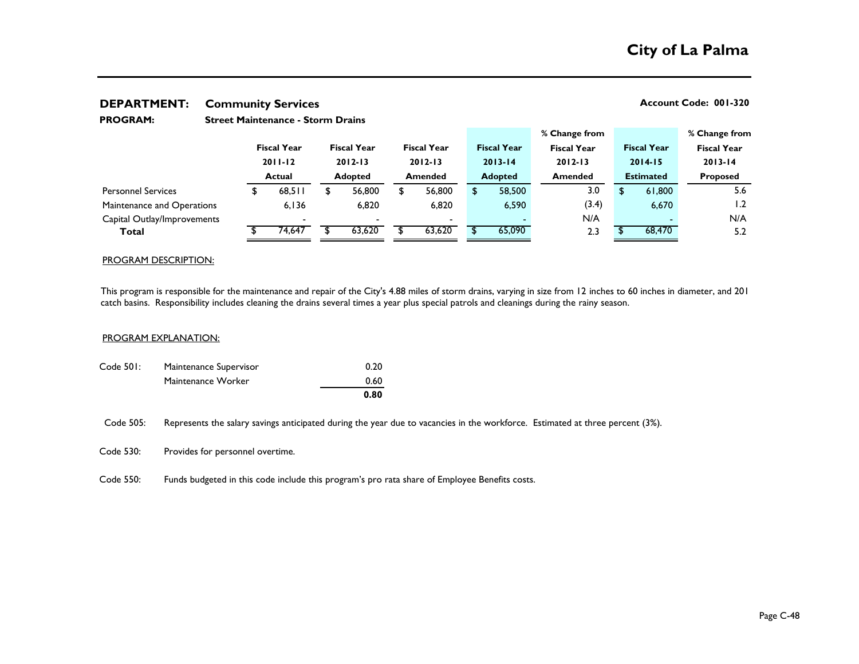| <b>PROGRAM:</b>             |    |                    |                |                    |                |                    |        |                    |     |                    |                    |                  |                    |                 |
|-----------------------------|----|--------------------|----------------|--------------------|----------------|--------------------|--------|--------------------|-----|--------------------|--------------------|------------------|--------------------|-----------------|
|                             |    |                    |                |                    |                |                    |        |                    |     | % Change from      |                    |                  |                    | % Change from   |
|                             |    | <b>Fiscal Year</b> |                | <b>Fiscal Year</b> |                | <b>Fiscal Year</b> |        | <b>Fiscal Year</b> |     | <b>Fiscal Year</b> | <b>Fiscal Year</b> |                  | <b>Fiscal Year</b> |                 |
|                             |    | $2011 - 12$        |                | $2012 - 13$        |                | $2012 - 13$        |        | $2013 - 14$        |     | $2012 - 13$        | $2014 - 15$        |                  | $2013 - 14$        |                 |
|                             |    | <b>Actual</b>      | <b>Adopted</b> |                    | <b>Amended</b> |                    |        | <b>Adopted</b>     |     | <b>Amended</b>     |                    | <b>Estimated</b> |                    | <b>Proposed</b> |
| <b>Personnel Services</b>   | £. | 68.511             | S              | 56,800             | S              | 56,800             |        | 58,500             |     | 3.0                | \$                 | 61,800           |                    | 5.6             |
| Maintenance and Operations  |    | 6.136              |                | 6.820              |                | 6,820              |        | 6,590              |     | (3.4)              |                    | 6,670            |                    | 1.2             |
| Capital Outlay/Improvements |    |                    |                |                    |                | $\sim$             |        |                    |     | N/A                |                    |                  |                    | N/A             |
| 74.647<br>Total             |    |                    | 63,620         |                    | 63,620         |                    | 65,090 |                    | 2.3 |                    | 68,470             |                  | 5.2                |                 |

#### PROGRAM DESCRIPTION:

This program is responsible for the maintenance and repair of the City's 4.88 miles of storm drains, varying in size from 12 inches to 60 inches in diameter, and 201 catch basins. Responsibility includes cleaning the drains several times a year plus special patrols and cleanings during the rainy season.

#### PROGRAM EXPLANATION:

|           |                        | 0.80 |
|-----------|------------------------|------|
|           | Maintenance Worker     | 0.60 |
| Code 501: | Maintenance Supervisor | 0.20 |

Code 505: Represents the salary savings anticipated during the year due to vacancies in the workforce. Estimated at three percent (3%).

Code 530: Provides for personnel overtime.

Code 550: Funds budgeted in this code include this program's pro rata share of Employee Benefits costs.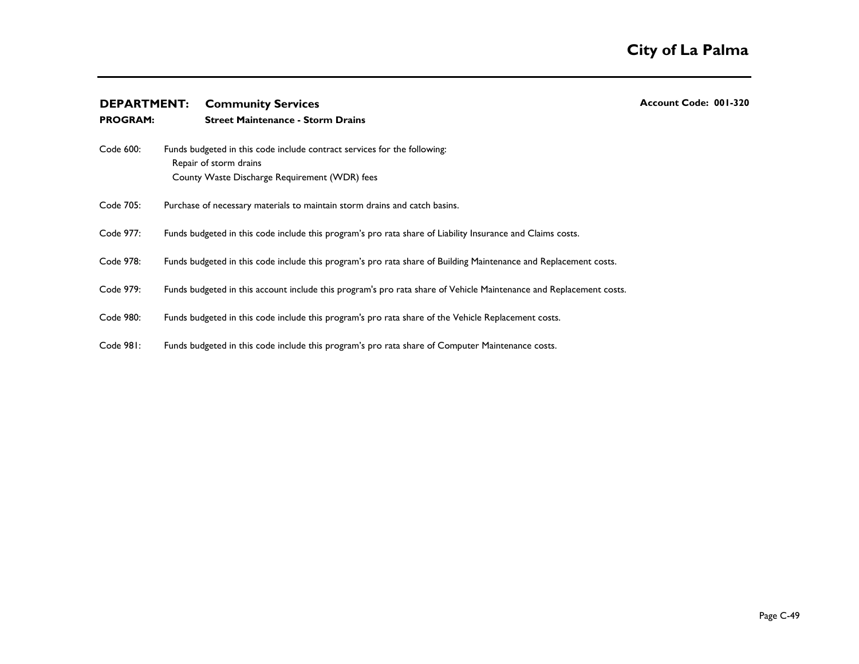| <b>DEPARTMENT:</b> |  | <b>Community Services</b>                                                                                                                           | Account Code: 001-320 |
|--------------------|--|-----------------------------------------------------------------------------------------------------------------------------------------------------|-----------------------|
| <b>PROGRAM:</b>    |  | <b>Street Maintenance - Storm Drains</b>                                                                                                            |                       |
| Code 600:          |  | Funds budgeted in this code include contract services for the following:<br>Repair of storm drains<br>County Waste Discharge Requirement (WDR) fees |                       |
| Code 705:          |  | Purchase of necessary materials to maintain storm drains and catch basins.                                                                          |                       |
| Code 977:          |  | Funds budgeted in this code include this program's pro rata share of Liability Insurance and Claims costs.                                          |                       |
| Code 978:          |  | Funds budgeted in this code include this program's pro rata share of Building Maintenance and Replacement costs.                                    |                       |
| Code 979:          |  | Funds budgeted in this account include this program's pro rata share of Vehicle Maintenance and Replacement costs.                                  |                       |
| Code 980:          |  | Funds budgeted in this code include this program's pro rata share of the Vehicle Replacement costs.                                                 |                       |
| Code 981:          |  | Funds budgeted in this code include this program's pro rata share of Computer Maintenance costs.                                                    |                       |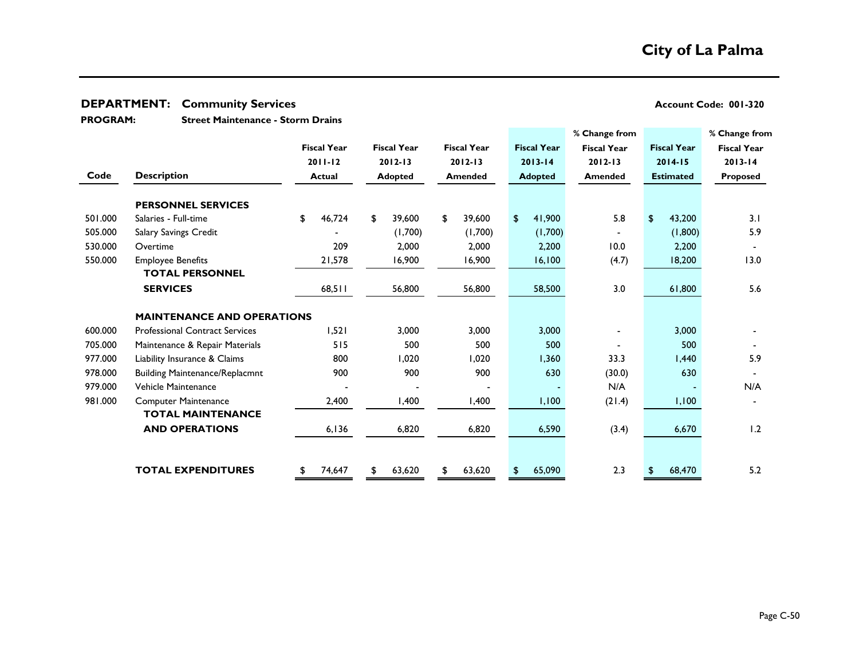**Street Maintenance - Storm Drains PROGRAM:** 

|         |                                       |                    |                    |                    |                    | % Change from      |                    | % Change from            |
|---------|---------------------------------------|--------------------|--------------------|--------------------|--------------------|--------------------|--------------------|--------------------------|
|         |                                       | <b>Fiscal Year</b> | <b>Fiscal Year</b> | <b>Fiscal Year</b> | <b>Fiscal Year</b> | <b>Fiscal Year</b> | <b>Fiscal Year</b> | <b>Fiscal Year</b>       |
|         |                                       | $2011 - 12$        | $2012 - 13$        | 2012-13            | $2013 - 14$        | $2012 - 13$        | $2014 - 15$        | $2013 - 14$              |
| Code    | <b>Description</b>                    | <b>Actual</b>      | <b>Adopted</b>     | <b>Amended</b>     | <b>Adopted</b>     | <b>Amended</b>     | <b>Estimated</b>   | <b>Proposed</b>          |
|         | <b>PERSONNEL SERVICES</b>             |                    |                    |                    |                    |                    |                    |                          |
| 501.000 | Salaries - Full-time                  | \$<br>46,724       | 39,600<br>\$       | 39,600<br>\$       | 41,900<br>\$.      | 5.8                | 43,200<br>\$       | 3.1                      |
| 505.000 | Salary Savings Credit                 |                    | (1,700)            | (1,700)            | (1,700)            |                    | (1,800)            | 5.9                      |
| 530.000 | Overtime                              | 209                | 2,000              | 2,000              | 2,200              | 10.0               | 2,200              |                          |
| 550.000 | <b>Employee Benefits</b>              | 21,578             | 16,900             | 16,900             | 16,100             | (4.7)              | 18,200             | 13.0                     |
|         | <b>TOTAL PERSONNEL</b>                |                    |                    |                    |                    |                    |                    |                          |
|         | <b>SERVICES</b>                       | 68,511             | 56,800             | 56,800             | 58,500             | 3.0                | 61,800             | 5.6                      |
|         | <b>MAINTENANCE AND OPERATIONS</b>     |                    |                    |                    |                    |                    |                    |                          |
| 600.000 | <b>Professional Contract Services</b> | 1,521              | 3,000              | 3,000              | 3,000              |                    | 3,000              |                          |
| 705.000 | Maintenance & Repair Materials        | 515                | 500                | 500                | 500                |                    | 500                |                          |
| 977.000 | Liability Insurance & Claims          | 800                | 1,020              | 1,020              | 1,360              | 33.3               | 1,440              | 5.9                      |
| 978.000 | <b>Building Maintenance/Replacmnt</b> | 900                | 900                | 900                | 630                | (30.0)             | 630                | $\overline{\phantom{a}}$ |
| 979.000 | Vehicle Maintenance                   |                    |                    |                    |                    | N/A                |                    | N/A                      |
| 981.000 | <b>Computer Maintenance</b>           | 2,400              | 1,400              | 1,400              | 1,100              | (21.4)             | 1,100              |                          |
|         | <b>TOTAL MAINTENANCE</b>              |                    |                    |                    |                    |                    |                    |                          |
|         | <b>AND OPERATIONS</b>                 | 6,136              | 6,820              | 6,820              | 6,590              | (3.4)              | 6,670              | 1.2                      |
|         |                                       |                    |                    |                    |                    |                    |                    |                          |
|         | <b>TOTAL EXPENDITURES</b>             | 74,647             | 63,620             | 63,620<br>\$       | 65,090             | 2.3                | 68,470             | 5.2                      |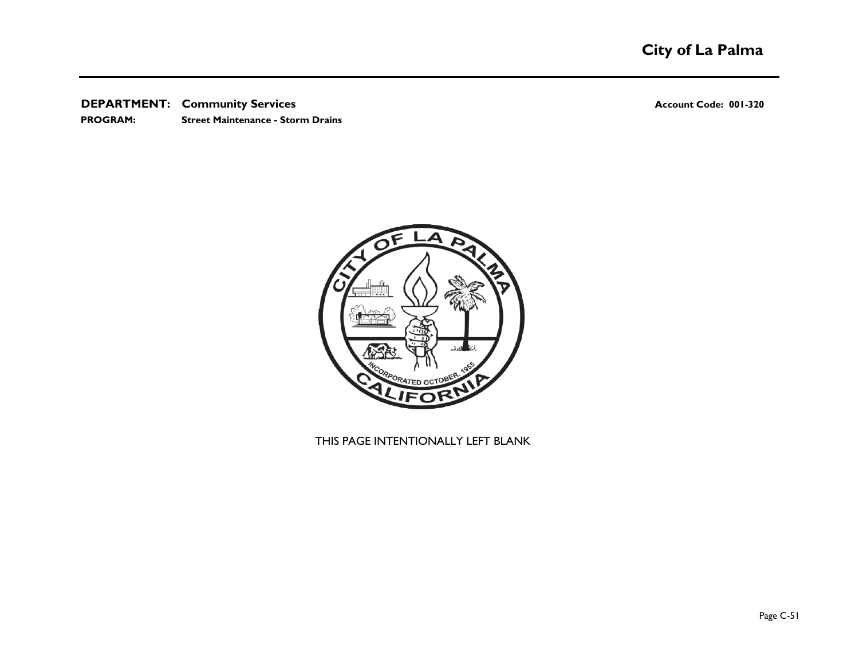**PROGRAM: Street Maintenance - Storm Drains**



## THIS PAGE INTENTIONALLY LEFT BLANK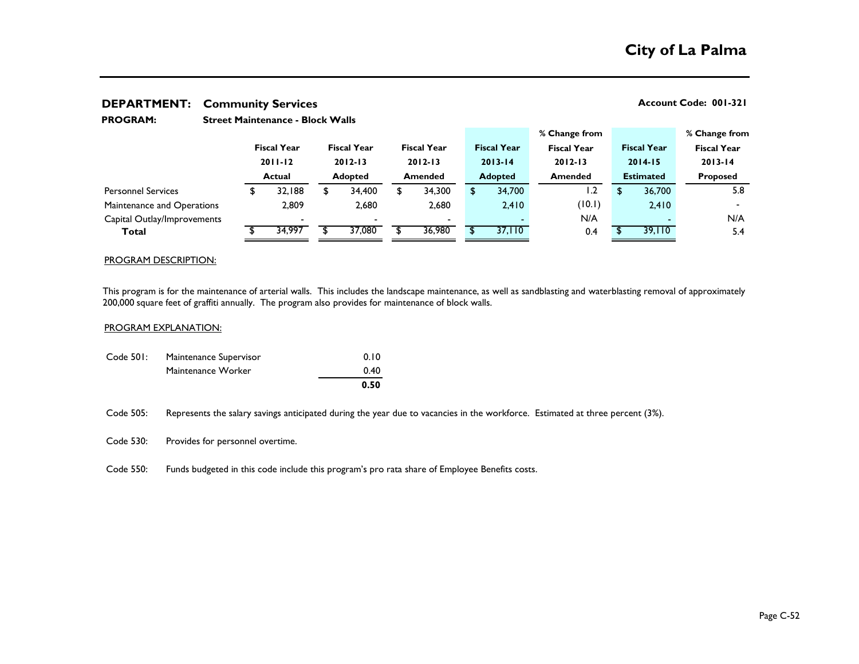| <b>PROGRAM:</b>             |                    | <b>Street Maintenance - Block Walls</b> |                    |        |                    |                          |  |                    |     |                    |             |                    |                    |  |
|-----------------------------|--------------------|-----------------------------------------|--------------------|--------|--------------------|--------------------------|--|--------------------|-----|--------------------|-------------|--------------------|--------------------|--|
|                             |                    |                                         |                    |        |                    |                          |  |                    |     | % Change from      |             |                    | % Change from      |  |
|                             | <b>Fiscal Year</b> |                                         | <b>Fiscal Year</b> |        | <b>Fiscal Year</b> |                          |  | <b>Fiscal Year</b> |     | <b>Fiscal Year</b> |             | <b>Fiscal Year</b> | <b>Fiscal Year</b> |  |
|                             | $2011 - 12$        |                                         | $2012 - 13$        |        | $2012 - 13$        |                          |  | $2013 - 14$        |     | $2012 - 13$        | $2014 - 15$ |                    | $2013 - 14$        |  |
|                             | Actual             |                                         | <b>Adopted</b>     |        | <b>Amended</b>     |                          |  | <b>Adopted</b>     |     | <b>Amended</b>     |             | <b>Estimated</b>   | <b>Proposed</b>    |  |
| <b>Personnel Services</b>   |                    | 32,188                                  | \$                 | 34.400 | S                  | 34,300                   |  | 34,700             |     | 1.2                | \$.         | 36,700             | 5.8                |  |
| Maintenance and Operations  | 2,809              |                                         | 2,680              |        |                    | 2,680                    |  | 2,410              |     | (10.1)             |             | 2,410              | $\blacksquare$     |  |
| Capital Outlay/Improvements | $\blacksquare$     |                                         |                    |        |                    | $\overline{\phantom{0}}$ |  |                    | N/A |                    |             |                    | N/A                |  |
| Total                       |                    | 34,997                                  |                    | 37,080 |                    | 36,980                   |  | 37,110             |     | 0.4                |             | 39,110             | 5.4                |  |
|                             |                    |                                         |                    |        |                    |                          |  |                    |     |                    |             |                    |                    |  |

#### PROGRAM DESCRIPTION:

This program is for the maintenance of arterial walls. This includes the landscape maintenance, as well as sandblasting and waterblasting removal of approximately 200,000 square feet of graffiti annually. The program also provides for maintenance of block walls.

### PROGRAM EXPLANATION:

|           |                        | 0.50 |
|-----------|------------------------|------|
|           | Maintenance Worker     | 0.40 |
| Code 501: | Maintenance Supervisor | 0.10 |

Code 505: Represents the salary savings anticipated during the year due to vacancies in the workforce. Estimated at three percent (3%).

Code 530: Provides for personnel overtime.

Code 550: Funds budgeted in this code include this program's pro rata share of Employee Benefits costs.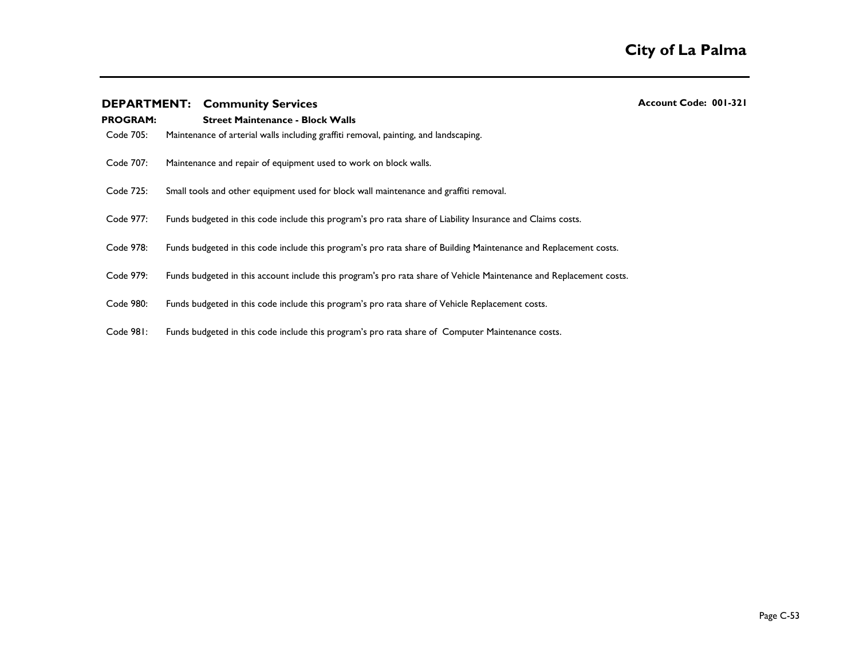| <b>PROGRAM:</b><br>Code 705: | <b>Street Maintenance - Block Walls</b><br>Maintenance of arterial walls including graffiti removal, painting, and landscaping. |
|------------------------------|---------------------------------------------------------------------------------------------------------------------------------|
| Code 707:                    | Maintenance and repair of equipment used to work on block walls.                                                                |
| Code 725:                    | Small tools and other equipment used for block wall maintenance and graffiti removal.                                           |
| Code 977:                    | Funds budgeted in this code include this program's pro rata share of Liability Insurance and Claims costs.                      |
| Code 978:                    | Funds budgeted in this code include this program's pro rata share of Building Maintenance and Replacement costs.                |
| Code 979:                    | Funds budgeted in this account include this program's pro rata share of Vehicle Maintenance and Replacement costs.              |
| Code 980:                    | Funds budgeted in this code include this program's pro rata share of Vehicle Replacement costs.                                 |
| Code 981:                    | Funds budgeted in this code include this program's pro rata share of Computer Maintenance costs.                                |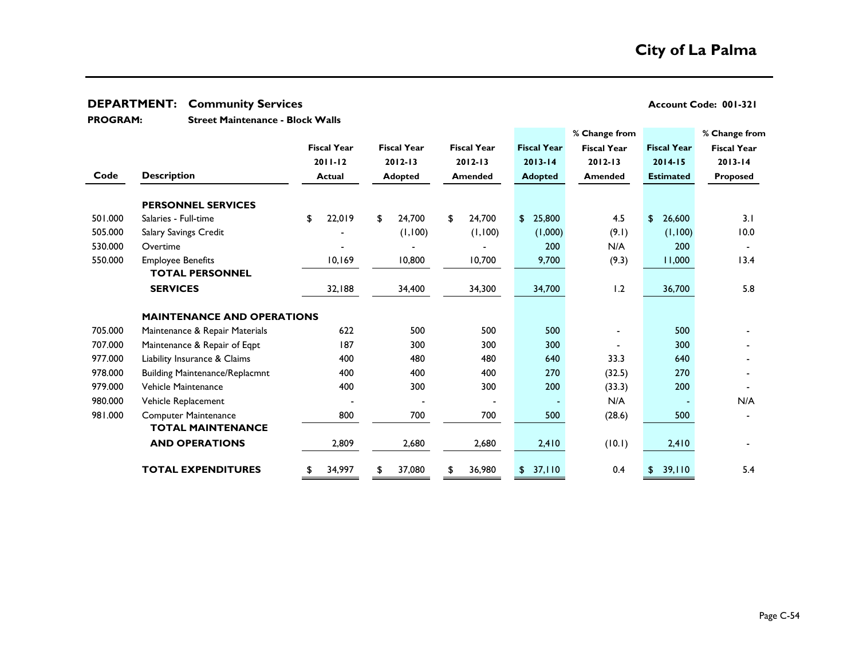## **DEPARTMENT:** Community Services

**Street Maintenance - Block Walls PROGRAM:** 

| Account Code: 001-321 |  |  |
|-----------------------|--|--|
|-----------------------|--|--|

|         |                                       |       |                    |       |                    |       |                    |    |                    | % Change from      |                    | % Change from      |  |
|---------|---------------------------------------|-------|--------------------|-------|--------------------|-------|--------------------|----|--------------------|--------------------|--------------------|--------------------|--|
|         |                                       |       | <b>Fiscal Year</b> |       | <b>Fiscal Year</b> |       | <b>Fiscal Year</b> |    | <b>Fiscal Year</b> | <b>Fiscal Year</b> | <b>Fiscal Year</b> | <b>Fiscal Year</b> |  |
|         |                                       |       | $2011 - 12$        |       | $2012 - 13$        |       | $2012 - 13$        |    | $2013 - 14$        | $2012 - 13$        | $2014 - 15$        | $2013 - 14$        |  |
| Code    | <b>Description</b>                    |       | <b>Actual</b>      |       | <b>Adopted</b>     |       | Amended            |    | <b>Adopted</b>     | Amended            | <b>Estimated</b>   | <b>Proposed</b>    |  |
|         | <b>PERSONNEL SERVICES</b>             |       |                    |       |                    |       |                    |    |                    |                    |                    |                    |  |
| 501.000 | Salaries - Full-time                  | \$    | 22,019             | \$    | 24,700             | \$    | 24,700             | \$ | 25,800             | 4.5                | 26,600<br>\$       | 3.1                |  |
| 505.000 | Salary Savings Credit                 |       |                    |       | (1,100)            |       | (1,100)            |    | (0.00, 1)          | (9.1)              | (1,100)            | 10.0               |  |
| 530.000 | Overtime                              |       |                    |       |                    |       |                    |    | 200                | N/A                | 200                |                    |  |
| 550.000 | <b>Employee Benefits</b>              |       | 10,169             |       | 10,800             |       | 10,700             |    | 9,700              | (9.3)              | 11,000             | 13.4               |  |
|         | <b>TOTAL PERSONNEL</b>                |       |                    |       |                    |       |                    |    |                    |                    |                    |                    |  |
|         | <b>SERVICES</b>                       |       | 32,188             |       | 34,400             |       | 34,300             |    | 34,700             | 1.2                | 36,700             | 5.8                |  |
|         | <b>MAINTENANCE AND OPERATIONS</b>     |       |                    |       |                    |       |                    |    |                    |                    |                    |                    |  |
| 705.000 | Maintenance & Repair Materials        |       | 622                |       | 500                |       | 500                |    | 500                |                    | 500                |                    |  |
| 707.000 | Maintenance & Repair of Eqpt          |       | 187                |       | 300                |       | 300                |    | 300                |                    | 300                |                    |  |
| 977.000 | Liability Insurance & Claims          |       | 400                |       | 480                |       | 480                |    | 640                | 33.3               | 640                |                    |  |
| 978.000 | <b>Building Maintenance/Replacmnt</b> |       | 400                |       | 400                |       | 400                |    | 270                | (32.5)             | 270                |                    |  |
| 979.000 | Vehicle Maintenance                   |       | 400                |       | 300                |       | 300                |    | 200                | (33.3)             | 200                |                    |  |
| 980.000 | Vehicle Replacement                   |       |                    |       |                    |       |                    |    |                    | N/A                |                    | N/A                |  |
| 981.000 | <b>Computer Maintenance</b>           |       | 800                |       | 700                |       | 700                |    | 500                | (28.6)             | 500                |                    |  |
|         | <b>TOTAL MAINTENANCE</b>              |       |                    |       |                    |       |                    |    |                    |                    |                    |                    |  |
|         | <b>AND OPERATIONS</b>                 | 2,809 |                    | 2,680 |                    | 2,680 |                    |    | 2,410              | (10.1)             | 2,410              |                    |  |
|         | <b>TOTAL EXPENDITURES</b>             | \$    | 34,997             | \$    | 37,080             | \$    | 36,980             | \$ | 37,110             | 0.4                | 39,110<br>S        | 5.4                |  |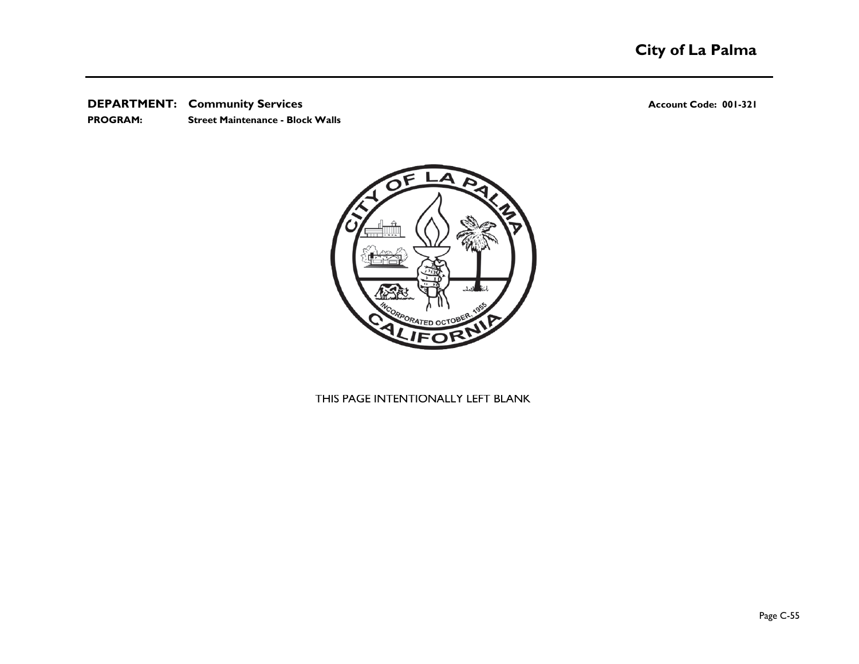**PROGRAM: Street Maintenance - Block Walls**



## THIS PAGE INTENTIONALLY LEFT BLANK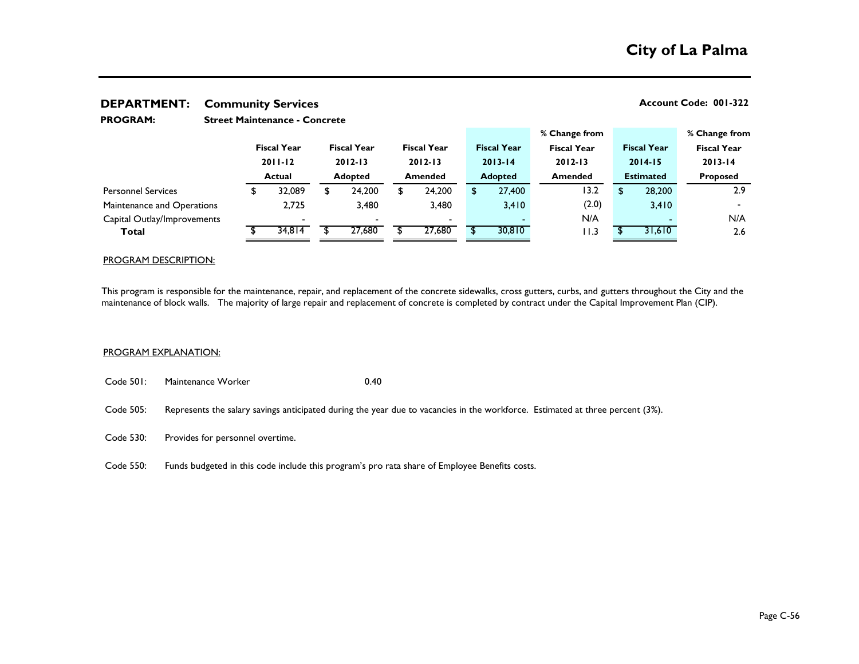| <b>PROGRAM:</b>             | <b>Street Maintenance - Concrete</b> |        |                    |        |                |                          |  |                    |               |                    |                    |                  |                          |  |
|-----------------------------|--------------------------------------|--------|--------------------|--------|----------------|--------------------------|--|--------------------|---------------|--------------------|--------------------|------------------|--------------------------|--|
|                             |                                      |        |                    |        |                |                          |  |                    | % Change from |                    |                    | % Change from    |                          |  |
|                             | <b>Fiscal Year</b>                   |        | <b>Fiscal Year</b> |        |                | <b>Fiscal Year</b>       |  | <b>Fiscal Year</b> |               | <b>Fiscal Year</b> | <b>Fiscal Year</b> |                  | <b>Fiscal Year</b>       |  |
|                             | $2011 - 12$                          |        | $2012 - 13$        |        |                | $2012 - 13$              |  | $2013 - 14$        |               | $2012 - 13$        | $2014 - 15$        |                  | $2013 - 14$              |  |
|                             | <b>Actual</b>                        |        | <b>Adopted</b>     |        | <b>Amended</b> |                          |  | <b>Adopted</b>     |               | <b>Amended</b>     |                    | <b>Estimated</b> | <b>Proposed</b>          |  |
| <b>Personnel Services</b>   |                                      | 32,089 | S                  | 24,200 | \$             | 24,200                   |  | 27,400             |               | 13.2               |                    | 28,200           | 2.9                      |  |
| Maintenance and Operations  | 2.725                                |        | 3,480              |        |                | 3,480                    |  | 3,410              |               | (2.0)              |                    | 3,410            | $\overline{\phantom{0}}$ |  |
| Capital Outlay/Improvements | -                                    |        |                    |        |                | $\overline{\phantom{0}}$ |  |                    | N/A           |                    |                    |                  | N/A                      |  |
| Total                       | 34,814                               |        |                    | 27,680 |                | 27,680                   |  | 30,810             |               | l I .3             |                    | 31,610           | 2.6                      |  |
|                             |                                      |        |                    |        |                |                          |  |                    |               |                    |                    |                  |                          |  |

### PROGRAM DESCRIPTION:

This program is responsible for the maintenance, repair, and replacement of the concrete sidewalks, cross gutters, curbs, and gutters throughout the City and the maintenance of block walls. The majority of large repair and replacement of concrete is completed by contract under the Capital Improvement Plan (CIP).

### PROGRAM EXPLANATION:

- Code 501: Maintenance Worker 0.40
- Code 505: Represents the salary savings anticipated during the year due to vacancies in the workforce. Estimated at three percent (3%).
- Code 530: Provides for personnel overtime.
- Code 550: Funds budgeted in this code include this program's pro rata share of Employee Benefits costs.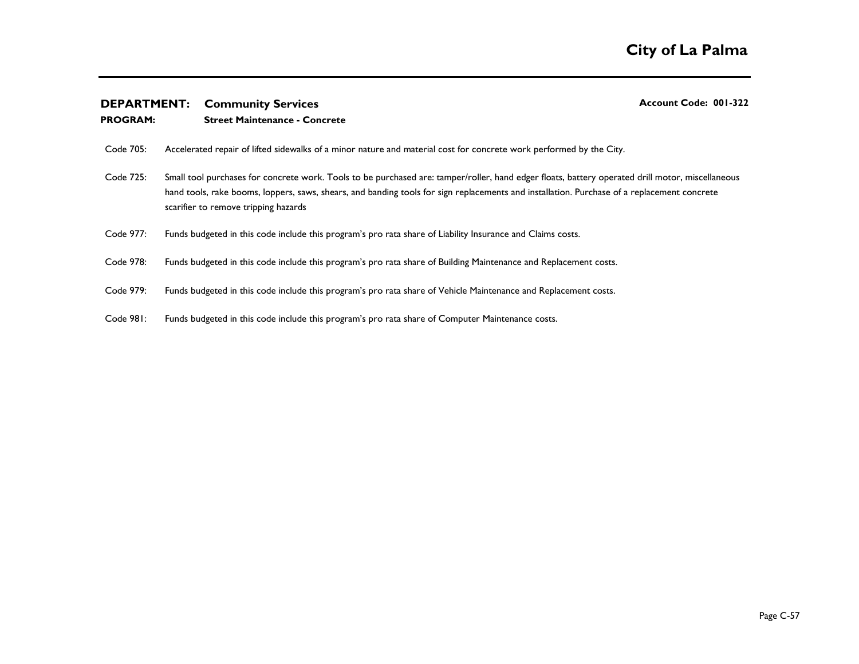### **PROGRAM: Street Maintenance - Concrete**

- Code 705: Accelerated repair of lifted sidewalks of a minor nature and material cost for concrete work performed by the City.
- Code 725: Small tool purchases for concrete work. Tools to be purchased are: tamper/roller, hand edger floats, battery operated drill motor, miscellaneous hand tools, rake booms, loppers, saws, shears, and banding tools for sign replacements and installation. Purchase of a replacement concrete scarifier to remove tripping hazards
- Code 977: Funds budgeted in this code include this program's pro rata share of Liability Insurance and Claims costs.
- Code 978: Funds budgeted in this code include this program's pro rata share of Building Maintenance and Replacement costs.
- Code 979: Funds budgeted in this code include this program's pro rata share of Vehicle Maintenance and Replacement costs.
- Code 981: Funds budgeted in this code include this program's pro rata share of Computer Maintenance costs.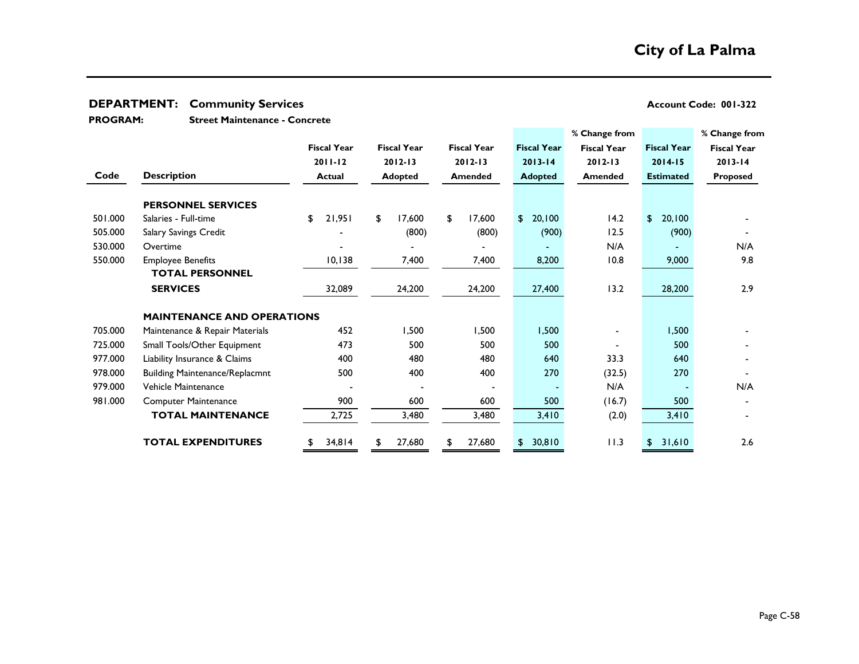**Street Maintenance - Concrete PROGRAM:** 

|         |                                       |                    |                |                    |                |                    |                        | % Change from      |                    | % Change from      |
|---------|---------------------------------------|--------------------|----------------|--------------------|----------------|--------------------|------------------------|--------------------|--------------------|--------------------|
|         |                                       | <b>Fiscal Year</b> |                | <b>Fiscal Year</b> |                | <b>Fiscal Year</b> | <b>Fiscal Year</b>     | <b>Fiscal Year</b> | <b>Fiscal Year</b> | <b>Fiscal Year</b> |
|         |                                       | $2011 - 12$        |                | $2012 - 13$        |                | $2012 - 13$        | $2013 - 14$            | $2012 - 13$        | $2014 - 15$        | $2013 - 14$        |
| Code    | <b>Description</b>                    | <b>Actual</b>      | <b>Adopted</b> |                    | <b>Amended</b> |                    | <b>Adopted</b>         | <b>Amended</b>     | <b>Estimated</b>   | Proposed           |
|         | <b>PERSONNEL SERVICES</b>             |                    |                |                    |                |                    |                        |                    |                    |                    |
| 501.000 | Salaries - Full-time                  | \$<br>21,951       | \$             | 17,600             | \$             | 17,600             | 20,100<br>$\mathsf{S}$ | 14.2               | 20,100<br>\$       |                    |
| 505.000 | Salary Savings Credit                 |                    |                | (800)              |                | (800)              | (900)                  | 12.5               | (900)              |                    |
| 530.000 | Overtime                              |                    |                |                    |                |                    |                        | N/A                |                    | N/A                |
| 550.000 | <b>Employee Benefits</b>              | 10, 138            |                | 7,400              |                | 7,400              | 8,200                  | 10.8               | 9,000              | 9.8                |
|         | <b>TOTAL PERSONNEL</b>                |                    |                |                    |                |                    |                        |                    |                    |                    |
|         | <b>SERVICES</b>                       | 32,089             |                | 24,200             |                | 24,200             | 27,400                 | 13.2               | 28,200             | 2.9                |
|         |                                       |                    |                |                    |                |                    |                        |                    |                    |                    |
|         | <b>MAINTENANCE AND OPERATIONS</b>     |                    |                |                    |                |                    |                        |                    |                    |                    |
| 705.000 | Maintenance & Repair Materials        | 452                |                | 1,500              |                | 1,500              | 1,500                  |                    | 1,500              |                    |
| 725.000 | Small Tools/Other Equipment           | 473                |                | 500                |                | 500                | 500                    |                    | 500                |                    |
| 977.000 | Liability Insurance & Claims          | 400                |                | 480                |                | 480                | 640                    | 33.3               | 640                |                    |
| 978.000 | <b>Building Maintenance/Replacmnt</b> | 500                |                | 400                |                | 400                | 270                    | (32.5)             | 270                |                    |
| 979.000 | Vehicle Maintenance                   |                    |                |                    |                |                    |                        | N/A                |                    | N/A                |
| 981.000 | <b>Computer Maintenance</b>           | 900                |                | 600                |                | 600                | 500                    | (16.7)             | 500                |                    |
|         | <b>TOTAL MAINTENANCE</b>              | 2,725              |                | 3,480              |                | 3,480              | 3,410                  | (2.0)              | 3,410              |                    |
|         |                                       |                    |                |                    |                |                    |                        |                    |                    |                    |
|         | <b>TOTAL EXPENDITURES</b>             | \$<br>34,814       | \$             | 27,680             | \$             | 27,680             | 30,810<br>\$.          | 11.3               | 31,610<br>\$.      | 2.6                |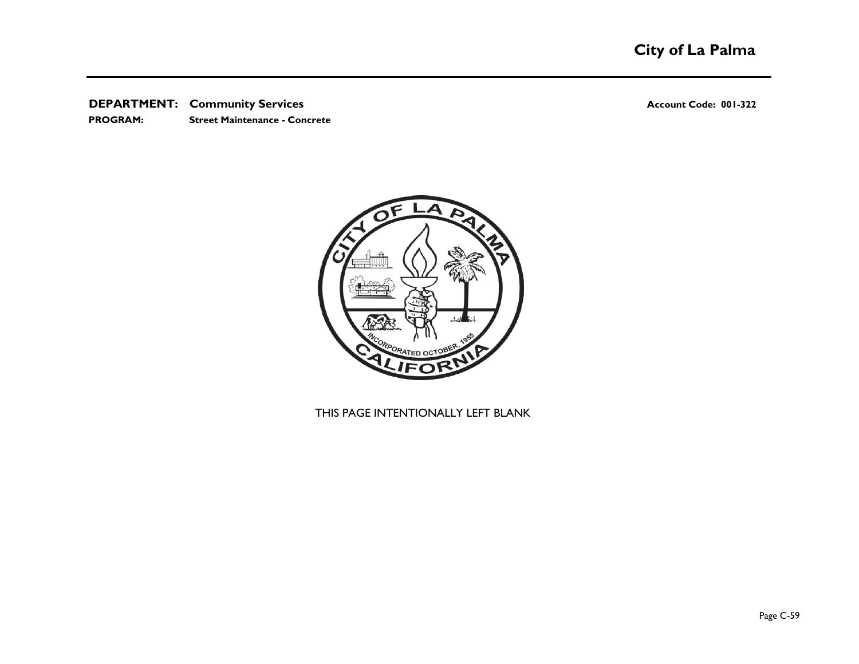**PROGRAM: Street Maintenance - Concrete**



THIS PAGE INTENTIONALLY LEFT BLANK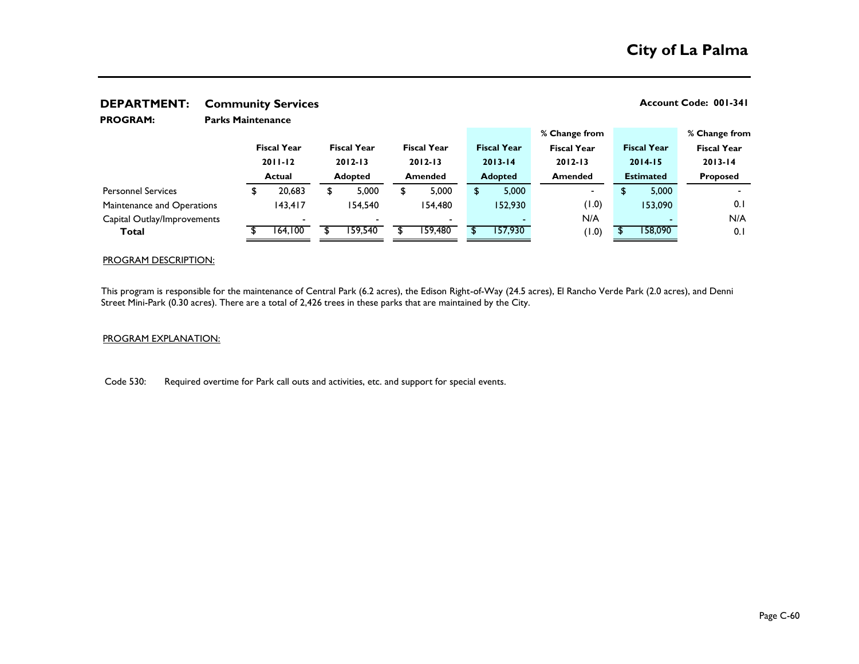| PELAILLIEITI.<br>Communicy Scribers |                          |               |                    |                |                    |         |                    |  |                    |                    |                  |                    |                    |  |
|-------------------------------------|--------------------------|---------------|--------------------|----------------|--------------------|---------|--------------------|--|--------------------|--------------------|------------------|--------------------|--------------------|--|
| <b>PROGRAM:</b>                     | <b>Parks Maintenance</b> |               |                    |                |                    |         |                    |  |                    |                    |                  |                    |                    |  |
|                                     |                          |               |                    |                |                    |         |                    |  |                    | % Change from      |                  |                    | % Change from      |  |
|                                     |                          |               | <b>Fiscal Year</b> |                | <b>Fiscal Year</b> |         | <b>Fiscal Year</b> |  | <b>Fiscal Year</b> | <b>Fiscal Year</b> |                  | <b>Fiscal Year</b> | <b>Fiscal Year</b> |  |
|                                     |                          | $2011 - 12$   |                    |                | $2012 - 13$        |         | $2012 - 13$        |  | $2013 - 14$        | $2012 - 13$        | $2014 - 15$      |                    | $2013 - 14$        |  |
|                                     |                          | <b>Actual</b> |                    | <b>Adopted</b> |                    | Amended |                    |  | <b>Adopted</b>     | <b>Amended</b>     | <b>Estimated</b> |                    | <b>Proposed</b>    |  |
| <b>Personnel Services</b>           |                          |               | 20,683             | \$             | 5,000              | S       | 5,000              |  | 5,000              | ۰                  | \$               | 5,000              |                    |  |
| Maintenance and Operations          |                          |               | 143,417            |                | 154.540            |         | 154,480            |  | 152,930            | (0.1)              |                  | 153,090            | 0.1                |  |
| Capital Outlay/Improvements         |                          |               |                    |                |                    |         |                    |  |                    | N/A                |                  |                    | N/A                |  |
| Total                               |                          |               | 164,100            |                | 59.540             |         | 159,480            |  | 157,930            | (0.1)              |                  | 158,090            | 0.1                |  |
|                                     |                          |               |                    |                |                    |         |                    |  |                    |                    |                  |                    |                    |  |

### PROGRAM DESCRIPTION:

This program is responsible for the maintenance of Central Park (6.2 acres), the Edison Right-of-Way (24.5 acres), El Rancho Verde Park (2.0 acres), and Denni Street Mini-Park (0.30 acres). There are a total of 2,426 trees in these parks that are maintained by the City.

### PROGRAM EXPLANATION:

Code 530: Required overtime for Park call outs and activities, etc. and support for special events.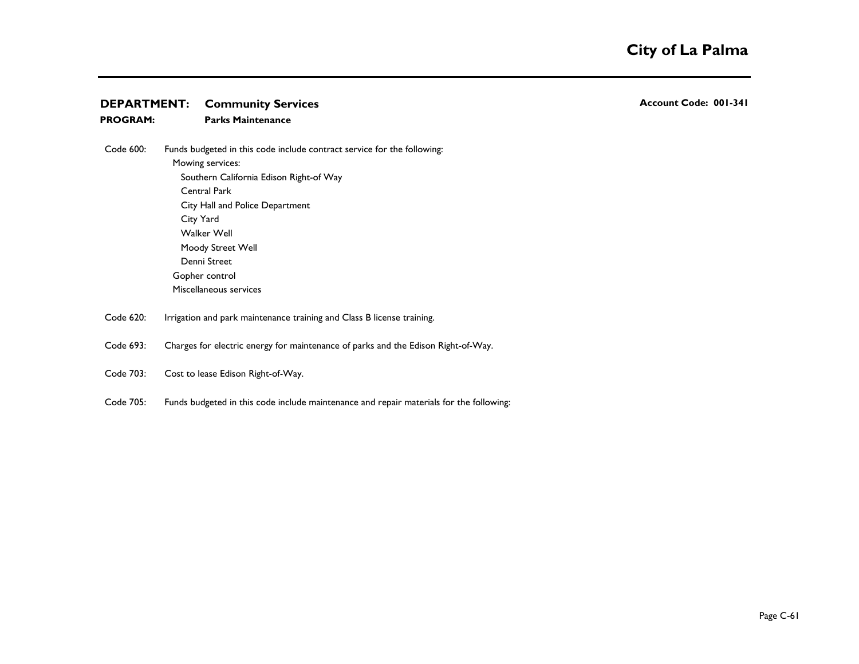**PROGRAM: Parks Maintenance**

- Code 600: Mowing services: Southern California Edison Right-of Way Central Park City Hall and Police Department City Yard 2,200 and 2,200 and 2,200 and 2,200 and 2,200 and 2,200 and 2,200 and 2,200 and 2,200 and 2,200 and 2,200 and 2,200 and 2,200 and 2,200 and 2,200 and 2,200 and 2,200 and 2,200 and 2,200 and 2,200 and 2,200 and 2, Walker Well Moody Street Well Funds budgeted in this code include contract service for the following:
	- Denni Street Gopher control Miscellaneous services
- Code 620: Irrigation and park maintenance training and Class B license training.
- Code 693: Charges for electric energy for maintenance of parks and the Edison Right-of-Way.
- Code 703: Cost to lease Edison Right-of-Way.
- Code 705: Funds budgeted in this code include maintenance and repair materials for the following: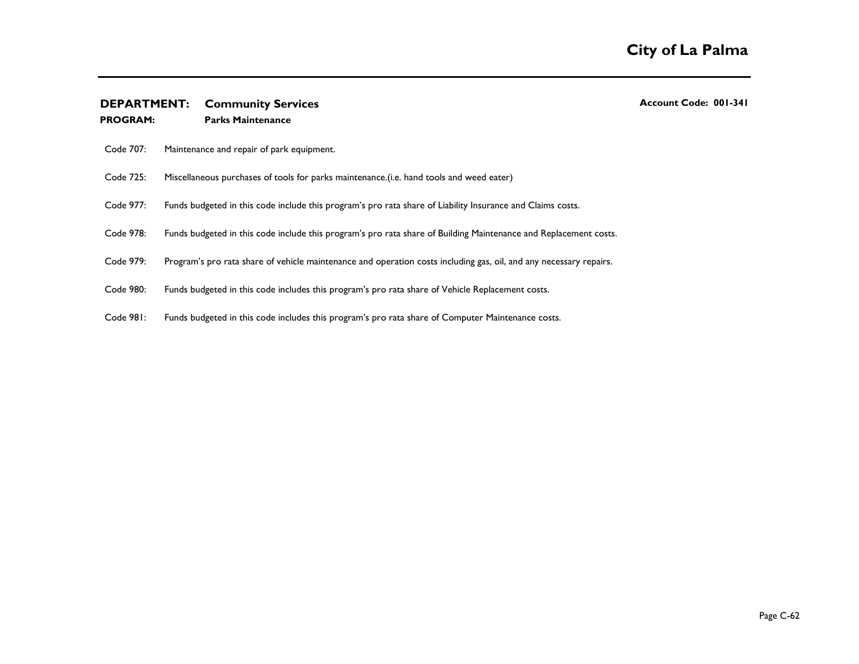| <b>PROGRAM:</b> | <b>Parks Maintenance</b>                                                                                           |
|-----------------|--------------------------------------------------------------------------------------------------------------------|
| Code 707:       | Maintenance and repair of park equipment.                                                                          |
| Code 725:       | Miscellaneous purchases of tools for parks maintenance.(i.e. hand tools and weed eater)                            |
| Code 977:       | Funds budgeted in this code include this program's pro rata share of Liability Insurance and Claims costs.         |
| Code 978:       | Funds budgeted in this code include this program's pro rata share of Building Maintenance and Replacement costs.   |
| Code 979:       | Program's pro rata share of vehicle maintenance and operation costs including gas, oil, and any necessary repairs. |
| Code 980:       | Funds budgeted in this code includes this program's pro rata share of Vehicle Replacement costs.                   |
| Code 981:       | Funds budgeted in this code includes this program's pro rata share of Computer Maintenance costs.                  |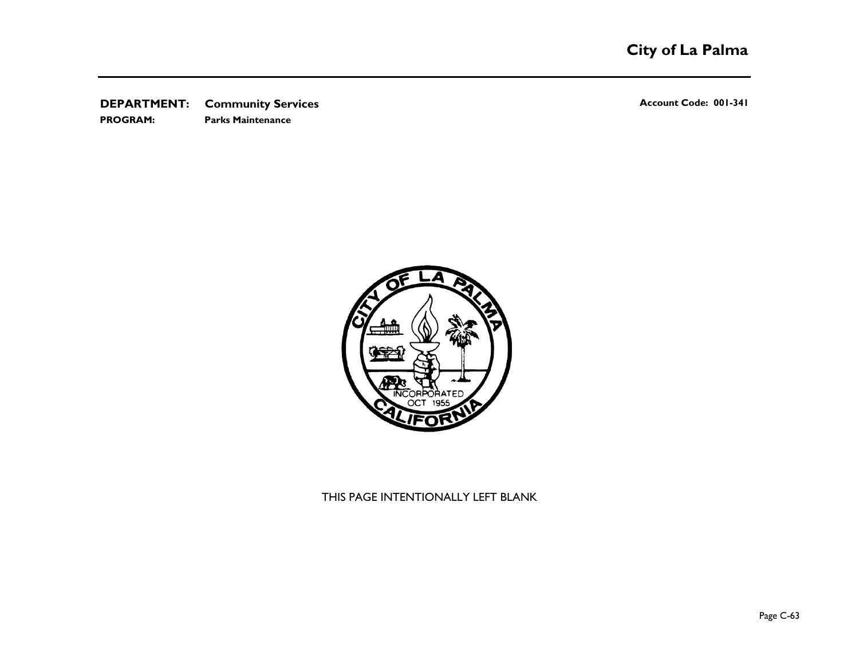**DEPARTMENT:** Community Services **Account Code: 001-341 PROGRAM: Parks Maintenance**



THIS PAGE INTENTIONALLY LEFT BLANK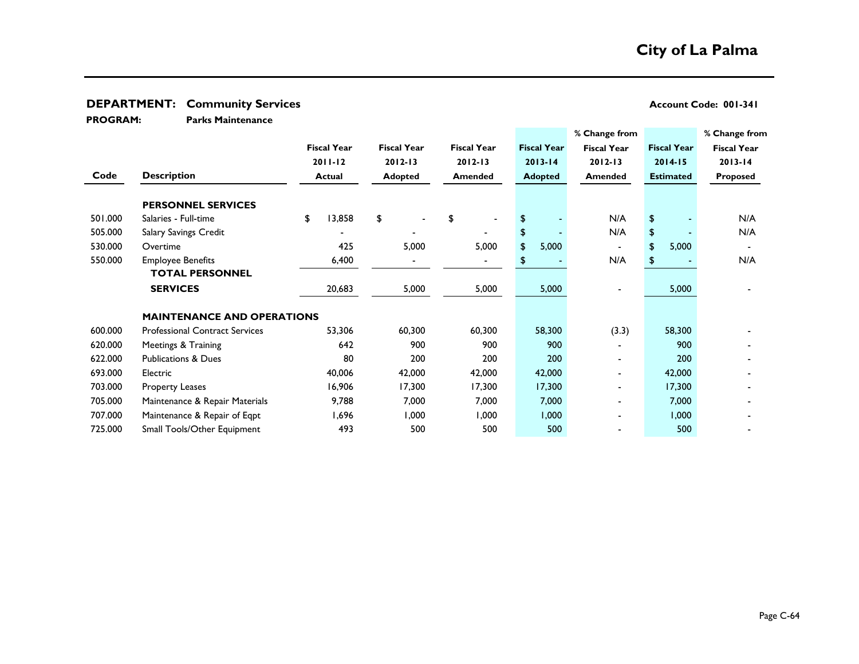**Parks Maintenance PROGRAM:** 

|         |                                       |    |                    |    |                    |    |                    |    |                    | % Change from      |                |                    | % Change from      |     |
|---------|---------------------------------------|----|--------------------|----|--------------------|----|--------------------|----|--------------------|--------------------|----------------|--------------------|--------------------|-----|
|         |                                       |    | <b>Fiscal Year</b> |    | <b>Fiscal Year</b> |    | <b>Fiscal Year</b> |    | <b>Fiscal Year</b> | <b>Fiscal Year</b> |                | <b>Fiscal Year</b> | <b>Fiscal Year</b> |     |
|         |                                       |    | $2011 - 12$        |    | $2012 - 13$        |    | $2012 - 13$        |    | $2013 - 14$        | $2012 - 13$        |                | $2014 - 15$        | $2013 - 14$        |     |
| Code    | <b>Description</b>                    |    | <b>Actual</b>      |    | <b>Adopted</b>     |    | <b>Amended</b>     |    | <b>Adopted</b>     | <b>Amended</b>     |                | <b>Estimated</b>   | Proposed           |     |
|         | <b>PERSONNEL SERVICES</b>             |    |                    |    |                    |    |                    |    |                    |                    |                |                    |                    |     |
| 501.000 | Salaries - Full-time                  | \$ | 13,858             | \$ |                    | \$ |                    |    |                    |                    | N/A            | \$                 |                    | N/A |
| 505.000 | Salary Savings Credit                 |    |                    |    |                    |    |                    | \$ |                    |                    | N/A            | \$                 |                    | N/A |
| 530.000 | Overtime                              |    | 425                |    | 5,000              |    | 5,000              | \$ | 5,000              |                    | $\blacksquare$ | \$<br>5,000        |                    |     |
| 550.000 | <b>Employee Benefits</b>              |    | 6,400              |    |                    |    |                    |    |                    |                    | N/A            | \$                 |                    | N/A |
|         | <b>TOTAL PERSONNEL</b>                |    |                    |    |                    |    |                    |    |                    |                    |                |                    |                    |     |
|         | <b>SERVICES</b>                       |    | 20,683             |    | 5,000              |    | 5,000              |    | 5,000              |                    |                | 5,000              |                    |     |
|         | <b>MAINTENANCE AND OPERATIONS</b>     |    |                    |    |                    |    |                    |    |                    |                    |                |                    |                    |     |
| 600.000 | <b>Professional Contract Services</b> |    | 53,306             |    | 60,300             |    | 60,300             |    | 58,300             |                    | (3.3)          | 58,300             |                    |     |
| 620.000 | Meetings & Training                   |    | 642                |    | 900                |    | 900                |    | 900                |                    |                | 900                |                    |     |
| 622.000 | <b>Publications &amp; Dues</b>        |    | 80                 |    | 200                |    | 200                |    | 200                |                    |                | 200                |                    |     |
| 693.000 | Electric                              |    | 40,006             |    | 42,000             |    | 42,000             |    | 42,000             |                    |                | 42,000             |                    |     |
| 703.000 | <b>Property Leases</b>                |    | 16,906             |    | 17,300             |    | 17,300             |    | 17,300             |                    |                | 17,300             |                    |     |
| 705.000 | Maintenance & Repair Materials        |    | 9,788              |    | 7,000              |    | 7,000              |    | 7,000              |                    |                | 7,000              |                    |     |
| 707.000 | Maintenance & Repair of Eqpt          |    | 1,696              |    | 1,000              |    | 000, ا             |    | 1,000              |                    |                | 1,000              |                    |     |
| 725.000 | Small Tools/Other Equipment           |    | 493                |    | 500                |    | 500                |    | 500                |                    |                | 500                |                    |     |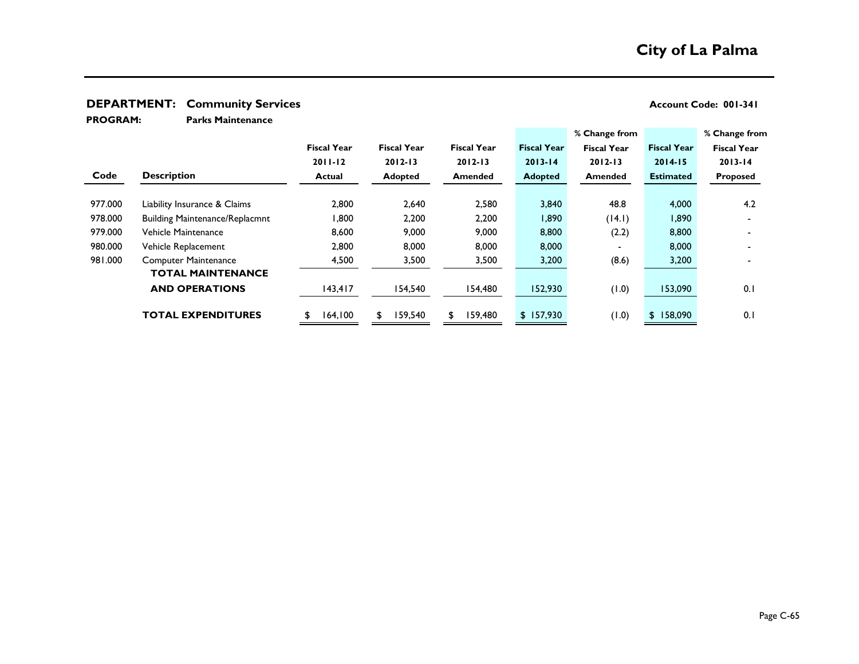**Parks Maintenance PROGRAM:** 

|         |                                       |                    |                    |                    |                    | % Change from            |                    | % Change from      |
|---------|---------------------------------------|--------------------|--------------------|--------------------|--------------------|--------------------------|--------------------|--------------------|
|         |                                       | <b>Fiscal Year</b> | <b>Fiscal Year</b> | <b>Fiscal Year</b> | <b>Fiscal Year</b> | <b>Fiscal Year</b>       | <b>Fiscal Year</b> | <b>Fiscal Year</b> |
|         |                                       | $2011 - 12$        | $2012 - 13$        | $2012 - 13$        | $2013 - 14$        | $2012 - 13$              | $2014 - 15$        | $2013 - 14$        |
| Code    | <b>Description</b>                    | <b>Actual</b>      | <b>Adopted</b>     | <b>Amended</b>     | <b>Adopted</b>     | Amended                  | <b>Estimated</b>   | Proposed           |
|         |                                       |                    |                    |                    |                    |                          |                    |                    |
| 977.000 | Liability Insurance & Claims          | 2,800              | 2,640              | 2,580              | 3,840              | 48.8                     | 4,000              | 4.2                |
| 978.000 | <b>Building Maintenance/Replacmnt</b> | 1,800              | 2,200              | 2,200              | 1,890              | (14.1)                   | 1,890              |                    |
| 979.000 | Vehicle Maintenance                   | 8,600              | 9,000              | 9,000              | 8,800              | (2.2)                    | 8,800              |                    |
| 980.000 | Vehicle Replacement                   | 2,800              | 8,000              | 8,000              | 8,000              | $\overline{\phantom{0}}$ | 8,000              |                    |
| 981.000 | <b>Computer Maintenance</b>           | 4,500              | 3,500              | 3,500              | 3,200              | (8.6)                    | 3,200              |                    |
|         | <b>TOTAL MAINTENANCE</b>              |                    |                    |                    |                    |                          |                    |                    |
|         | <b>AND OPERATIONS</b>                 | 143,417            | 154,540            | 154,480            | 152,930            | (1.0)                    | 153,090            | 0.1                |
|         | <b>TOTAL EXPENDITURES</b>             | 164,100<br>\$      | 159,540<br>\$      | 159,480<br>\$      | \$157,930          | (0.1)                    | \$158,090          | 0.1                |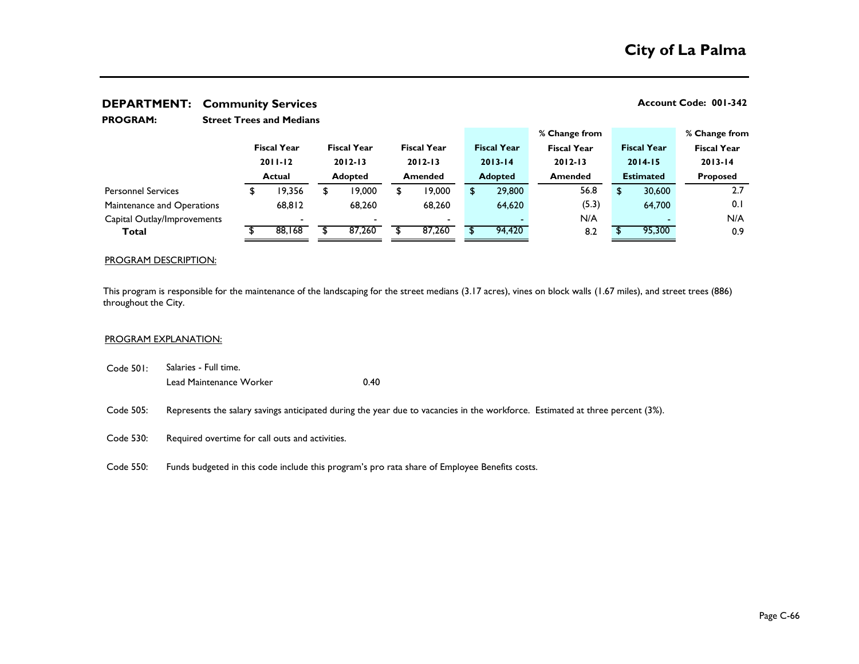| <b>PROGRAM:</b>             |               | <b>Street Trees and Medians</b> |                |                    |                |                          |                |                    |                    |                  |                    |                    |
|-----------------------------|---------------|---------------------------------|----------------|--------------------|----------------|--------------------------|----------------|--------------------|--------------------|------------------|--------------------|--------------------|
|                             |               |                                 |                |                    |                |                          |                |                    | % Change from      |                  |                    | % Change from      |
|                             |               | <b>Fiscal Year</b>              |                | <b>Fiscal Year</b> |                | <b>Fiscal Year</b>       |                | <b>Fiscal Year</b> | <b>Fiscal Year</b> |                  | <b>Fiscal Year</b> | <b>Fiscal Year</b> |
|                             |               | $2011 - 12$                     |                | $2012 - 13$        |                | $2012 - 13$              |                | $2013 - 14$        | $2012 - 13$        |                  | $2014 - 15$        | $2013 - 14$        |
|                             | <b>Actual</b> |                                 | <b>Adopted</b> |                    | <b>Amended</b> |                          | <b>Adopted</b> |                    | <b>Amended</b>     | <b>Estimated</b> |                    | <b>Proposed</b>    |
| <b>Personnel Services</b>   |               | 19,356                          |                | 19,000             | \$             | 19,000                   |                | 29,800             | 56.8               | \$               | 30,600             | 2.7                |
| Maintenance and Operations  |               | 68,812                          |                | 68,260             |                | 68,260                   |                | 64,620             | (5.3)              |                  | 64,700             | 0.1                |
| Capital Outlay/Improvements |               | $\overline{\phantom{0}}$        |                |                    |                | $\overline{\phantom{0}}$ |                |                    | N/A                |                  |                    | N/A                |
| Total                       |               | 88,168                          |                | 87,260             |                | 87,260                   |                | 94,420             | 8.2                |                  | 95,300             | 0.9                |

### PROGRAM DESCRIPTION:

This program is responsible for the maintenance of the landscaping for the street medians (3.17 acres), vines on block walls (1.67 miles), and street trees (886) throughout the City.

#### PROGRAM EXPLANATION:

- Code 501: Lead Maintenance Worker **0.40** Salaries - Full time.
- Code 505: Represents the salary savings anticipated during the year due to vacancies in the workforce. Estimated at three percent (3%).
- Code 530: Required overtime for call outs and activities.
- Code 550: Funds budgeted in this code include this program's pro rata share of Employee Benefits costs.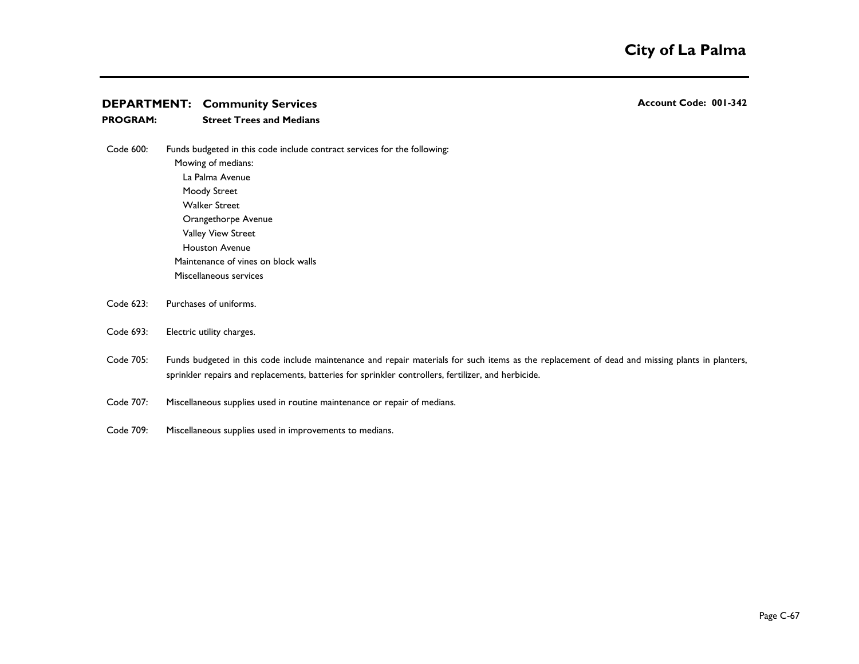### **PROGRAM: Street Trees and Medians**

- Code 600: Mowing of medians: La Palma Avenue Moody Street Walker Street Orangethorpe Avenue Valley View Street Houston Avenue Maintenance of vines on block walls Funds budgeted in this code include contract services for the following:
	-

Miscellaneous services

Code 623: Purchases of uniforms.

#### Code 693: Electric utility charges.

- Code 705: Funds budgeted in this code include maintenance and repair materials for such items as the replacement of dead and missing plants in planters, sprinkler repairs and replacements, batteries for sprinkler controllers, fertilizer, and herbicide.
- Code 707: Miscellaneous supplies used in routine maintenance or repair of medians.
- Code 709: Miscellaneous supplies used in improvements to medians.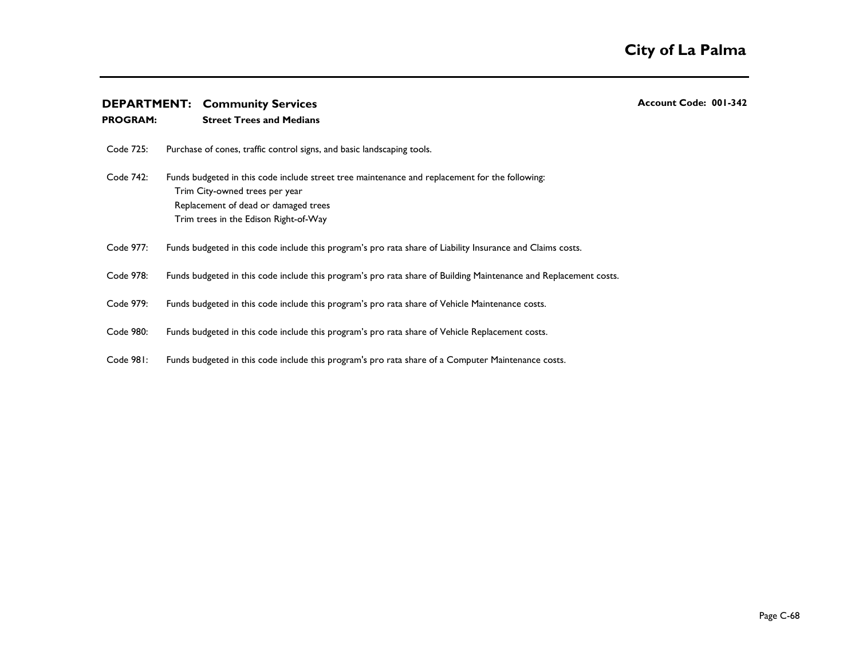### **PROGRAM: Street Trees and Medians**

Code 725: Purchase of cones, traffic control signs, and basic landscaping tools.

Code 742: Funds budgeted in this code include street tree maintenance and replacement for the following: Trim City-owned trees per year Replacement of dead or damaged trees Trim trees in the Edison Right-of-Way

- Code 977: Funds budgeted in this code include this program's pro rata share of Liability Insurance and Claims costs.
- Code 978: Funds budgeted in this code include this program's pro rata share of Building Maintenance and Replacement costs.
- Code 979: Funds budgeted in this code include this program's pro rata share of Vehicle Maintenance costs.
- Code 980: Funds budgeted in this code include this program's pro rata share of Vehicle Replacement costs.
- Code 981: Funds budgeted in this code include this program's pro rata share of a Computer Maintenance costs.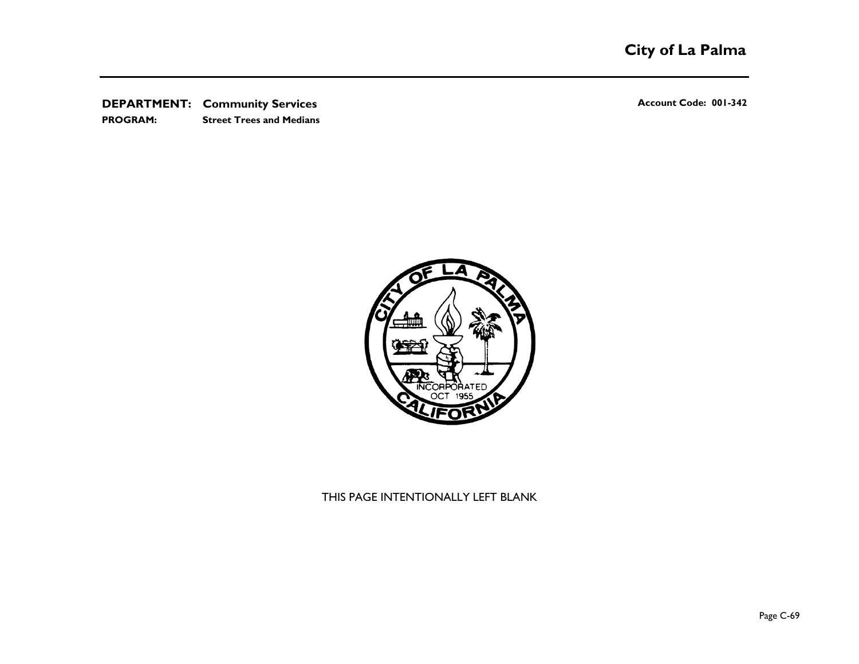**DEPARTMENT:** Community Services **Account Code: 001-342 Account Code: 001-342 PROGRAM: Street Trees and Medians**



## THIS PAGE INTENTIONALLY LEFT BLANK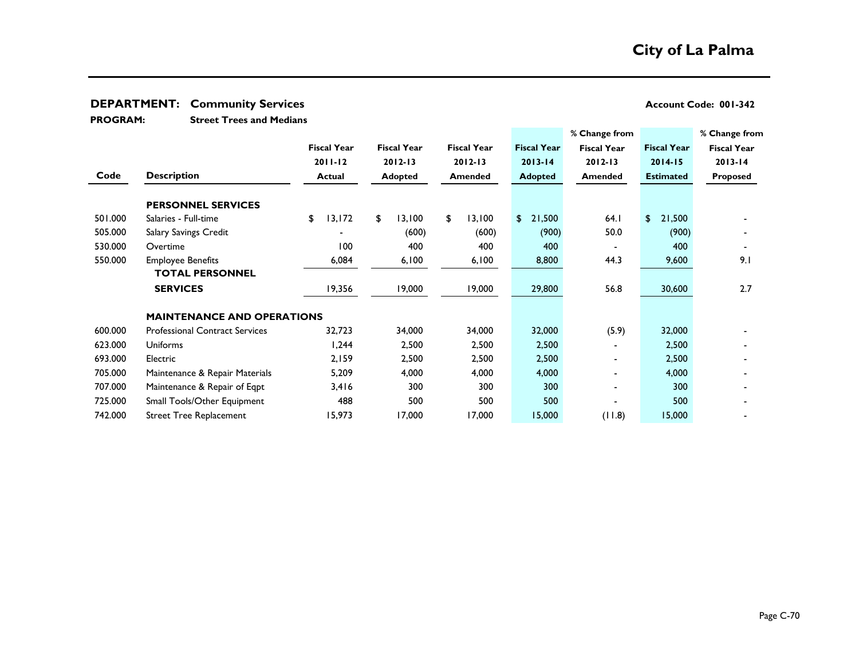**Street Trees and Medians PROGRAM:** 

|         |                                       |                    |                    |                    |                    | % Change from      |                    | % Change from      |
|---------|---------------------------------------|--------------------|--------------------|--------------------|--------------------|--------------------|--------------------|--------------------|
|         |                                       | <b>Fiscal Year</b> | <b>Fiscal Year</b> | <b>Fiscal Year</b> | <b>Fiscal Year</b> | <b>Fiscal Year</b> | <b>Fiscal Year</b> | <b>Fiscal Year</b> |
|         |                                       | $2011 - 12$        | $2012 - 13$        |                    | $2013 - 14$        | $2012 - 13$        | $2014 - 15$        | $2013 - 14$        |
| Code    | <b>Description</b>                    | Actual             | <b>Adopted</b>     | Amended            | <b>Adopted</b>     | <b>Amended</b>     | <b>Estimated</b>   | <b>Proposed</b>    |
|         | <b>PERSONNEL SERVICES</b>             |                    |                    |                    |                    |                    |                    |                    |
| 501.000 | Salaries - Full-time                  | 13,172<br>\$       | \$<br>13,100       | 13,100<br>\$       | \$<br>21,500       | 64.1               | \$<br>21,500       |                    |
| 505.000 | Salary Savings Credit                 |                    | (600)              | (600)              | (900)              | 50.0               | (900)              |                    |
| 530.000 | Overtime                              | 100                | 400                | 400                | 400                |                    | 400                |                    |
| 550.000 | <b>Employee Benefits</b>              | 6,084              | 6,100              | 6,100              | 8,800              | 44.3               | 9,600              | 9.1                |
|         | <b>TOTAL PERSONNEL</b>                |                    |                    |                    |                    |                    |                    |                    |
|         | <b>SERVICES</b>                       | 19,356             | 19,000             | 19,000             | 29,800             | 56.8               | 30,600             | 2.7                |
|         | <b>MAINTENANCE AND OPERATIONS</b>     |                    |                    |                    |                    |                    |                    |                    |
| 600.000 | <b>Professional Contract Services</b> | 32,723             | 34,000             | 34,000             | 32,000             | (5.9)              | 32,000             |                    |
| 623.000 | <b>Uniforms</b>                       | 1,244              | 2,500              | 2,500              | 2,500              |                    | 2,500              |                    |
| 693.000 | Electric                              | 2,159              | 2,500              | 2,500              | 2,500              |                    | 2,500              |                    |
| 705.000 | Maintenance & Repair Materials        | 5,209              | 4,000              | 4,000              | 4,000              | $\blacksquare$     | 4,000              |                    |
| 707.000 | Maintenance & Repair of Eqpt          | 3,416              | 300                | 300                | 300                | $\blacksquare$     | 300                |                    |
| 725.000 | Small Tools/Other Equipment           | 488                | 500                | 500                | 500                |                    | 500                |                    |
| 742.000 | <b>Street Tree Replacement</b>        | 15,973             | 17,000             | 17,000             | 15,000             | (11.8)             | 15,000             |                    |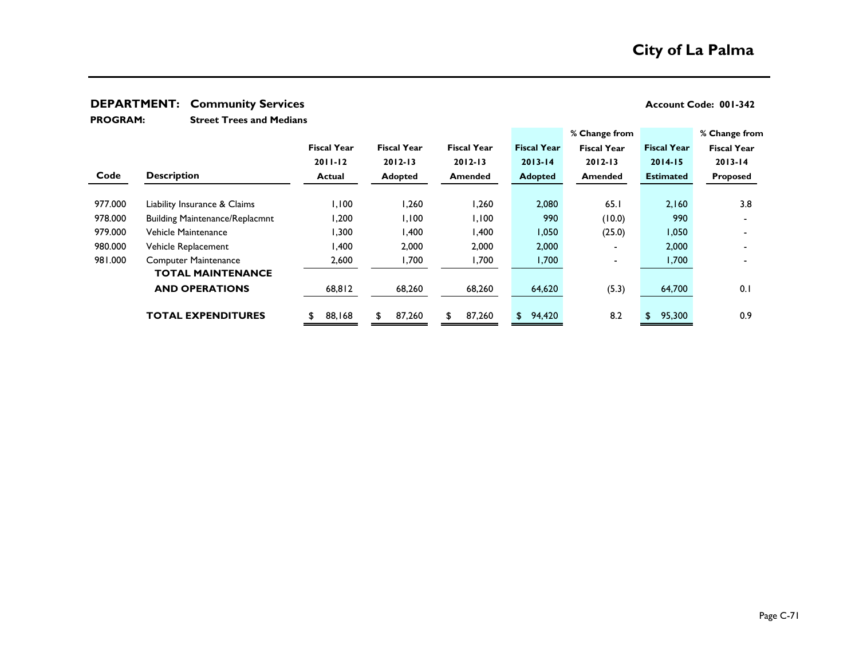**Street Trees and Medians PROGRAM:** 

| <b>Fiscal Year</b><br><b>Fiscal Year</b><br><b>Fiscal Year</b><br><b>Fiscal Year</b><br><b>Fiscal Year</b><br><b>Fiscal Year</b><br>$2011 - 12$<br>$2012 - 13$<br>$2012 - 13$<br>$2013 - 14$<br>$2012 - 13$<br>$2013 - 14$<br>$2014 - 15$<br>Code<br><b>Description</b><br><b>Adopted</b><br><b>Estimated</b><br><b>Adopted</b><br>Amended<br><b>Actual</b><br><b>Amended</b><br><b>Proposed</b><br>1,100<br>977.000<br>2,160<br>3.8<br>2,080<br>65.1<br>1.260<br>.260<br>Liability Insurance & Claims<br>990<br>978.000<br>0.200<br>1,100<br>(10.0)<br>1,100<br>990<br><b>Building Maintenance/Replacmnt</b><br>979.000<br>,300<br>400, ا<br>A00,<br>1,050<br>(25.0)<br>1,050<br>Vehicle Maintenance<br>980.000<br>400,١<br>2,000<br>2,000<br>2,000<br>2,000<br>Vehicle Replacement<br>-<br>981.000<br>2,600<br>1,700<br>,700<br>1,700<br>1,700<br><b>Computer Maintenance</b><br>-<br><b>TOTAL MAINTENANCE</b><br><b>AND OPERATIONS</b><br>(5.3)<br>0.1<br>68,812<br>68,260<br>68,260<br>64,700<br>64,620<br>0.9<br>87,260<br>8.2<br><b>TOTAL EXPENDITURES</b><br>88,168<br>87,260<br>95,300<br>94,420<br>\$<br>\$. |  |  |  | % Change from | % Change from      |
|-----------------------------------------------------------------------------------------------------------------------------------------------------------------------------------------------------------------------------------------------------------------------------------------------------------------------------------------------------------------------------------------------------------------------------------------------------------------------------------------------------------------------------------------------------------------------------------------------------------------------------------------------------------------------------------------------------------------------------------------------------------------------------------------------------------------------------------------------------------------------------------------------------------------------------------------------------------------------------------------------------------------------------------------------------------------------------------------------------------------------|--|--|--|---------------|--------------------|
|                                                                                                                                                                                                                                                                                                                                                                                                                                                                                                                                                                                                                                                                                                                                                                                                                                                                                                                                                                                                                                                                                                                       |  |  |  |               | <b>Fiscal Year</b> |
|                                                                                                                                                                                                                                                                                                                                                                                                                                                                                                                                                                                                                                                                                                                                                                                                                                                                                                                                                                                                                                                                                                                       |  |  |  |               |                    |
|                                                                                                                                                                                                                                                                                                                                                                                                                                                                                                                                                                                                                                                                                                                                                                                                                                                                                                                                                                                                                                                                                                                       |  |  |  |               |                    |
|                                                                                                                                                                                                                                                                                                                                                                                                                                                                                                                                                                                                                                                                                                                                                                                                                                                                                                                                                                                                                                                                                                                       |  |  |  |               |                    |
|                                                                                                                                                                                                                                                                                                                                                                                                                                                                                                                                                                                                                                                                                                                                                                                                                                                                                                                                                                                                                                                                                                                       |  |  |  |               |                    |
|                                                                                                                                                                                                                                                                                                                                                                                                                                                                                                                                                                                                                                                                                                                                                                                                                                                                                                                                                                                                                                                                                                                       |  |  |  |               |                    |
|                                                                                                                                                                                                                                                                                                                                                                                                                                                                                                                                                                                                                                                                                                                                                                                                                                                                                                                                                                                                                                                                                                                       |  |  |  |               |                    |
|                                                                                                                                                                                                                                                                                                                                                                                                                                                                                                                                                                                                                                                                                                                                                                                                                                                                                                                                                                                                                                                                                                                       |  |  |  |               |                    |
|                                                                                                                                                                                                                                                                                                                                                                                                                                                                                                                                                                                                                                                                                                                                                                                                                                                                                                                                                                                                                                                                                                                       |  |  |  |               |                    |
|                                                                                                                                                                                                                                                                                                                                                                                                                                                                                                                                                                                                                                                                                                                                                                                                                                                                                                                                                                                                                                                                                                                       |  |  |  |               |                    |
|                                                                                                                                                                                                                                                                                                                                                                                                                                                                                                                                                                                                                                                                                                                                                                                                                                                                                                                                                                                                                                                                                                                       |  |  |  |               |                    |
|                                                                                                                                                                                                                                                                                                                                                                                                                                                                                                                                                                                                                                                                                                                                                                                                                                                                                                                                                                                                                                                                                                                       |  |  |  |               |                    |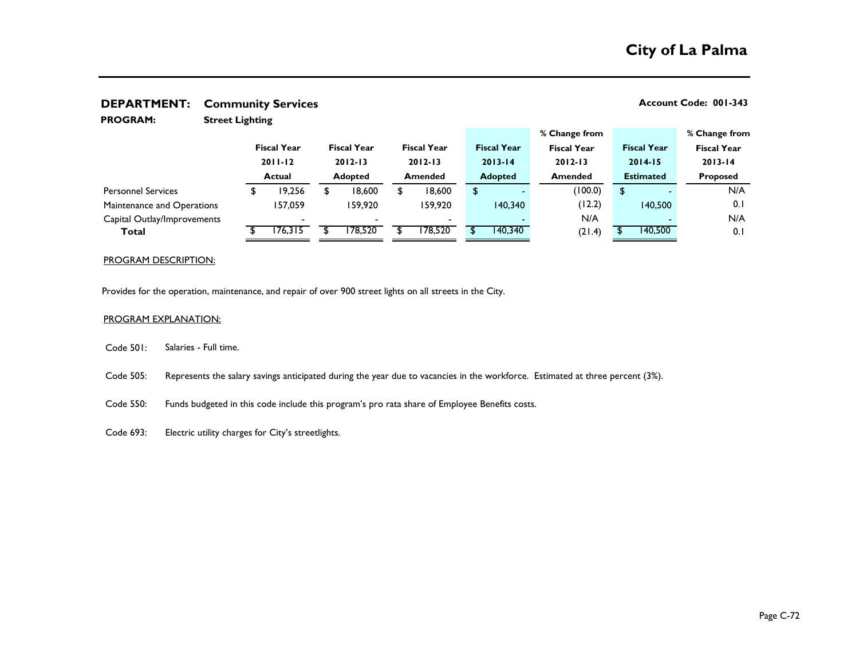| <b>PROGRAM:</b>             | <b>Street Lighting</b> |               |                    |         |                    |                |                    |                |                    |                    |                    |                    |
|-----------------------------|------------------------|---------------|--------------------|---------|--------------------|----------------|--------------------|----------------|--------------------|--------------------|--------------------|--------------------|
|                             |                        |               |                    |         |                    |                |                    |                |                    | % Change from      |                    | % Change from      |
|                             |                        |               | <b>Fiscal Year</b> |         | <b>Fiscal Year</b> |                | <b>Fiscal Year</b> |                | <b>Fiscal Year</b> | <b>Fiscal Year</b> | <b>Fiscal Year</b> | <b>Fiscal Year</b> |
|                             |                        |               | $2011 - 12$        |         | $2012 - 13$        |                | $2012 - 13$        |                | $2013 - 14$        | $2012 - 13$        | $2014 - 15$        | $2013 - 14$        |
|                             |                        | <b>Actual</b> |                    | Adopted |                    | <b>Amended</b> |                    | <b>Adopted</b> |                    | <b>Amended</b>     | <b>Estimated</b>   | <b>Proposed</b>    |
| <b>Personnel Services</b>   |                        |               | 19,256             |         | 18,600             | \$             | 18,600             | \$             |                    | (100.0)            | \$                 | N/A                |
| Maintenance and Operations  |                        |               | 157,059            |         | 159,920            |                | 159,920            |                | 140,340            | (12.2)             | 140,500            | 0.1                |
| Capital Outlay/Improvements |                        |               |                    |         |                    |                |                    |                |                    | N/A                |                    | N/A                |
| Total                       |                        |               | 176,315            |         | 178,520            |                | 178,520            |                | 140,340            | (21.4)             | 140,500            | 0.1                |

### PROGRAM DESCRIPTION:

Provides for the operation, maintenance, and repair of over 900 street lights on all streets in the City.

### PROGRAM EXPLANATION:

- Code 501: Salaries - Full time.
- Code 505: Represents the salary savings anticipated during the year due to vacancies in the workforce. Estimated at three percent (3%).
- Code 550: Funds budgeted in this code include this program's pro rata share of Employee Benefits costs.
- Code 693: Electric utility charges for City's streetlights.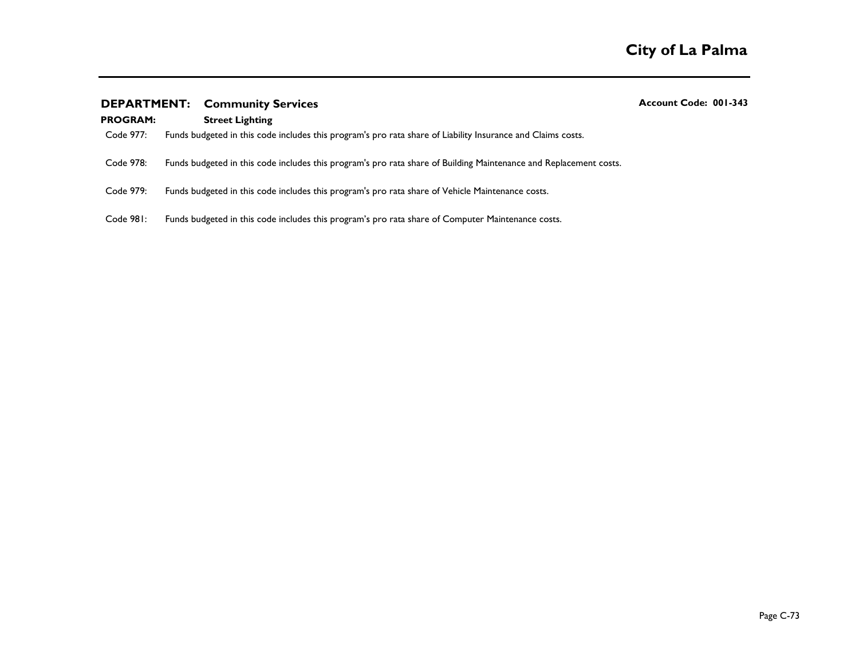## **DEPARTMENT:** Community Services **Account Code: 001-343** Account Code: 001-343

## **PROGRAM: Street Lighting**

- Code 977: Funds budgeted in this code includes this program's pro rata share of Liability Insurance and Claims costs.
- Code 978: Funds budgeted in this code includes this program's pro rata share of Building Maintenance and Replacement costs.
- Code 979: Funds budgeted in this code includes this program's pro rata share of Vehicle Maintenance costs.
- Code 981: Funds budgeted in this code includes this program's pro rata share of Computer Maintenance costs.